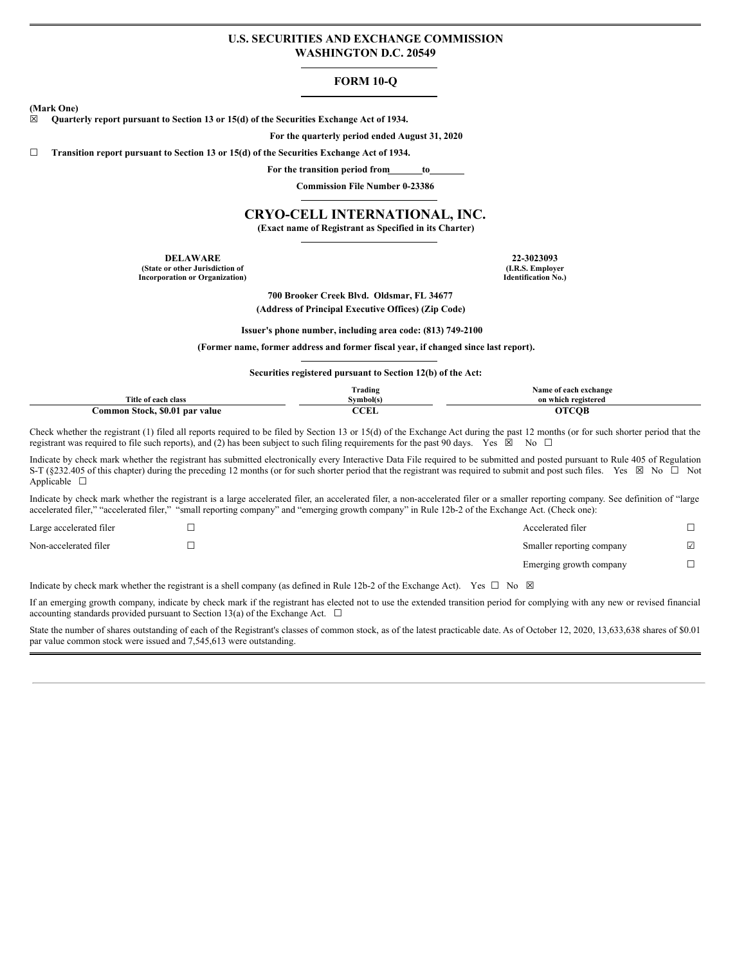# **U.S. SECURITIES AND EXCHANGE COMMISSION WASHINGTON D.C. 20549**

# **FORM 10-Q**

**(Mark One)**

**☒ Quarterly report pursuant to Section 13 or 15(d) of the Securities Exchange Act of 1934.**

**For the quarterly period ended August 31, 2020**

**☐ Transition report pursuant to Section 13 or 15(d) of the Securities Exchange Act of 1934.**

**For the transition period from to**

**Commission File Number 0-23386**

# **CRYO-CELL INTERNATIONAL, INC.**

**(Exact name of Registrant as Specified in its Charter)**

**DELAWARE 22-3023093 (State or other Jurisdiction of Incorporation or Organization)**

**(I.R.S. Employer Identification No.)**

**700 Brooker Creek Blvd. Oldsmar, FL 34677 (Address of Principal Executive Offices) (Zip Code)**

**Issuer's phone number, including area code: (813) 749-2100**

**(Former name, former address and former fiscal year, if changed since last report).**

**Securities registered pursuant to Section 12(b) of the Act:**

|                                                  | no.<br>Trading | Name of each exchange |
|--------------------------------------------------|----------------|-----------------------|
| Title of each class                              | Svmbol(s)      | on which registered   |
| Common Stock. \$0.01 <sup>.</sup><br>l par value | - 131          | <b>)TCOB</b>          |

Check whether the registrant (1) filed all reports required to be filed by Section 13 or 15(d) of the Exchange Act during the past 12 months (or for such shorter period that the registrant was required to file such reports), and (2) has been subject to such filing requirements for the past 90 days. Yes  $\boxtimes$  No  $\Box$ 

Indicate by check mark whether the registrant has submitted electronically every Interactive Data File required to be submitted and posted pursuant to Rule 405 of Regulation S-T (§232.405 of this chapter) during the preceding 12 months (or for such shorter period that the registrant was required to submit and post such files. Yes  $\boxtimes$  No  $\Box$  Not Applicable □

Indicate by check mark whether the registrant is a large accelerated filer, an accelerated filer, a non-accelerated filer or a smaller reporting company. See definition of "large accelerated filer," "accelerated filer," "small reporting company" and "emerging growth company" in Rule 12b-2 of the Exchange Act. (Check one):

| Large accelerated filer | Accelerated filer         |   |
|-------------------------|---------------------------|---|
| Non-accelerated filer   | Smaller reporting company | ☑ |
|                         | Emerging growth company   |   |

Indicate by check mark whether the registrant is a shell company (as defined in Rule 12b-2 of the Exchange Act). Yes  $\Box$  No  $\boxtimes$ 

If an emerging growth company, indicate by check mark if the registrant has elected not to use the extended transition period for complying with any new or revised financial accounting standards provided pursuant to Section 13(a) of the Exchange Act.  $\Box$ 

State the number of shares outstanding of each of the Registrant's classes of common stock, as of the latest practicable date. As of October 12, 2020, 13,633,638 shares of \$0.01 par value common stock were issued and 7,545,613 were outstanding.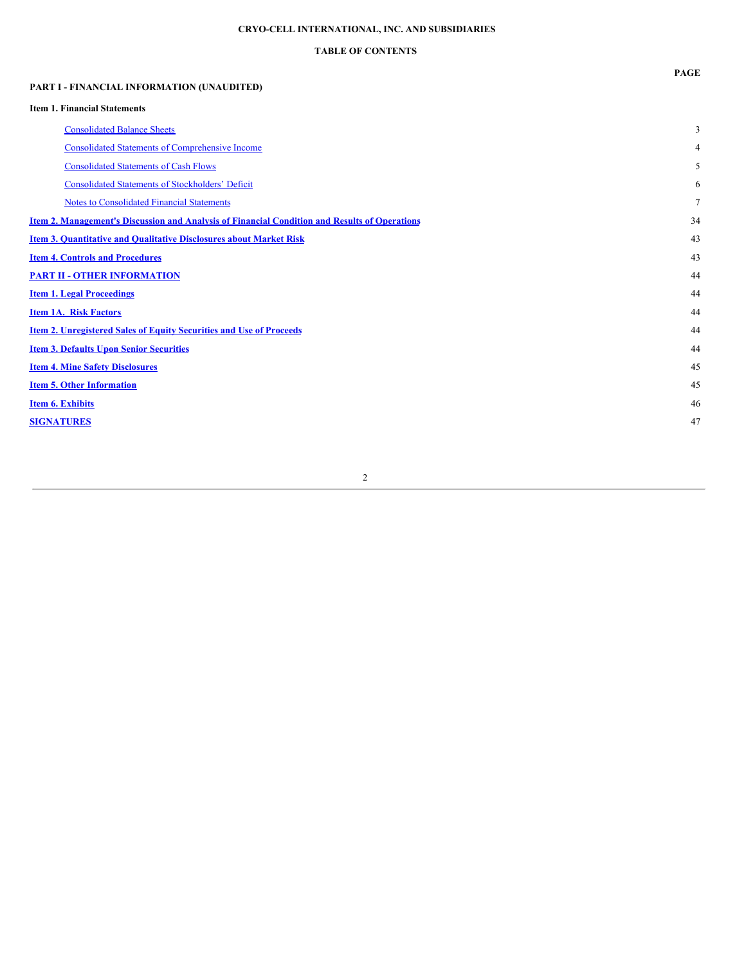### **CRYO-CELL INTERNATIONAL, INC. AND SUBSIDIARIES**

### **TABLE OF CONTENTS**

# **PART I - FINANCIAL INFORMATION (UNAUDITED) Item 1. Financial Statements** [Consolidated](#page-2-0) Balance Sheets 3 Consolidated Statements of [Comprehensive](#page-3-0) Income 4 [Consolidated](#page-4-0) Statements of Cash Flows 5 Consolidated Statements of [Stockholders'](#page-5-0) Deficit 6 Notes to [Consolidated](#page-6-0) Financial Statements 7 **Item 2. [Management's](#page-33-0) Discussion and Analysis of Financial Condition and Results of Operations** 34 **Item 3. [Quantitative](#page-42-0) and Qualitative Disclosures about Market Risk** 43 **Item 4. Controls and [Procedures](#page-42-1)** 43 **PART II - OTHER [INFORMATION](#page-43-0)** 44 **Item 1. Legal [Proceedings](#page-43-1)** 44 **Item 1A. Risk [Factors](#page-43-2)** 44 **Item 2. [Unregistered](#page-43-3) Sales of Equity Securities and Use of Proceeds** 44 **Item 3. Defaults Upon Senior [Securities](#page-43-4)** 44 **Item 4. Mine Safety [Disclosures](#page-44-0)** 45 **Item 5. Other [Information](#page-44-1)** 45 **Item 6. [Exhibits](#page-45-0)** 46 **[SIGNATURES](#page-46-0)** 47

# 2

# **PAGE**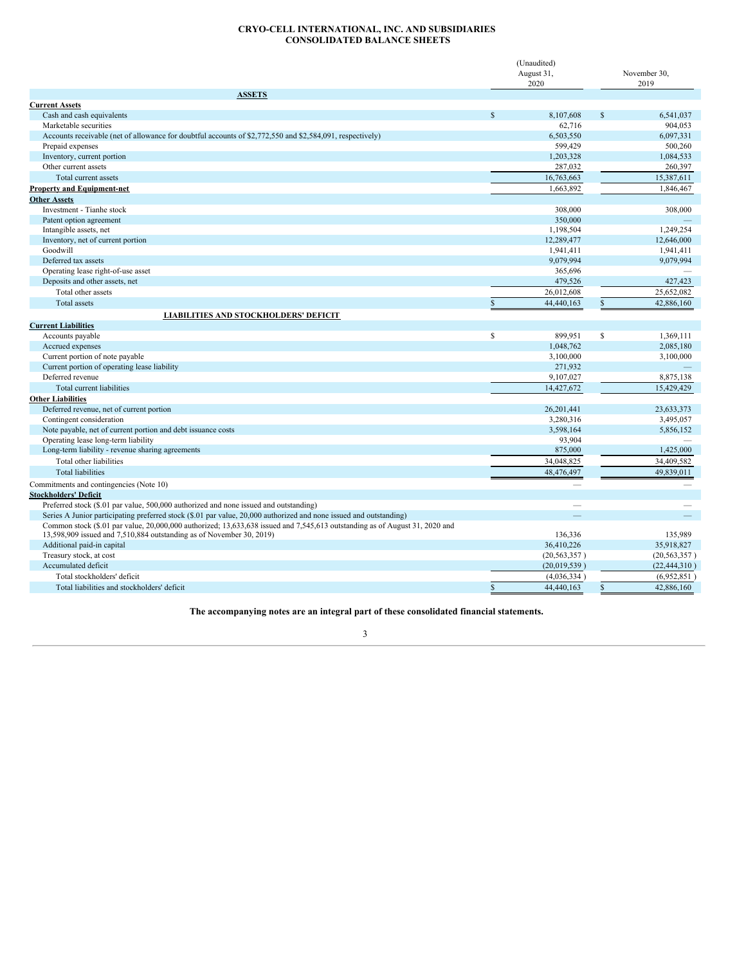#### <span id="page-2-0"></span>**CRYO-CELL INTERNATIONAL, INC. AND SUBSIDIARIES CONSOLIDATED BALANCE SHEETS**

|                                                                                                                             |               | (Unaudited)<br>August 31,<br>2020 |               | November 30.<br>2019 |
|-----------------------------------------------------------------------------------------------------------------------------|---------------|-----------------------------------|---------------|----------------------|
| <b>ASSETS</b>                                                                                                               |               |                                   |               |                      |
| <b>Current Assets</b>                                                                                                       |               |                                   |               |                      |
| Cash and cash equivalents                                                                                                   | $\mathcal{S}$ | 8,107,608                         | $\mathbb{S}$  | 6,541,037            |
| Marketable securities                                                                                                       |               | 62,716                            |               | 904,053              |
| Accounts receivable (net of allowance for doubtful accounts of \$2,772,550 and \$2,584,091, respectively)                   |               | 6,503,550                         |               | 6,097,331            |
| Prepaid expenses                                                                                                            |               | 599,429                           |               | 500,260              |
| Inventory, current portion                                                                                                  |               | 1,203,328                         |               | 1,084,533            |
| Other current assets                                                                                                        |               | 287,032                           |               | 260,397              |
| Total current assets                                                                                                        |               | 16,763,663                        |               | 15,387,611           |
| <b>Property and Equipment-net</b>                                                                                           |               | 1,663,892                         |               | 1,846,467            |
| <b>Other Assets</b>                                                                                                         |               |                                   |               |                      |
| Investment - Tianhe stock                                                                                                   |               | 308,000                           |               | 308,000              |
| Patent option agreement                                                                                                     |               | 350,000                           |               |                      |
| Intangible assets, net                                                                                                      |               | 1,198,504                         |               | 1,249,254            |
| Inventory, net of current portion                                                                                           |               | 12,289,477                        |               | 12,646,000           |
| Goodwill                                                                                                                    |               | 1,941,411                         |               | 1,941,411            |
| Deferred tax assets                                                                                                         |               | 9,079,994                         |               | 9,079,994            |
| Operating lease right-of-use asset                                                                                          |               | 365,696                           |               |                      |
| Deposits and other assets, net                                                                                              |               | 479,526                           |               | 427,423              |
| Total other assets                                                                                                          |               | 26,012,608                        |               | 25,652,082           |
| <b>Total assets</b>                                                                                                         | $\mathcal{S}$ | 44,440,163                        | S             | 42,886,160           |
| <b>LIABILITIES AND STOCKHOLDERS' DEFICIT</b>                                                                                |               |                                   |               |                      |
| <b>Current Liabilities</b>                                                                                                  |               |                                   |               |                      |
| Accounts payable                                                                                                            | $\mathbf S$   | 899,951                           | <sup>\$</sup> | 1,369,111            |
| Accrued expenses                                                                                                            |               | 1,048,762                         |               | 2,085,180            |
| Current portion of note payable                                                                                             |               | 3,100,000                         |               | 3,100,000            |
| Current portion of operating lease liability                                                                                |               | 271,932                           |               |                      |
| Deferred revenue                                                                                                            |               | 9,107,027                         |               | 8,875,138            |
| Total current liabilities                                                                                                   |               | 14,427,672                        |               | 15,429,429           |
|                                                                                                                             |               |                                   |               |                      |
| <b>Other Liabilities</b>                                                                                                    |               |                                   |               |                      |
| Deferred revenue, net of current portion                                                                                    |               | 26,201,441                        |               | 23,633,373           |
| Contingent consideration                                                                                                    |               | 3,280,316                         |               | 3,495,057            |
| Note payable, net of current portion and debt issuance costs                                                                |               | 3,598,164                         |               | 5,856,152            |
| Operating lease long-term liability                                                                                         |               | 93,904<br>875,000                 |               | 1,425,000            |
| Long-term liability - revenue sharing agreements                                                                            |               | 34.048.825                        |               | 34.409.582           |
| Total other liabilities                                                                                                     |               |                                   |               |                      |
| <b>Total liabilities</b>                                                                                                    |               | 48,476,497                        |               | 49,839,011           |
| Commitments and contingencies (Note 10)                                                                                     |               |                                   |               |                      |
| <b>Stockholders' Deficit</b>                                                                                                |               |                                   |               |                      |
| Preferred stock (\$.01 par value, 500,000 authorized and none issued and outstanding)                                       |               | $\overline{\phantom{0}}$          |               |                      |
| Series A Junior participating preferred stock (\$.01 par value, 20,000 authorized and none issued and outstanding)          |               |                                   |               |                      |
| Common stock (\$.01 par value, 20,000,000 authorized; 13,633,638 issued and 7,545,613 outstanding as of August 31, 2020 and |               |                                   |               |                      |
| 13,598,909 issued and 7,510,884 outstanding as of November 30, 2019)                                                        |               | 136,336                           |               | 135,989              |
| Additional paid-in capital                                                                                                  |               | 36,410,226                        |               | 35,918,827           |
| Treasury stock, at cost                                                                                                     |               | (20, 563, 357)                    |               | (20, 563, 357)       |
| Accumulated deficit                                                                                                         |               | (20,019,539)                      |               | (22, 444, 310)       |
| Total stockholders' deficit                                                                                                 |               | (4,036,334)                       |               | (6,952,851)          |
| Total liabilities and stockholders' deficit                                                                                 | <sup>\$</sup> | 44,440,163                        | $\mathbf S$   | 42,886,160           |

**The accompanying notes are an integral part of these consolidated financial statements.**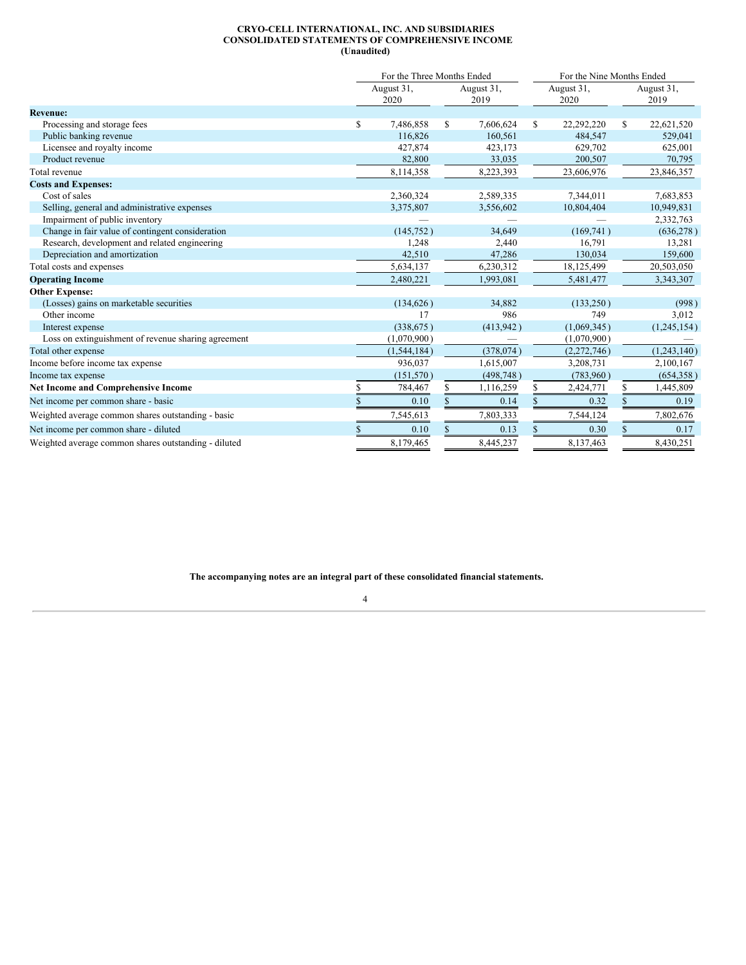#### <span id="page-3-0"></span>**CRYO-CELL INTERNATIONAL, INC. AND SUBSIDIARIES CONSOLIDATED STATEMENTS OF COMPREHENSIVE INCOME (Unaudited)**

|                                                      |   | For the Three Months Ended |               |                    | For the Nine Months Ended |                    |              |                    |  |
|------------------------------------------------------|---|----------------------------|---------------|--------------------|---------------------------|--------------------|--------------|--------------------|--|
|                                                      |   | August 31,<br>2020         |               | August 31,<br>2019 |                           | August 31,<br>2020 |              | August 31,<br>2019 |  |
| <b>Revenue:</b>                                      |   |                            |               |                    |                           |                    |              |                    |  |
| Processing and storage fees                          | S | 7,486,858                  | <sup>\$</sup> | 7,606,624          | S                         | 22,292,220         | S.           | 22,621,520         |  |
| Public banking revenue                               |   | 116,826                    |               | 160,561            |                           | 484,547            |              | 529,041            |  |
| Licensee and royalty income                          |   | 427,874                    |               | 423,173            |                           | 629,702            |              | 625,001            |  |
| Product revenue                                      |   | 82,800                     |               | 33,035             |                           | 200,507            |              | 70,795             |  |
| Total revenue                                        |   | 8,114,358                  |               | 8,223,393          |                           | 23,606,976         |              | 23,846,357         |  |
| <b>Costs and Expenses:</b>                           |   |                            |               |                    |                           |                    |              |                    |  |
| Cost of sales                                        |   | 2,360,324                  |               | 2,589,335          |                           | 7,344,011          |              | 7,683,853          |  |
| Selling, general and administrative expenses         |   | 3,375,807                  |               | 3,556,602          |                           | 10,804,404         |              | 10,949,831         |  |
| Impairment of public inventory                       |   |                            |               |                    |                           |                    |              | 2,332,763          |  |
| Change in fair value of contingent consideration     |   | (145, 752)                 |               | 34,649             |                           | (169, 741)         |              | (636, 278)         |  |
| Research, development and related engineering        |   | 1,248                      |               | 2,440              |                           | 16,791             |              | 13,281             |  |
| Depreciation and amortization                        |   | 42,510                     |               | 47,286             |                           | 130,034            |              | 159,600            |  |
| Total costs and expenses                             |   | 5,634,137                  |               | 6,230,312          |                           | 18,125,499         |              | 20,503,050         |  |
| <b>Operating Income</b>                              |   | 2,480,221                  |               | 1,993,081          |                           | 5,481,477          |              | 3,343,307          |  |
| <b>Other Expense:</b>                                |   |                            |               |                    |                           |                    |              |                    |  |
| (Losses) gains on marketable securities              |   | (134, 626)                 |               | 34,882             |                           | (133, 250)         |              | (998)              |  |
| Other income                                         |   | 17                         |               | 986                |                           | 749                |              | 3,012              |  |
| Interest expense                                     |   | (338, 675)                 |               | (413,942)          |                           | (1,069,345)        |              | (1,245,154)        |  |
| Loss on extinguishment of revenue sharing agreement  |   | (1,070,900)                |               |                    |                           | (1,070,900)        |              |                    |  |
| Total other expense                                  |   | (1, 544, 184)              |               | (378, 074)         |                           | (2,272,746)        |              | (1,243,140)        |  |
| Income before income tax expense                     |   | 936,037                    |               | 1,615,007          |                           | 3,208,731          |              | 2,100,167          |  |
| Income tax expense                                   |   | (151, 570)                 |               | (498, 748)         |                           | (783,960)          |              | (654, 358)         |  |
| <b>Net Income and Comprehensive Income</b>           | S | 784,467                    | \$            | 1,116,259          | S                         | 2,424,771          | \$           | 1,445,809          |  |
| Net income per common share - basic                  |   | 0.10                       | \$            | 0.14               | S                         | 0.32               | \$           | 0.19               |  |
| Weighted average common shares outstanding - basic   |   | 7,545,613                  |               | 7,803,333          |                           | 7,544,124          |              | 7,802,676          |  |
| Net income per common share - diluted                |   | 0.10                       | \$            | 0.13               | S                         | 0.30               | $\mathbb{S}$ | 0.17               |  |
| Weighted average common shares outstanding - diluted |   | 8.179.465                  |               | 8.445.237          |                           | 8.137.463          |              | 8.430.251          |  |

**The accompanying notes are an integral part of these consolidated financial statements.**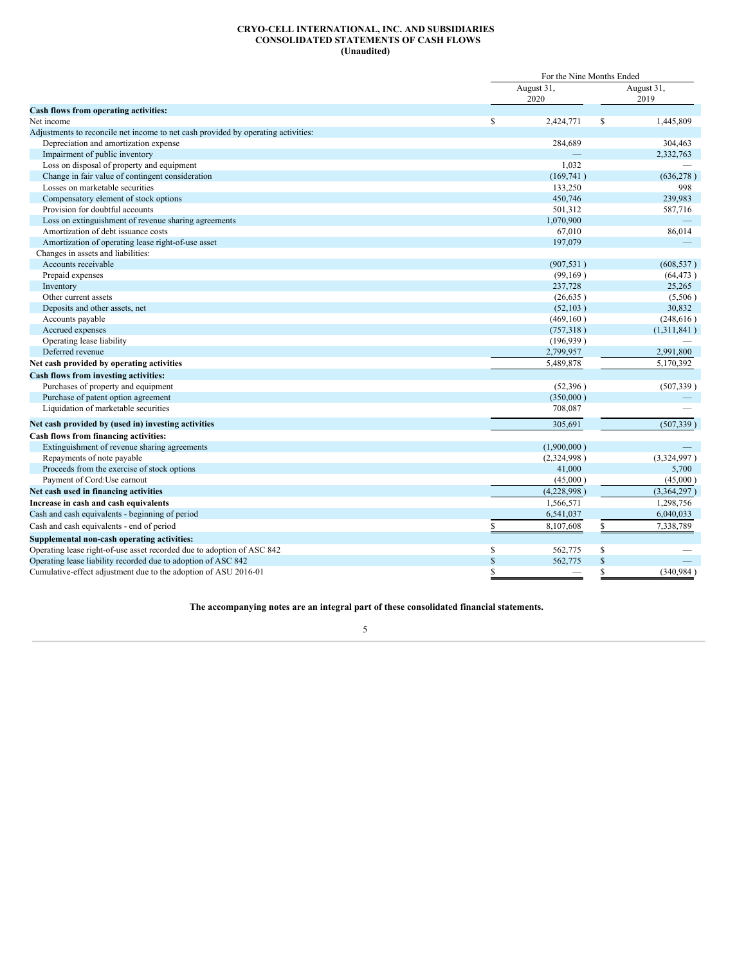#### <span id="page-4-0"></span>**CRYO-CELL INTERNATIONAL, INC. AND SUBSIDIARIES CONSOLIDATED STATEMENTS OF CASH FLOWS (Unaudited)**

|                                                                                   |              | For the Nine Months Ended |              |             |  |  |  |
|-----------------------------------------------------------------------------------|--------------|---------------------------|--------------|-------------|--|--|--|
|                                                                                   |              | August 31,                |              |             |  |  |  |
|                                                                                   |              | 2020                      |              | 2019        |  |  |  |
| Cash flows from operating activities:                                             |              |                           |              |             |  |  |  |
| Net income                                                                        | $\mathbb{S}$ | 2,424,771                 | $\mathbb{S}$ | 1,445,809   |  |  |  |
| Adjustments to reconcile net income to net cash provided by operating activities: |              |                           |              |             |  |  |  |
| Depreciation and amortization expense                                             |              | 284,689                   |              | 304,463     |  |  |  |
| Impairment of public inventory                                                    |              |                           |              | 2,332,763   |  |  |  |
| Loss on disposal of property and equipment                                        |              | 1,032                     |              |             |  |  |  |
| Change in fair value of contingent consideration                                  |              | (169, 741)                |              | (636, 278)  |  |  |  |
| Losses on marketable securities                                                   |              | 133,250                   |              | 998         |  |  |  |
| Compensatory element of stock options                                             |              | 450,746                   |              | 239,983     |  |  |  |
| Provision for doubtful accounts                                                   |              | 501,312                   |              | 587,716     |  |  |  |
| Loss on extinguishment of revenue sharing agreements                              |              | 1,070,900                 |              |             |  |  |  |
| Amortization of debt issuance costs                                               |              | 67,010                    |              | 86,014      |  |  |  |
| Amortization of operating lease right-of-use asset                                |              | 197,079                   |              |             |  |  |  |
| Changes in assets and liabilities:                                                |              |                           |              |             |  |  |  |
| Accounts receivable                                                               |              | (907, 531)                |              | (608, 537)  |  |  |  |
| Prepaid expenses                                                                  |              | (99,169)                  |              | (64, 473)   |  |  |  |
| Inventory                                                                         |              | 237,728                   |              | 25,265      |  |  |  |
| Other current assets                                                              |              | (26, 635)                 |              | (5,506)     |  |  |  |
| Deposits and other assets, net                                                    |              | (52, 103)                 |              | 30,832      |  |  |  |
| Accounts payable                                                                  |              | (469, 160)                |              | (248, 616)  |  |  |  |
| Accrued expenses                                                                  |              | (757,318)                 |              | (1,311,841) |  |  |  |
| Operating lease liability                                                         |              | (196, 939)                |              |             |  |  |  |
| Deferred revenue                                                                  |              | 2,799,957                 |              | 2,991,800   |  |  |  |
| Net cash provided by operating activities                                         |              | 5,489,878                 |              | 5,170,392   |  |  |  |
| Cash flows from investing activities:                                             |              |                           |              |             |  |  |  |
| Purchases of property and equipment                                               |              | (52,396)                  |              | (507, 339)  |  |  |  |
| Purchase of patent option agreement                                               |              | (350,000)                 |              |             |  |  |  |
| Liquidation of marketable securities                                              |              | 708,087                   |              |             |  |  |  |
| Net cash provided by (used in) investing activities                               |              | 305,691                   |              | (507, 339)  |  |  |  |
| Cash flows from financing activities:                                             |              |                           |              |             |  |  |  |
| Extinguishment of revenue sharing agreements                                      |              | (1,900,000)               |              |             |  |  |  |
| Repayments of note payable                                                        |              | (2,324,998)               |              | (3,324,997) |  |  |  |
| Proceeds from the exercise of stock options                                       |              | 41,000                    |              | 5,700       |  |  |  |
| Payment of Cord: Use earnout                                                      |              | (45,000)                  |              | (45,000)    |  |  |  |
| Net cash used in financing activities                                             |              | (4,228,998)               |              | (3,364,297) |  |  |  |
| Increase in cash and cash equivalents                                             |              | 1,566,571                 |              | 1,298,756   |  |  |  |
| Cash and cash equivalents - beginning of period                                   |              | 6,541,037                 |              | 6,040,033   |  |  |  |
| Cash and cash equivalents - end of period                                         | S            | 8.107.608                 | S            | 7,338,789   |  |  |  |
| Supplemental non-cash operating activities:                                       |              |                           |              |             |  |  |  |
| Operating lease right-of-use asset recorded due to adoption of ASC 842            | S            | 562,775                   | \$           |             |  |  |  |
| Operating lease liability recorded due to adoption of ASC 842                     | \$           | 562,775                   | \$           |             |  |  |  |
|                                                                                   | S            |                           | S            | (340.984)   |  |  |  |
| Cumulative-effect adjustment due to the adoption of ASU 2016-01                   |              |                           |              |             |  |  |  |

**The accompanying notes are an integral part of these consolidated financial statements.**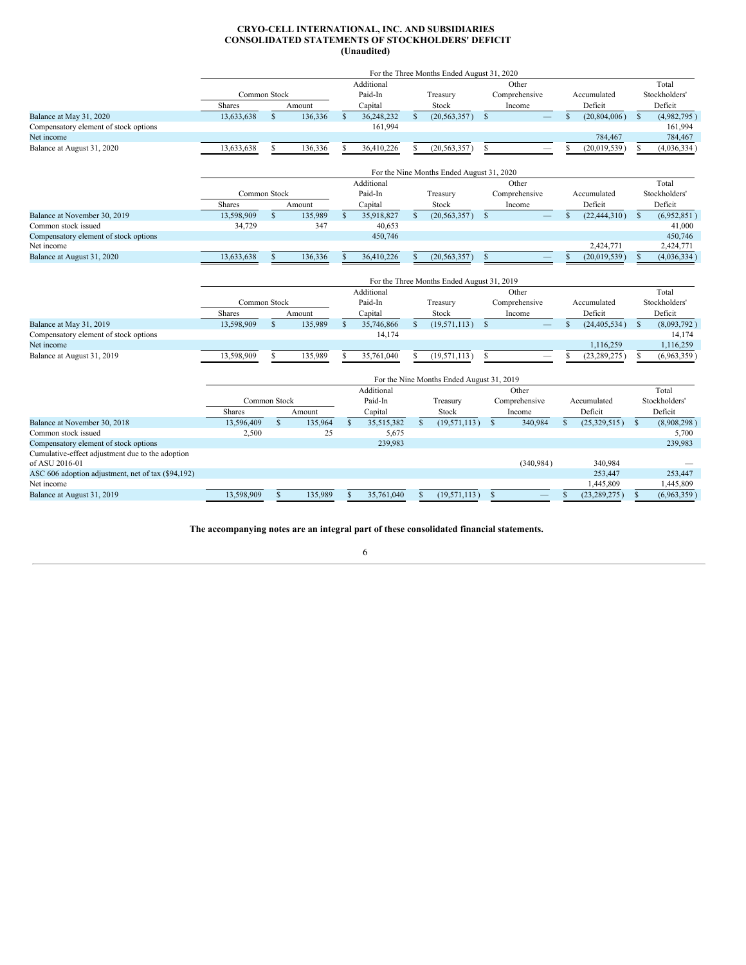#### <span id="page-5-0"></span>**CRYO-CELL INTERNATIONAL, INC. AND SUBSIDIARIES CONSOLIDATED STATEMENTS OF STOCKHOLDERS' DEFICIT (Unaudited)**

|                                                    |                                           |                    |         |               |            |               | For the Three Months Ended August 31, 2020 |               |               |               |                |               |               |
|----------------------------------------------------|-------------------------------------------|--------------------|---------|---------------|------------|---------------|--------------------------------------------|---------------|---------------|---------------|----------------|---------------|---------------|
|                                                    |                                           |                    |         |               | Additional |               |                                            |               | Other         |               |                |               | Total         |
|                                                    | <b>Common Stock</b>                       |                    |         |               | Paid-In    |               | Treasury                                   |               | Comprehensive |               | Accumulated    |               | Stockholders' |
|                                                    | Shares                                    |                    | Amount  |               | Capital    |               | Stock                                      |               | Income        |               | Deficit        |               | Deficit       |
| Balance at May 31, 2020                            | 13.633.638                                | $\mathbf S$        | 136.336 | $\mathbb{S}$  | 36,248,232 | $\mathcal{S}$ | (20, 563, 357)                             | $\mathbf S$   |               | $\mathcal{S}$ | (20.804.006)   | $\mathbf{s}$  | (4,982,795)   |
| Compensatory element of stock options              |                                           |                    |         |               | 161,994    |               |                                            |               |               |               |                |               | 161,994       |
| Net income                                         |                                           |                    |         |               |            |               |                                            |               |               |               | 784,467        |               | 784,467       |
| Balance at August 31, 2020                         | 13,633,638                                | S                  | 136,336 | S             | 36,410,226 |               | (20, 563, 357)                             | S             |               |               | (20,019,539)   | S             | (4,036,334)   |
|                                                    | For the Nine Months Ended August 31, 2020 |                    |         |               |            |               |                                            |               |               |               |                |               |               |
|                                                    |                                           |                    |         |               | Additional |               |                                            |               | Other         |               |                |               | Total         |
|                                                    | Common Stock                              |                    |         |               | Paid-In    |               | Treasury                                   |               | Comprehensive |               | Accumulated    |               | Stockholders' |
|                                                    | Shares                                    |                    | Amount  |               | Capital    |               | Stock                                      |               | Income        |               | Deficit        |               | Deficit       |
| Balance at November 30, 2019                       | 13,598,909                                | S                  | 135,989 | $\mathbf{s}$  | 35,918,827 | $\mathcal{S}$ | (20, 563, 357)                             | $\mathbf S$   |               | $\mathcal{S}$ | (22, 444, 310) | $\mathcal{S}$ | (6,952,851)   |
| Common stock issued                                | 34,729                                    |                    | 347     |               | 40,653     |               |                                            |               |               |               |                |               | 41,000        |
| Compensatory element of stock options              |                                           |                    |         |               | 450,746    |               |                                            |               |               |               |                |               | 450,746       |
| Net income                                         |                                           |                    |         |               |            |               |                                            |               |               |               | 2,424,771      |               | 2,424,771     |
| Balance at August 31, 2020                         | 13,633,638                                | $\mathbf{\hat{S}}$ | 136,336 |               | 36,410,226 |               | (20, 563, 357)                             | $\mathcal{S}$ |               | $\mathcal{S}$ | (20,019,539)   |               | (4,036,334)   |
| For the Three Months Ended August 31, 2019         |                                           |                    |         |               |            |               |                                            |               |               |               |                |               |               |
|                                                    |                                           |                    |         |               | Additional |               |                                            |               | Other         |               |                |               | Total         |
|                                                    | Common Stock                              |                    |         |               | Paid-In    |               | Treasury                                   |               | Comprehensive |               | Accumulated    |               | Stockholders' |
|                                                    | Shares                                    |                    | Amount  |               | Capital    |               | Stock                                      |               | Income        |               | Deficit        |               | Deficit       |
| Balance at May 31, 2019                            | 13,598,909                                | $\mathbf{s}$       | 135,989 | $\mathcal{S}$ | 35,746,866 | $\mathbf{s}$  | (19.571.113)                               | $\mathcal{S}$ |               | $\mathcal{S}$ | (24.405.534)   | $\mathcal{S}$ | (8,093,792)   |
| Compensatory element of stock options              |                                           |                    |         |               | 14,174     |               |                                            |               |               |               |                |               | 14,174        |
| Net income                                         |                                           |                    |         |               |            |               |                                            |               |               |               | 1,116,259      |               | 1,116,259     |
| Balance at August 31, 2019                         | 13,598,909                                | S                  | 135,989 |               | 35,761,040 |               | (19, 571, 113)                             | S             |               |               | (23, 289, 275) |               | (6,963,359)   |
|                                                    |                                           |                    |         |               |            |               | For the Nine Months Ended August 31, 2019  |               |               |               |                |               |               |
|                                                    |                                           |                    |         |               | Additional |               |                                            |               | Other         |               |                |               | Total         |
|                                                    | Common Stock                              |                    |         |               | Paid-In    |               | Treasury                                   |               | Comprehensive |               | Accumulated    |               | Stockholders' |
|                                                    | <b>Shares</b>                             |                    | Amount  |               | Capital    |               | Stock                                      |               | Income        |               | Deficit        |               | Deficit       |
| Balance at November 30, 2018                       | 13,596,409                                | $\mathbb{S}$       | 135,964 | $\mathbf{s}$  | 35,515,382 | $\mathbf{s}$  | (19,571,113)                               | $\mathbf{s}$  | 340,984       | $\mathbb{S}$  | (25,329,515)   | $\mathbf{s}$  | (8,908,298)   |
| Common stock issued                                | 2,500                                     |                    | 25      |               | 5,675      |               |                                            |               |               |               |                |               | 5,700         |
| Compensatory element of stock options              |                                           |                    |         |               | 239,983    |               |                                            |               |               |               |                |               | 239,983       |
| Cumulative-effect adjustment due to the adoption   |                                           |                    |         |               |            |               |                                            |               |               |               |                |               |               |
| of ASU 2016-01                                     |                                           |                    |         |               |            |               |                                            |               | (340, 984)    |               | 340,984        |               |               |
| ASC 606 adoption adjustment, net of tax (\$94,192) |                                           |                    |         |               |            |               |                                            |               |               |               | 253,447        |               | 253,447       |
| Net income                                         |                                           |                    |         |               |            |               |                                            |               |               |               | 1,445,809      |               | 1,445,809     |
| Balance at August 31, 2019                         | 13,598,909                                | <sup>\$</sup>      | 135,989 | $\mathbb{S}$  | 35,761,040 | $\mathbb{S}$  | (19,571,113)                               | $\mathsf{\$}$ |               |               | (23, 289, 275) | $\mathbb{S}$  | (6,963,359)   |

**The accompanying notes are an integral part of these consolidated financial statements.**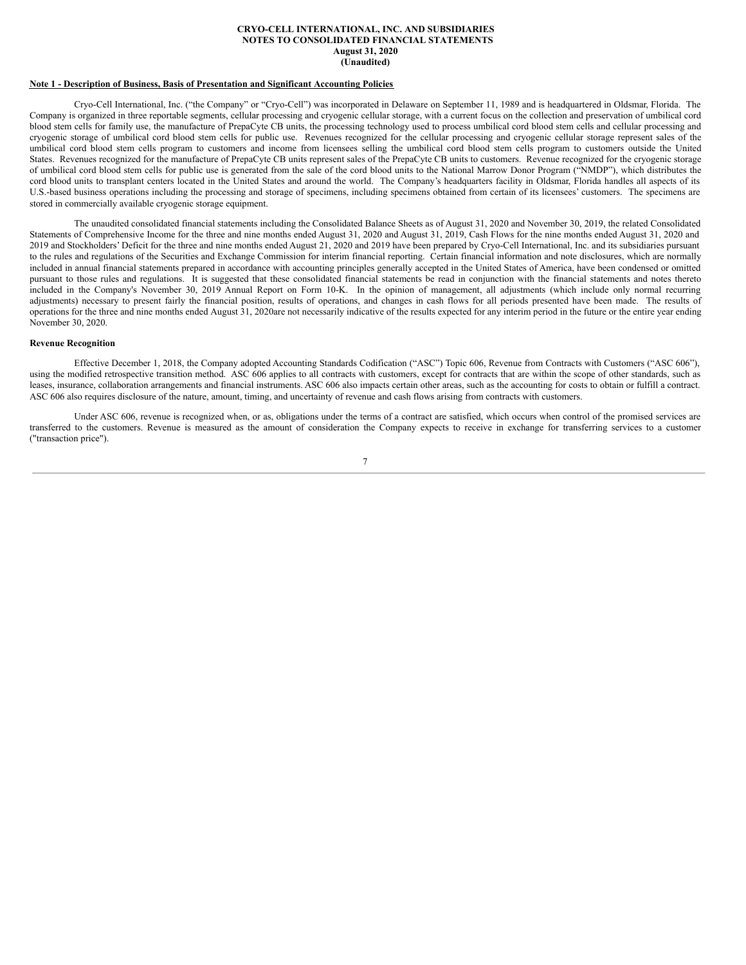### <span id="page-6-0"></span>**CRYO-CELL INTERNATIONAL, INC. AND SUBSIDIARIES NOTES TO CONSOLIDATED FINANCIAL STATEMENTS August 31, 2020 (Unaudited)**

### **Note 1 - Description of Business, Basis of Presentation and Significant Accounting Policies**

Cryo-Cell International, Inc. ("the Company" or "Cryo-Cell") was incorporated in Delaware on September 11, 1989 and is headquartered in Oldsmar, Florida. The Company is organized in three reportable segments, cellular processing and cryogenic cellular storage, with a current focus on the collection and preservation of umbilical cord blood stem cells for family use, the manufacture of PrepaCyte CB units, the processing technology used to process umbilical cord blood stem cells and cellular processing and cryogenic storage of umbilical cord blood stem cells for public use. Revenues recognized for the cellular processing and cryogenic cellular storage represent sales of the umbilical cord blood stem cells program to customers and income from licensees selling the umbilical cord blood stem cells program to customers outside the United States. Revenues recognized for the manufacture of PrepaCyte CB units represent sales of the PrepaCyte CB units to customers. Revenue recognized for the cryogenic storage of umbilical cord blood stem cells for public use is generated from the sale of the cord blood units to the National Marrow Donor Program ("NMDP"), which distributes the cord blood units to transplant centers located in the United States and around the world. The Company's headquarters facility in Oldsmar, Florida handles all aspects of its U.S.-based business operations including the processing and storage of specimens, including specimens obtained from certain of its licensees' customers. The specimens are stored in commercially available cryogenic storage equipment.

The unaudited consolidated financial statements including the Consolidated Balance Sheets as of August 31, 2020 and November 30, 2019, the related Consolidated Statements of Comprehensive Income for the three and nine months ended August 31, 2020 and August 31, 2019, Cash Flows for the nine months ended August 31, 2020 and 2019 and Stockholders' Deficit for the three and nine months ended August 21, 2020 and 2019 have been prepared by Cryo-Cell International, Inc. and its subsidiaries pursuant to the rules and regulations of the Securities and Exchange Commission for interim financial reporting. Certain financial information and note disclosures, which are normally included in annual financial statements prepared in accordance with accounting principles generally accepted in the United States of America, have been condensed or omitted pursuant to those rules and regulations. It is suggested that these consolidated financial statements be read in conjunction with the financial statements and notes thereto included in the Company's November 30, 2019 Annual Report on Form 10-K. In the opinion of management, all adjustments (which include only normal recurring adjustments) necessary to present fairly the financial position, results of operations, and changes in cash flows for all periods presented have been made. The results of operations for the three and nine months ended August 31, 2020are not necessarily indicative of the results expected for any interim period in the future or the entire year ending November 30, 2020.

### **Revenue Recognition**

Effective December 1, 2018, the Company adopted Accounting Standards Codification ("ASC") Topic 606, Revenue from Contracts with Customers ("ASC 606"), using the modified retrospective transition method. ASC 606 applies to all contracts with customers, except for contracts that are within the scope of other standards, such as leases, insurance, collaboration arrangements and financial instruments. ASC 606 also impacts certain other areas, such as the accounting for costs to obtain or fulfill a contract. ASC 606 also requires disclosure of the nature, amount, timing, and uncertainty of revenue and cash flows arising from contracts with customers.

Under ASC 606, revenue is recognized when, or as, obligations under the terms of a contract are satisfied, which occurs when control of the promised services are transferred to the customers. Revenue is measured as the amount of consideration the Company expects to receive in exchange for transferring services to a customer ("transaction price").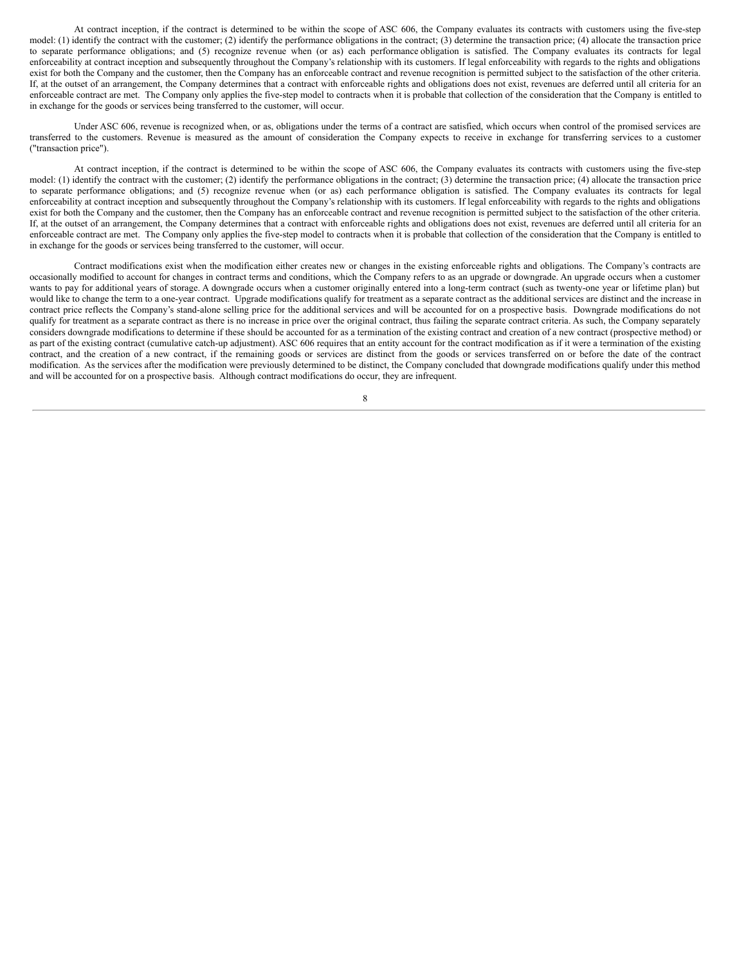At contract inception, if the contract is determined to be within the scope of ASC 606, the Company evaluates its contracts with customers using the five-step model: (1) identify the contract with the customer; (2) identify the performance obligations in the contract; (3) determine the transaction price; (4) allocate the transaction price to separate performance obligations; and (5) recognize revenue when (or as) each performance obligation is satisfied. The Company evaluates its contracts for legal enforceability at contract inception and subsequently throughout the Company's relationship with its customers. If legal enforceability with regards to the rights and obligations exist for both the Company and the customer, then the Company has an enforceable contract and revenue recognition is permitted subject to the satisfaction of the other criteria. If, at the outset of an arrangement, the Company determines that a contract with enforceable rights and obligations does not exist, revenues are deferred until all criteria for an enforceable contract are met. The Company only applies the five-step model to contracts when it is probable that collection of the consideration that the Company is entitled to in exchange for the goods or services being transferred to the customer, will occur.

Under ASC 606, revenue is recognized when, or as, obligations under the terms of a contract are satisfied, which occurs when control of the promised services are transferred to the customers. Revenue is measured as the amount of consideration the Company expects to receive in exchange for transferring services to a customer ("transaction price").

At contract inception, if the contract is determined to be within the scope of ASC 606, the Company evaluates its contracts with customers using the five-step model: (1) identify the contract with the customer; (2) identify the performance obligations in the contract; (3) determine the transaction price; (4) allocate the transaction price to separate performance obligations; and (5) recognize revenue when (or as) each performance obligation is satisfied. The Company evaluates its contracts for legal enforceability at contract inception and subsequently throughout the Company's relationship with its customers. If legal enforceability with regards to the rights and obligations exist for both the Company and the customer, then the Company has an enforceable contract and revenue recognition is permitted subject to the satisfaction of the other criteria. If, at the outset of an arrangement, the Company determines that a contract with enforceable rights and obligations does not exist, revenues are deferred until all criteria for an enforceable contract are met. The Company only applies the five-step model to contracts when it is probable that collection of the consideration that the Company is entitled to in exchange for the goods or services being transferred to the customer, will occur.

Contract modifications exist when the modification either creates new or changes in the existing enforceable rights and obligations. The Company's contracts are occasionally modified to account for changes in contract terms and conditions, which the Company refers to as an upgrade or downgrade. An upgrade occurs when a customer wants to pay for additional years of storage. A downgrade occurs when a customer originally entered into a long-term contract (such as twenty-one year or lifetime plan) but would like to change the term to a one-year contract. Upgrade modifications qualify for treatment as a separate contract as the additional services are distinct and the increase in contract price reflects the Company's stand-alone selling price for the additional services and will be accounted for on a prospective basis. Downgrade modifications do not qualify for treatment as a separate contract as there is no increase in price over the original contract, thus failing the separate contract criteria. As such, the Company separately considers downgrade modifications to determine if these should be accounted for as a termination of the existing contract and creation of a new contract (prospective method) or as part of the existing contract (cumulative catch-up adjustment). ASC 606 requires that an entity account for the contract modification as if it were a termination of the existing contract, and the creation of a new contract, if the remaining goods or services are distinct from the goods or services transferred on or before the date of the contract modification. As the services after the modification were previously determined to be distinct, the Company concluded that downgrade modifications qualify under this method and will be accounted for on a prospective basis. Although contract modifications do occur, they are infrequent.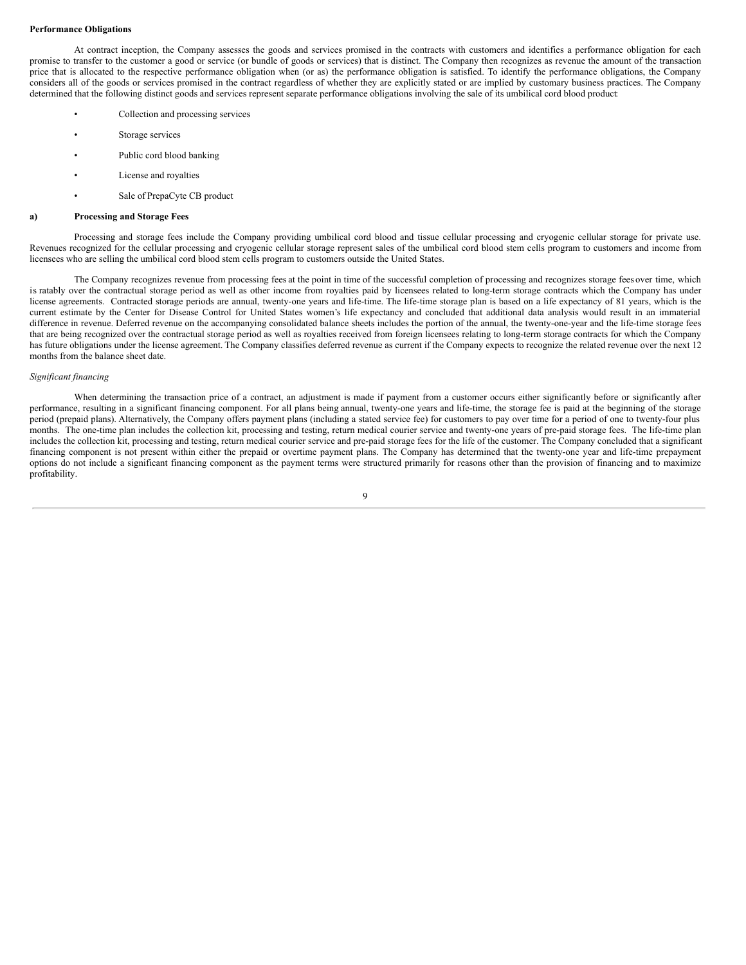#### **Performance Obligations**

At contract inception, the Company assesses the goods and services promised in the contracts with customers and identifies a performance obligation for each promise to transfer to the customer a good or service (or bundle of goods or services) that is distinct. The Company then recognizes as revenue the amount of the transaction price that is allocated to the respective performance obligation when (or as) the performance obligation is satisfied. To identify the performance obligations, the Company considers all of the goods or services promised in the contract regardless of whether they are explicitly stated or are implied by customary business practices. The Company determined that the following distinct goods and services represent separate performance obligations involving the sale of its umbilical cord blood product:

- Collection and processing services
- Storage services
- Public cord blood banking
- License and royalties
- Sale of PrepaCyte CB product

### **a) Processing and Storage Fees**

Processing and storage fees include the Company providing umbilical cord blood and tissue cellular processing and cryogenic cellular storage for private use. Revenues recognized for the cellular processing and cryogenic cellular storage represent sales of the umbilical cord blood stem cells program to customers and income from licensees who are selling the umbilical cord blood stem cells program to customers outside the United States.

The Company recognizes revenue from processing fees at the point in time of the successful completion of processing and recognizes storage fees over time, which is ratably over the contractual storage period as well as other income from royalties paid by licensees related to long-term storage contracts which the Company has under license agreements. Contracted storage periods are annual, twenty-one years and life-time. The life-time storage plan is based on a life expectancy of 81 years, which is the current estimate by the Center for Disease Control for United States women's life expectancy and concluded that additional data analysis would result in an immaterial difference in revenue. Deferred revenue on the accompanying consolidated balance sheets includes the portion of the annual, the twenty-one-year and the life-time storage fees that are being recognized over the contractual storage period as well as royalties received from foreign licensees relating to long-term storage contracts for which the Company has future obligations under the license agreement. The Company classifies deferred revenue as current if the Company expects to recognize the related revenue over the next 12 months from the balance sheet date.

### *Significant financing*

When determining the transaction price of a contract, an adjustment is made if payment from a customer occurs either significantly before or significantly after performance, resulting in a significant financing component. For all plans being annual, twenty-one years and life-time, the storage fee is paid at the beginning of the storage period (prepaid plans). Alternatively, the Company offers payment plans (including a stated service fee) for customers to pay over time for a period of one to twenty-four plus months. The one-time plan includes the collection kit, processing and testing, return medical courier service and twenty-one years of pre-paid storage fees. The life-time plan includes the collection kit, processing and testing, return medical courier service and pre-paid storage fees for the life of the customer. The Company concluded that a significant financing component is not present within either the prepaid or overtime payment plans. The Company has determined that the twenty-one year and life-time prepayment options do not include a significant financing component as the payment terms were structured primarily for reasons other than the provision of financing and to maximize profitability.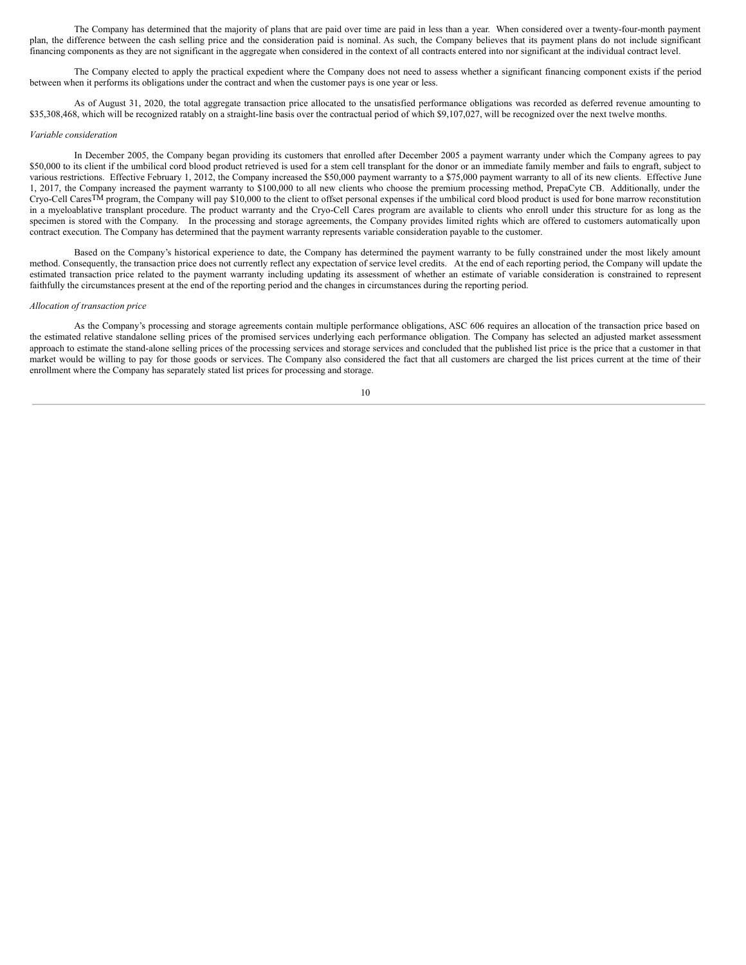The Company has determined that the majority of plans that are paid over time are paid in less than a year. When considered over a twenty-four-month payment plan, the difference between the cash selling price and the consideration paid is nominal. As such, the Company believes that its payment plans do not include significant financing components as they are not significant in the aggregate when considered in the context of all contracts entered into nor significant at the individual contract level.

The Company elected to apply the practical expedient where the Company does not need to assess whether a significant financing component exists if the period between when it performs its obligations under the contract and when the customer pays is one year or less.

As of August 31, 2020, the total aggregate transaction price allocated to the unsatisfied performance obligations was recorded as deferred revenue amounting to \$35,308,468, which will be recognized ratably on a straight-line basis over the contractual period of which \$9,107,027, will be recognized over the next twelve months.

### *Variable consideration*

In December 2005, the Company began providing its customers that enrolled after December 2005 a payment warranty under which the Company agrees to pay \$50,000 to its client if the umbilical cord blood product retrieved is used for a stem cell transplant for the donor or an immediate family member and fails to engraft, subject to various restrictions. Effective February 1, 2012, the Company increased the \$50,000 payment warranty to a \$75,000 payment warranty to all of its new clients. Effective June 1, 2017, the Company increased the payment warranty to \$100,000 to all new clients who choose the premium processing method, PrepaCyte CB. Additionally, under the Cryo-Cell CaresTM program, the Company will pay \$10,000 to the client to offset personal expenses if the umbilical cord blood product is used for bone marrow reconstitution in a myeloablative transplant procedure. The product warranty and the Cryo-Cell Cares program are available to clients who enroll under this structure for as long as the specimen is stored with the Company. In the processing and storage agreements, the Company provides limited rights which are offered to customers automatically upon contract execution. The Company has determined that the payment warranty represents variable consideration payable to the customer.

Based on the Company's historical experience to date, the Company has determined the payment warranty to be fully constrained under the most likely amount method. Consequently, the transaction price does not currently reflect any expectation of service level credits. At the end of each reporting period, the Company will update the estimated transaction price related to the payment warranty including updating its assessment of whether an estimate of variable consideration is constrained to represent faithfully the circumstances present at the end of the reporting period and the changes in circumstances during the reporting period.

#### *Allocation of transaction price*

As the Company's processing and storage agreements contain multiple performance obligations, ASC 606 requires an allocation of the transaction price based on the estimated relative standalone selling prices of the promised services underlying each performance obligation. The Company has selected an adjusted market assessment approach to estimate the stand-alone selling prices of the processing services and storage services and concluded that the published list price is the price that a customer in that market would be willing to pay for those goods or services. The Company also considered the fact that all customers are charged the list prices current at the time of their enrollment where the Company has separately stated list prices for processing and storage.

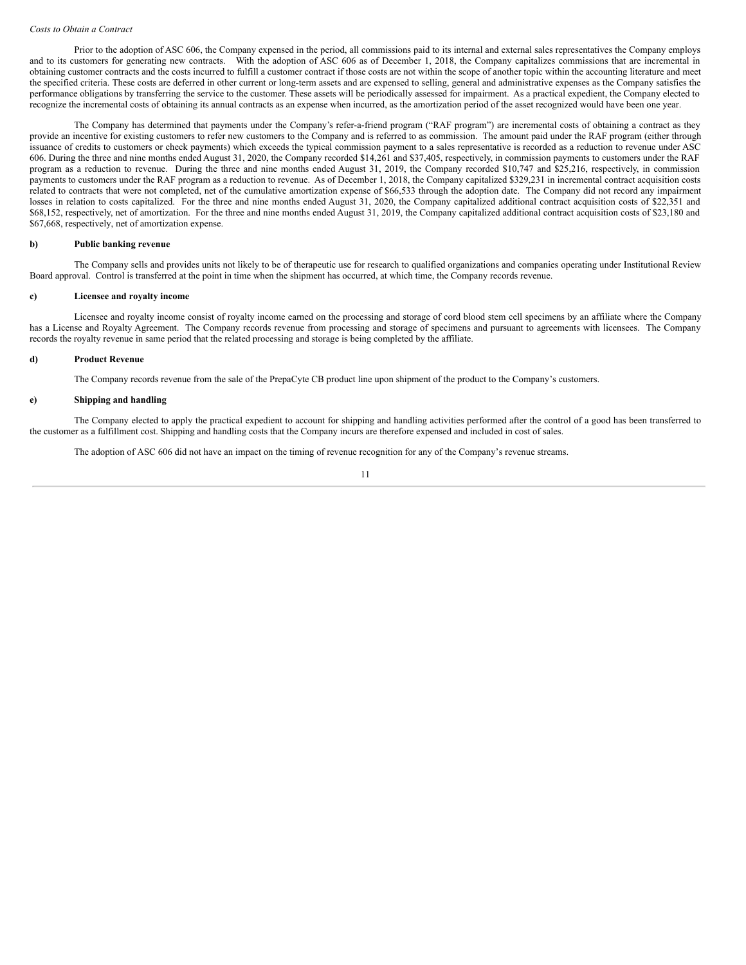#### *Costs to Obtain a Contract*

Prior to the adoption of ASC 606, the Company expensed in the period, all commissions paid to its internal and external sales representatives the Company employs and to its customers for generating new contracts. With the adoption of ASC 606 as of December 1, 2018, the Company capitalizes commissions that are incremental in obtaining customer contracts and the costs incurred to fulfill a customer contract if those costs are not within the scope of another topic within the accounting literature and meet the specified criteria. These costs are deferred in other current or long-term assets and are expensed to selling, general and administrative expenses as the Company satisfies the performance obligations by transferring the service to the customer. These assets will be periodically assessed for impairment. As a practical expedient, the Company elected to recognize the incremental costs of obtaining its annual contracts as an expense when incurred, as the amortization period of the asset recognized would have been one year.

The Company has determined that payments under the Company's refer-a-friend program ("RAF program") are incremental costs of obtaining a contract as they provide an incentive for existing customers to refer new customers to the Company and is referred to as commission. The amount paid under the RAF program (either through issuance of credits to customers or check payments) which exceeds the typical commission payment to a sales representative is recorded as a reduction to revenue under ASC 606. During the three and nine months ended August 31, 2020, the Company recorded \$14,261 and \$37,405, respectively, in commission payments to customers under the RAF program as a reduction to revenue. During the three and nine months ended August 31, 2019, the Company recorded \$10,747 and \$25,216, respectively, in commission payments to customers under the RAF program as a reduction to revenue. As of December 1, 2018, the Company capitalized \$329,231 in incremental contract acquisition costs related to contracts that were not completed, net of the cumulative amortization expense of \$66,533 through the adoption date. The Company did not record any impairment losses in relation to costs capitalized. For the three and nine months ended August 31, 2020, the Company capitalized additional contract acquisition costs of \$22,351 and \$68,152, respectively, net of amortization. For the three and nine months ended August 31, 2019, the Company capitalized additional contract acquisition costs of \$23,180 and \$67,668, respectively, net of amortization expense.

#### **b) Public banking revenue**

The Company sells and provides units not likely to be of therapeutic use for research to qualified organizations and companies operating under Institutional Review Board approval. Control is transferred at the point in time when the shipment has occurred, at which time, the Company records revenue.

#### **c) Licensee and royalty income**

Licensee and royalty income consist of royalty income earned on the processing and storage of cord blood stem cell specimens by an affiliate where the Company has a License and Royalty Agreement. The Company records revenue from processing and storage of specimens and pursuant to agreements with licensees. The Company records the royalty revenue in same period that the related processing and storage is being completed by the affiliate.

#### **d) Product Revenue**

The Company records revenue from the sale of the PrepaCyte CB product line upon shipment of the product to the Company's customers.

### **e) Shipping and handling**

The Company elected to apply the practical expedient to account for shipping and handling activities performed after the control of a good has been transferred to the customer as a fulfillment cost. Shipping and handling costs that the Company incurs are therefore expensed and included in cost of sales.

The adoption of ASC 606 did not have an impact on the timing of revenue recognition for any of the Company's revenue streams.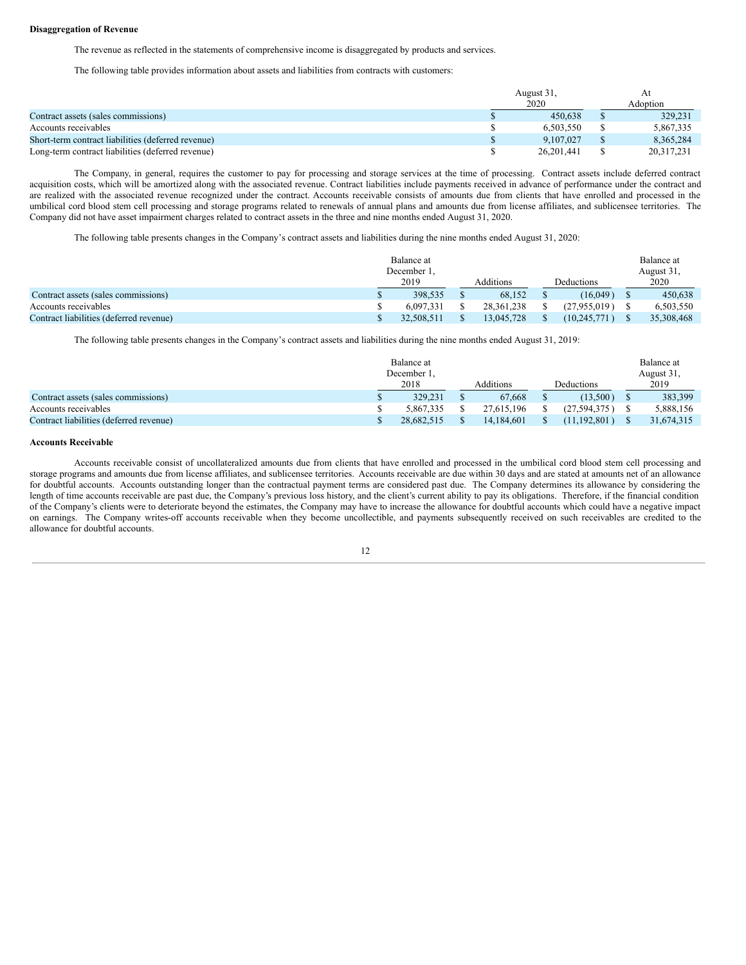#### **Disaggregation of Revenue**

The revenue as reflected in the statements of comprehensive income is disaggregated by products and services.

The following table provides information about assets and liabilities from contracts with customers:

|                                                    | August 31, | At         |
|----------------------------------------------------|------------|------------|
|                                                    | 2020       | Adoption   |
| Contract assets (sales commissions)                | 450.638    | 329.231    |
| Accounts receivables                               | 6.503.550  | 5,867,335  |
| Short-term contract liabilities (deferred revenue) | 9.107.027  | 8,365,284  |
| Long-term contract liabilities (deferred revenue)  | 26.201.441 | 20.317.231 |

The Company, in general, requires the customer to pay for processing and storage services at the time of processing. Contract assets include deferred contract acquisition costs, which will be amortized along with the associated revenue. Contract liabilities include payments received in advance of performance under the contract and are realized with the associated revenue recognized under the contract. Accounts receivable consists of amounts due from clients that have enrolled and processed in the umbilical cord blood stem cell processing and storage programs related to renewals of annual plans and amounts due from license affiliates, and sublicensee territories. The Company did not have asset impairment charges related to contract assets in the three and nine months ended August 31, 2020.

The following table presents changes in the Company's contract assets and liabilities during the nine months ended August 31, 2020:

|                                         | Balance at |  |            |  |                |  | Balance at |
|-----------------------------------------|------------|--|------------|--|----------------|--|------------|
|                                         | December 1 |  |            |  |                |  |            |
|                                         | 2019       |  | Additions  |  | Deductions     |  | 2020       |
| Contract assets (sales commissions)     | 398.535    |  | 68.152     |  | (16.049)       |  | 450.638    |
| Accounts receivables                    | 6.097.331  |  | 28.361.238 |  | (27.955.019)   |  | 6.503.550  |
| Contract liabilities (deferred revenue) | 32.508.511 |  | 13.045.728 |  | (10, 245, 771) |  | 35,308,468 |

The following table presents changes in the Company's contract assets and liabilities during the nine months ended August 31, 2019:

|                                         | Balance at<br>December 1 |            |  |            |  |              | Balance at<br>August 31, |            |  |
|-----------------------------------------|--------------------------|------------|--|------------|--|--------------|--------------------------|------------|--|
|                                         |                          | 2018       |  | Additions  |  | Deductions   |                          | 2019       |  |
| Contract assets (sales commissions)     |                          | 329.231    |  | 67.668     |  | (13,500)     |                          | 383,399    |  |
| Accounts receivables                    |                          | 5.867.335  |  | 27.615.196 |  | (27.594.375) |                          | 5,888,156  |  |
| Contract liabilities (deferred revenue) |                          | 28.682.515 |  | 14.184.601 |  | (11.192.801) |                          | 31,674,315 |  |

### **Accounts Receivable**

Accounts receivable consist of uncollateralized amounts due from clients that have enrolled and processed in the umbilical cord blood stem cell processing and storage programs and amounts due from license affiliates, and sublicensee territories. Accounts receivable are due within 30 days and are stated at amounts net of an allowance for doubtful accounts. Accounts outstanding longer than the contractual payment terms are considered past due. The Company determines its allowance by considering the length of time accounts receivable are past due, the Company's previous loss history, and the client's current ability to pay its obligations. Therefore, if the financial condition of the Company's clients were to deteriorate beyond the estimates, the Company may have to increase the allowance for doubtful accounts which could have a negative impact on earnings. The Company writes-off accounts receivable when they become uncollectible, and payments subsequently received on such receivables are credited to the allowance for doubtful accounts.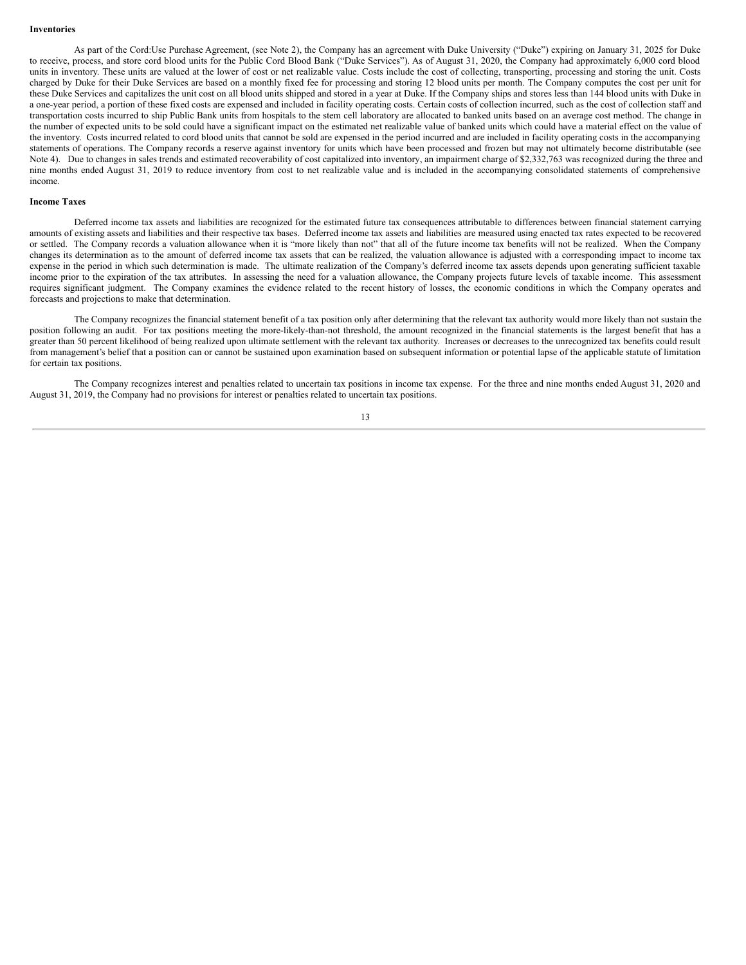#### **Inventories**

As part of the Cord:Use Purchase Agreement, (see Note 2), the Company has an agreement with Duke University ("Duke") expiring on January 31, 2025 for Duke to receive, process, and store cord blood units for the Public Cord Blood Bank ("Duke Services"). As of August 31, 2020, the Company had approximately 6,000 cord blood units in inventory. These units are valued at the lower of cost or net realizable value. Costs include the cost of collecting, transporting, processing and storing the unit. Costs charged by Duke for their Duke Services are based on a monthly fixed fee for processing and storing 12 blood units per month. The Company computes the cost per unit for these Duke Services and capitalizes the unit cost on all blood units shipped and stored in a year at Duke. If the Company ships and stores less than 144 blood units with Duke in a one-year period, a portion of these fixed costs are expensed and included in facility operating costs. Certain costs of collection incurred, such as the cost of collection staff and transportation costs incurred to ship Public Bank units from hospitals to the stem cell laboratory are allocated to banked units based on an average cost method. The change in the number of expected units to be sold could have a significant impact on the estimated net realizable value of banked units which could have a material effect on the value of the inventory. Costs incurred related to cord blood units that cannot be sold are expensed in the period incurred and are included in facility operating costs in the accompanying statements of operations. The Company records a reserve against inventory for units which have been processed and frozen but may not ultimately become distributable (see Note 4). Due to changes in sales trends and estimated recoverability of cost capitalized into inventory, an impairment charge of \$2,332,763 was recognized during the three and nine months ended August 31, 2019 to reduce inventory from cost to net realizable value and is included in the accompanying consolidated statements of comprehensive income.

### **Income Taxes**

Deferred income tax assets and liabilities are recognized for the estimated future tax consequences attributable to differences between financial statement carrying amounts of existing assets and liabilities and their respective tax bases. Deferred income tax assets and liabilities are measured using enacted tax rates expected to be recovered or settled. The Company records a valuation allowance when it is "more likely than not" that all of the future income tax benefits will not be realized. When the Company changes its determination as to the amount of deferred income tax assets that can be realized, the valuation allowance is adjusted with a corresponding impact to income tax expense in the period in which such determination is made. The ultimate realization of the Company's deferred income tax assets depends upon generating sufficient taxable income prior to the expiration of the tax attributes. In assessing the need for a valuation allowance, the Company projects future levels of taxable income. This assessment requires significant judgment. The Company examines the evidence related to the recent history of losses, the economic conditions in which the Company operates and forecasts and projections to make that determination.

The Company recognizes the financial statement benefit of a tax position only after determining that the relevant tax authority would more likely than not sustain the position following an audit. For tax positions meeting the more-likely-than-not threshold, the amount recognized in the financial statements is the largest benefit that has a greater than 50 percent likelihood of being realized upon ultimate settlement with the relevant tax authority. Increases or decreases to the unrecognized tax benefits could result from management's belief that a position can or cannot be sustained upon examination based on subsequent information or potential lapse of the applicable statute of limitation for certain tax positions.

The Company recognizes interest and penalties related to uncertain tax positions in income tax expense. For the three and nine months ended August 31, 2020 and August 31, 2019, the Company had no provisions for interest or penalties related to uncertain tax positions.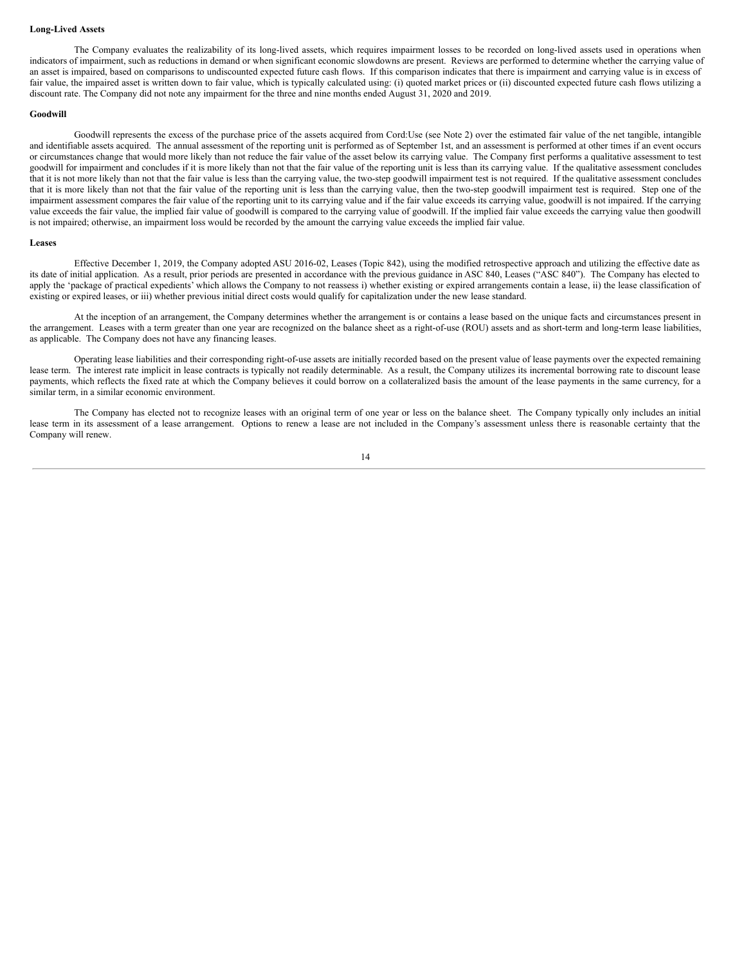#### **Long-Lived Assets**

The Company evaluates the realizability of its long-lived assets, which requires impairment losses to be recorded on long-lived assets used in operations when indicators of impairment, such as reductions in demand or when significant economic slowdowns are present. Reviews are performed to determine whether the carrying value of an asset is impaired, based on comparisons to undiscounted expected future cash flows. If this comparison indicates that there is impairment and carrying value is in excess of fair value, the impaired asset is written down to fair value, which is typically calculated using: (i) quoted market prices or (ii) discounted expected future cash flows utilizing a discount rate. The Company did not note any impairment for the three and nine months ended August 31, 2020 and 2019.

#### **Goodwill**

Goodwill represents the excess of the purchase price of the assets acquired from Cord:Use (see Note 2) over the estimated fair value of the net tangible, intangible and identifiable assets acquired. The annual assessment of the reporting unit is performed as of September 1st, and an assessment is performed at other times if an event occurs or circumstances change that would more likely than not reduce the fair value of the asset below its carrying value. The Company first performs a qualitative assessment to test goodwill for impairment and concludes if it is more likely than not that the fair value of the reporting unit is less than its carrying value. If the qualitative assessment concludes that it is not more likely than not that the fair value is less than the carrying value, the two-step goodwill impairment test is not required. If the qualitative assessment concludes that it is more likely than not that the fair value of the reporting unit is less than the carrying value, then the two-step goodwill impairment test is required. Step one of the impairment assessment compares the fair value of the reporting unit to its carrying value and if the fair value exceeds its carrying value, goodwill is not impaired. If the carrying value exceeds the fair value, the implied fair value of goodwill is compared to the carrying value of goodwill. If the implied fair value exceeds the carrying value then goodwill is not impaired; otherwise, an impairment loss would be recorded by the amount the carrying value exceeds the implied fair value.

#### **Leases**

Effective December 1, 2019, the Company adopted ASU 2016-02, Leases (Topic 842), using the modified retrospective approach and utilizing the effective date as its date of initial application. As a result, prior periods are presented in accordance with the previous guidance in ASC 840, Leases ("ASC 840"). The Company has elected to apply the 'package of practical expedients' which allows the Company to not reassess i) whether existing or expired arrangements contain a lease, ii) the lease classification of existing or expired leases, or iii) whether previous initial direct costs would qualify for capitalization under the new lease standard.

At the inception of an arrangement, the Company determines whether the arrangement is or contains a lease based on the unique facts and circumstances present in the arrangement. Leases with a term greater than one year are recognized on the balance sheet as a right-of-use (ROU) assets and as short-term and long-term lease liabilities, as applicable. The Company does not have any financing leases.

Operating lease liabilities and their corresponding right-of-use assets are initially recorded based on the present value of lease payments over the expected remaining lease term. The interest rate implicit in lease contracts is typically not readily determinable. As a result, the Company utilizes its incremental borrowing rate to discount lease payments, which reflects the fixed rate at which the Company believes it could borrow on a collateralized basis the amount of the lease payments in the same currency, for a similar term, in a similar economic environment.

The Company has elected not to recognize leases with an original term of one year or less on the balance sheet. The Company typically only includes an initial lease term in its assessment of a lease arrangement. Options to renew a lease are not included in the Company's assessment unless there is reasonable certainty that the Company will renew.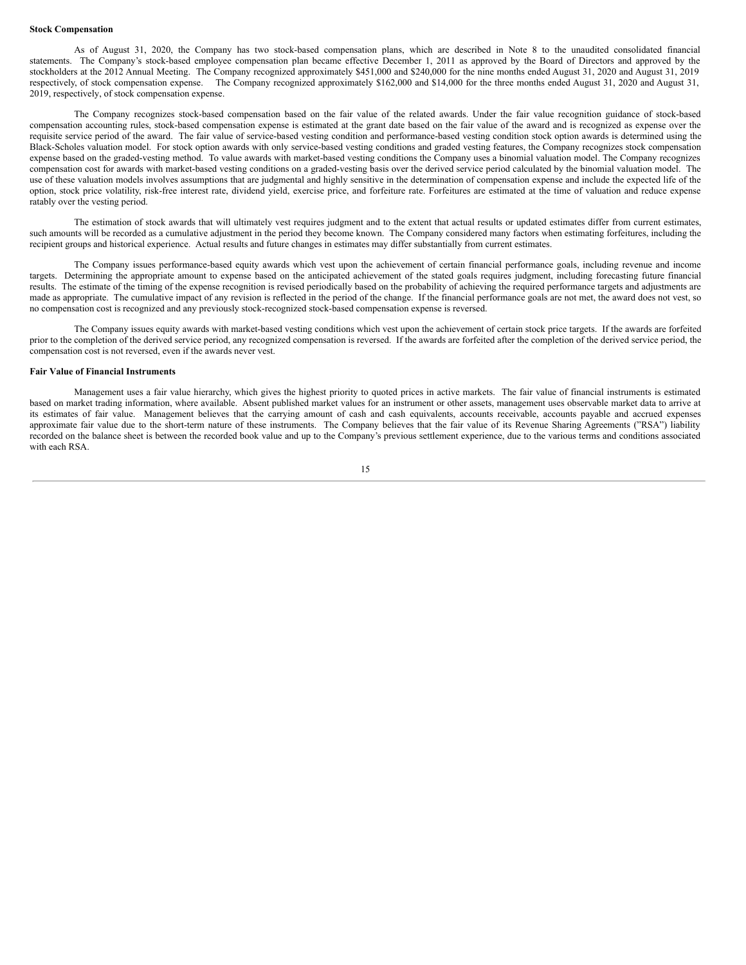#### **Stock Compensation**

As of August 31, 2020, the Company has two stock-based compensation plans, which are described in Note 8 to the unaudited consolidated financial statements. The Company's stock-based employee compensation plan became effective December 1, 2011 as approved by the Board of Directors and approved by the stockholders at the 2012 Annual Meeting. The Company recognized approximately \$451,000 and \$240,000 for the nine months ended August 31, 2020 and August 31, 2019 respectively, of stock compensation expense. The Company recognized approximately \$162,000 and \$14,000 for the three months ended August 31, 2020 and August 31, 2019, respectively, of stock compensation expense.

The Company recognizes stock-based compensation based on the fair value of the related awards. Under the fair value recognition guidance of stock-based compensation accounting rules, stock-based compensation expense is estimated at the grant date based on the fair value of the award and is recognized as expense over the requisite service period of the award. The fair value of service-based vesting condition and performance-based vesting condition stock option awards is determined using the Black-Scholes valuation model. For stock option awards with only service-based vesting conditions and graded vesting features, the Company recognizes stock compensation expense based on the graded-vesting method. To value awards with market-based vesting conditions the Company uses a binomial valuation model. The Company recognizes compensation cost for awards with market-based vesting conditions on a graded-vesting basis over the derived service period calculated by the binomial valuation model. The use of these valuation models involves assumptions that are judgmental and highly sensitive in the determination of compensation expense and include the expected life of the option, stock price volatility, risk-free interest rate, dividend yield, exercise price, and forfeiture rate. Forfeitures are estimated at the time of valuation and reduce expense ratably over the vesting period.

The estimation of stock awards that will ultimately vest requires judgment and to the extent that actual results or updated estimates differ from current estimates, such amounts will be recorded as a cumulative adjustment in the period they become known. The Company considered many factors when estimating forfeitures, including the recipient groups and historical experience. Actual results and future changes in estimates may differ substantially from current estimates.

The Company issues performance-based equity awards which vest upon the achievement of certain financial performance goals, including revenue and income targets. Determining the appropriate amount to expense based on the anticipated achievement of the stated goals requires judgment, including forecasting future financial results. The estimate of the timing of the expense recognition is revised periodically based on the probability of achieving the required performance targets and adjustments are made as appropriate. The cumulative impact of any revision is reflected in the period of the change. If the financial performance goals are not met, the award does not vest, so no compensation cost is recognized and any previously stock-recognized stock-based compensation expense is reversed.

The Company issues equity awards with market-based vesting conditions which vest upon the achievement of certain stock price targets. If the awards are forfeited prior to the completion of the derived service period, any recognized compensation is reversed. If the awards are forfeited after the completion of the derived service period, the compensation cost is not reversed, even if the awards never vest.

### **Fair Value of Financial Instruments**

Management uses a fair value hierarchy, which gives the highest priority to quoted prices in active markets. The fair value of financial instruments is estimated based on market trading information, where available. Absent published market values for an instrument or other assets, management uses observable market data to arrive at its estimates of fair value. Management believes that the carrying amount of cash and cash equivalents, accounts receivable, accounts payable and accrued expenses approximate fair value due to the short-term nature of these instruments. The Company believes that the fair value of its Revenue Sharing Agreements ("RSA") liability recorded on the balance sheet is between the recorded book value and up to the Company's previous settlement experience, due to the various terms and conditions associated with each RSA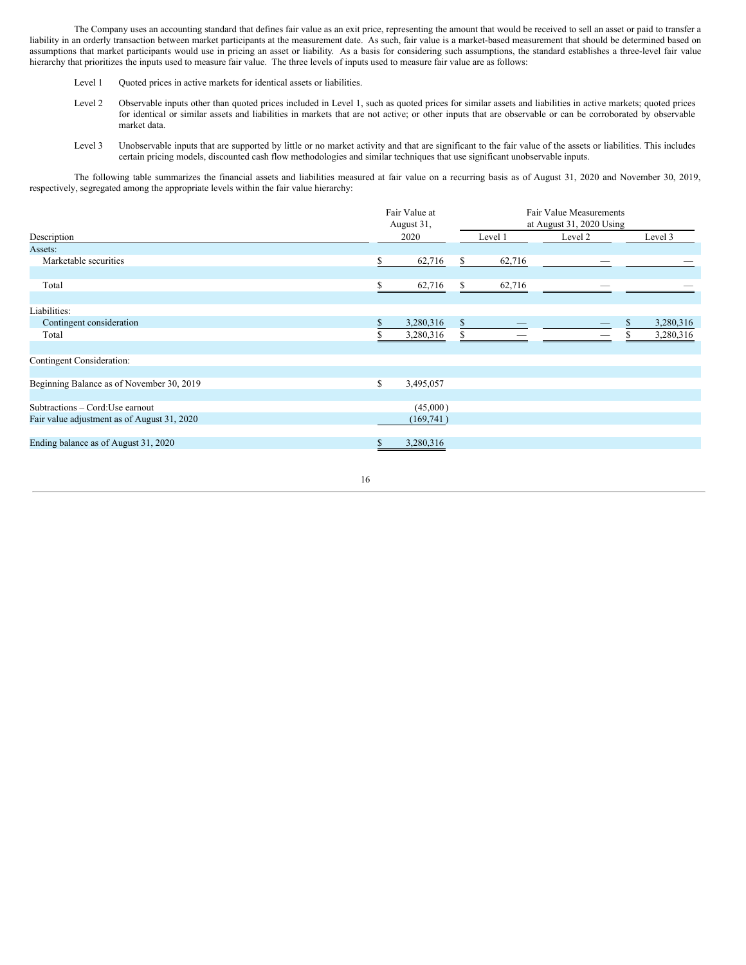The Company uses an accounting standard that defines fair value as an exit price, representing the amount that would be received to sell an asset or paid to transfer a liability in an orderly transaction between market participants at the measurement date. As such, fair value is a market-based measurement that should be determined based on assumptions that market participants would use in pricing an asset or liability. As a basis for considering such assumptions, the standard establishes a three-level fair value hierarchy that prioritizes the inputs used to measure fair value. The three levels of inputs used to measure fair value are as follows:

- Level 1 Quoted prices in active markets for identical assets or liabilities.
- Level 2 Observable inputs other than quoted prices included in Level 1, such as quoted prices for similar assets and liabilities in active markets; quoted prices for identical or similar assets and liabilities in markets that are not active; or other inputs that are observable or can be corroborated by observable market data.
- Level 3 Unobservable inputs that are supported by little or no market activity and that are significant to the fair value of the assets or liabilities. This includes certain pricing models, discounted cash flow methodologies and similar techniques that use significant unobservable inputs.

The following table summarizes the financial assets and liabilities measured at fair value on a recurring basis as of August 31, 2020 and November 30, 2019, respectively, segregated among the appropriate levels within the fair value hierarchy:

|                                             |      | Fair Value at<br>August 31, | Fair Value Measurements<br>at August 31, 2020 Using |        |         |  |           |  |  |
|---------------------------------------------|------|-----------------------------|-----------------------------------------------------|--------|---------|--|-----------|--|--|
| Description                                 | 2020 |                             | Level 1                                             |        | Level 2 |  | Level 3   |  |  |
| Assets:                                     |      |                             |                                                     |        |         |  |           |  |  |
| Marketable securities                       | S.   | 62,716                      | S                                                   | 62,716 |         |  |           |  |  |
| Total                                       |      | 62,716                      | S                                                   | 62,716 |         |  |           |  |  |
| Liabilities:                                |      |                             |                                                     |        |         |  |           |  |  |
| Contingent consideration                    |      | 3,280,316                   | $\mathbb{S}$                                        |        |         |  | 3,280,316 |  |  |
| Total                                       |      | 3,280,316                   |                                                     |        |         |  | 3,280,316 |  |  |
| Contingent Consideration:                   |      |                             |                                                     |        |         |  |           |  |  |
| Beginning Balance as of November 30, 2019   | \$   | 3,495,057                   |                                                     |        |         |  |           |  |  |
| Subtractions – Cord: Use earnout            |      | (45,000)                    |                                                     |        |         |  |           |  |  |
| Fair value adjustment as of August 31, 2020 |      | (169, 741)                  |                                                     |        |         |  |           |  |  |
| Ending balance as of August 31, 2020        |      | 3,280,316                   |                                                     |        |         |  |           |  |  |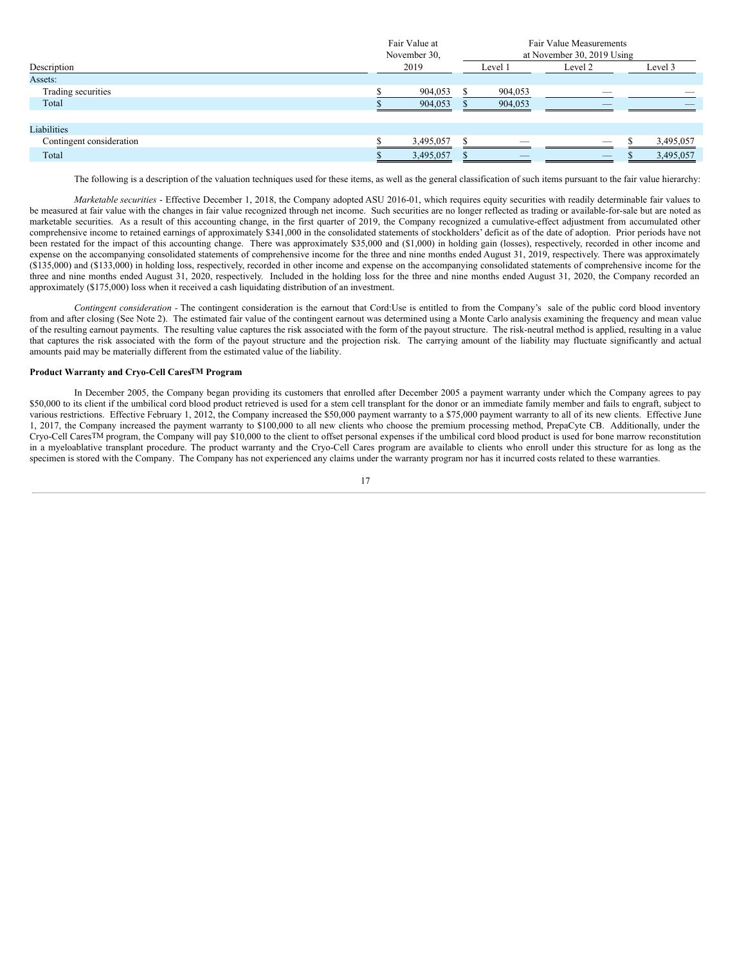|                          | Fair Value at<br>November 30, | Fair Value Measurements<br>at November 30, 2019 Using |         |         |  |           |  |  |  |
|--------------------------|-------------------------------|-------------------------------------------------------|---------|---------|--|-----------|--|--|--|
| Description              | 2019                          |                                                       | Level 1 | Level 2 |  | Level 3   |  |  |  |
| Assets:                  |                               |                                                       |         |         |  |           |  |  |  |
| Trading securities       | 904,053                       |                                                       | 904,053 |         |  |           |  |  |  |
| Total                    | 904,053                       |                                                       | 904,053 | __      |  |           |  |  |  |
|                          |                               |                                                       |         |         |  |           |  |  |  |
| Liabilities              |                               |                                                       |         |         |  |           |  |  |  |
| Contingent consideration | 3,495,057                     |                                                       |         | __      |  | 3,495,057 |  |  |  |
| Total                    | 3,495,057                     |                                                       |         |         |  | 3,495,057 |  |  |  |

The following is a description of the valuation techniques used for these items, as well as the general classification of such items pursuant to the fair value hierarchy:

*Marketable securities* - Effective December 1, 2018, the Company adopted ASU 2016-01, which requires equity securities with readily determinable fair values to be measured at fair value with the changes in fair value recognized through net income. Such securities are no longer reflected as trading or available-for-sale but are noted as marketable securities. As a result of this accounting change, in the first quarter of 2019, the Company recognized a cumulative-effect adjustment from accumulated other comprehensive income to retained earnings of approximately \$341,000 in the consolidated statements of stockholders' deficit as of the date of adoption. Prior periods have not been restated for the impact of this accounting change. There was approximately \$35,000 and (\$1,000) in holding gain (losses), respectively, recorded in other income and expense on the accompanying consolidated statements of comprehensive income for the three and nine months ended August 31, 2019, respectively. There was approximately (\$135,000) and (\$133,000) in holding loss, respectively, recorded in other income and expense on the accompanying consolidated statements of comprehensive income for the three and nine months ended August 31, 2020, respectively. Included in the holding loss for the three and nine months ended August 31, 2020, the Company recorded an approximately (\$175,000) loss when it received a cash liquidating distribution of an investment.

*Contingent consideration -* The contingent consideration is the earnout that Cord:Use is entitled to from the Company's sale of the public cord blood inventory from and after closing (See Note 2). The estimated fair value of the contingent earnout was determined using a Monte Carlo analysis examining the frequency and mean value of the resulting earnout payments. The resulting value captures the risk associated with the form of the payout structure. The risk-neutral method is applied, resulting in a value that captures the risk associated with the form of the payout structure and the projection risk. The carrying amount of the liability may fluctuate significantly and actual amounts paid may be materially different from the estimated value of the liability.

#### **Product Warranty and Cryo-Cell CaresTM Program**

In December 2005, the Company began providing its customers that enrolled after December 2005 a payment warranty under which the Company agrees to pay \$50,000 to its client if the umbilical cord blood product retrieved is used for a stem cell transplant for the donor or an immediate family member and fails to engraft, subject to various restrictions. Effective February 1, 2012, the Company increased the \$50,000 payment warranty to a \$75,000 payment warranty to all of its new clients. Effective June 1, 2017, the Company increased the payment warranty to \$100,000 to all new clients who choose the premium processing method, PrepaCyte CB. Additionally, under the Cryo-Cell CaresTM program, the Company will pay \$10,000 to the client to offset personal expenses if the umbilical cord blood product is used for bone marrow reconstitution in a myeloablative transplant procedure. The product warranty and the Cryo-Cell Cares program are available to clients who enroll under this structure for as long as the specimen is stored with the Company. The Company has not experienced any claims under the warranty program nor has it incurred costs related to these warranties.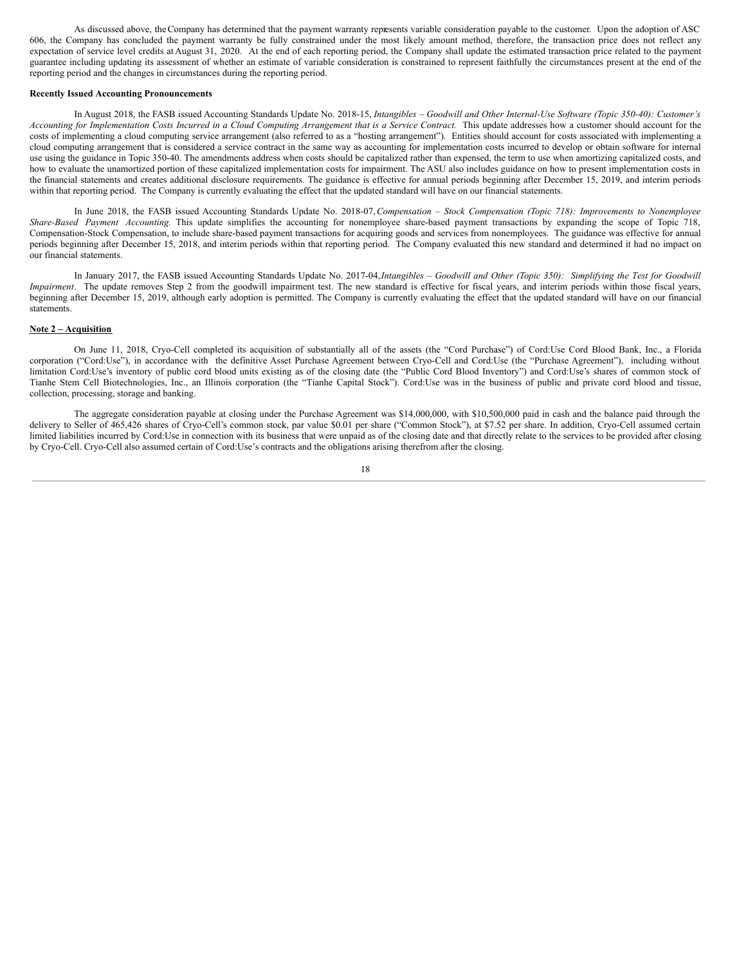As discussed above, theCompany has determined that the payment warranty represents variable consideration payable to the customer. Upon the adoption of ASC 606, the Company has concluded the payment warranty be fully constrained under the most likely amount method, therefore, the transaction price does not reflect any expectation of service level credits at August 31, 2020. At the end of each reporting period, the Company shall update the estimated transaction price related to the payment guarantee including updating its assessment of whether an estimate of variable consideration is constrained to represent faithfully the circumstances present at the end of the reporting period and the changes in circumstances during the reporting period.

### **Recently Issued Accounting Pronouncements**

In August 2018, the FASB issued Accounting Standards Update No. 2018-15, *Intangibles – Goodwill and Other Internal-Use Software (Topic 350-40): Customer's* Accounting for Implementation Costs Incurred in a Cloud Computing Arrangement that is a Service Contract. This update addresses how a customer should account for the costs of implementing a cloud computing service arrangement (also referred to as a "hosting arrangement"). Entities should account for costs associated with implementing a cloud computing arrangement that is considered a service contract in the same way as accounting for implementation costs incurred to develop or obtain software for internal use using the guidance in Topic 350-40. The amendments address when costs should be capitalized rather than expensed, the term to use when amortizing capitalized costs, and how to evaluate the unamortized portion of these capitalized implementation costs for impairment. The ASU also includes guidance on how to present implementation costs in the financial statements and creates additional disclosure requirements. The guidance is effective for annual periods beginning after December 15, 2019, and interim periods within that reporting period. The Company is currently evaluating the effect that the updated standard will have on our financial statements.

In June 2018, the FASB issued Accounting Standards Update No. 2018-07,*Compensation – Stock Compensation (Topic 718): Improvements to Nonemployee Share-Based Payment Accounting.* This update simplifies the accounting for nonemployee share-based payment transactions by expanding the scope of Topic 718, Compensation-Stock Compensation, to include share-based payment transactions for acquiring goods and services from nonemployees. The guidance was effective for annual periods beginning after December 15, 2018, and interim periods within that reporting period. The Company evaluated this new standard and determined it had no impact on our financial statements.

In January 2017, the FASB issued Accounting Standards Update No. 2017-04, Intangibles - Goodwill and Other (Topic 350): Simplifying the Test for Goodwill *Impairment*. The update removes Step 2 from the goodwill impairment test. The new standard is effective for fiscal years, and interim periods within those fiscal years, beginning after December 15, 2019, although early adoption is permitted. The Company is currently evaluating the effect that the updated standard will have on our financial statements.

#### **Note 2 – Acquisition**

On June 11, 2018, Cryo-Cell completed its acquisition of substantially all of the assets (the "Cord Purchase") of Cord:Use Cord Blood Bank, Inc., a Florida corporation ("Cord:Use"), in accordance with the definitive Asset Purchase Agreement between Cryo-Cell and Cord:Use (the "Purchase Agreement"), including without limitation Cord:Use's inventory of public cord blood units existing as of the closing date (the "Public Cord Blood Inventory") and Cord:Use's shares of common stock of Tianhe Stem Cell Biotechnologies, Inc., an Illinois corporation (the "Tianhe Capital Stock"). Cord:Use was in the business of public and private cord blood and tissue, collection, processing, storage and banking.

The aggregate consideration payable at closing under the Purchase Agreement was \$14,000,000, with \$10,500,000 paid in cash and the balance paid through the delivery to Seller of 465,426 shares of Cryo-Cell's common stock, par value \$0.01 per share ("Common Stock"), at \$7.52 per share. In addition, Cryo-Cell assumed certain limited liabilities incurred by Cord:Use in connection with its business that were unpaid as of the closing date and that directly relate to the services to be provided after closing by Cryo-Cell. Cryo-Cell also assumed certain of Cord:Use's contracts and the obligations arising therefrom after the closing.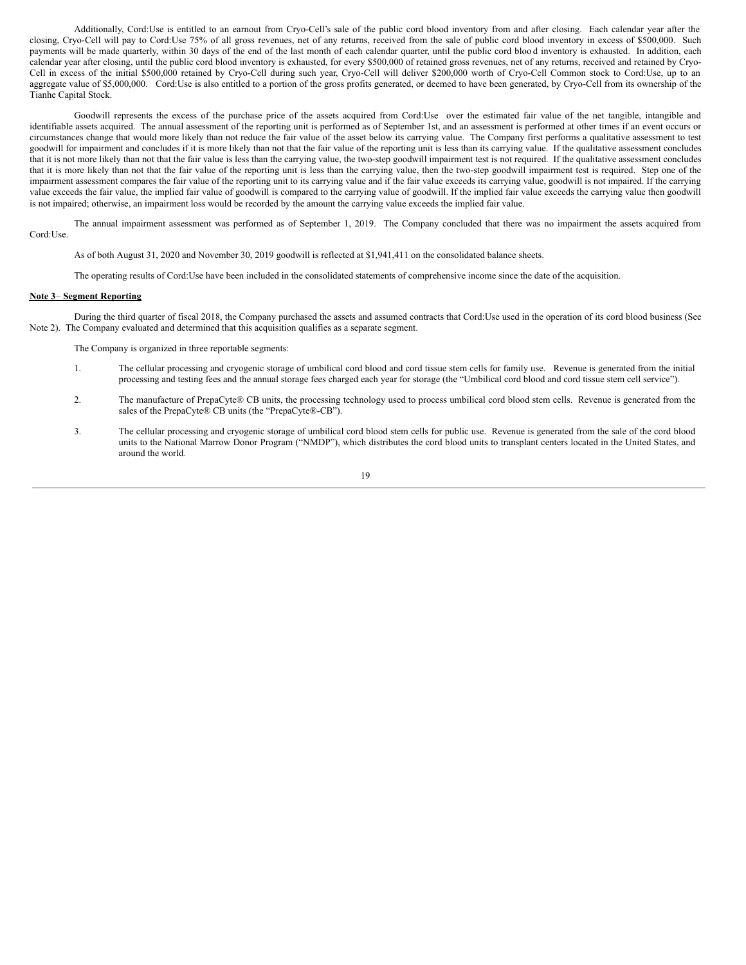Additionally, Cord:Use is entitled to an earnout from Cryo-Cell's sale of the public cord blood inventory from and after closing. Each calendar year after the closing, Cryo-Cell will pay to Cord:Use 75% of all gross revenues, net of any returns, received from the sale of public cord blood inventory in excess of \$500,000. Such payments will be made quarterly, within 30 days of the end of the last month of each calendar quarter, until the public cord blood inventory is exhausted. In addition, each calendar year after closing, until the public cord blood inventory is exhausted, for every \$500,000 of retained gross revenues, net of any returns, received and retained by Cryo-Cell in excess of the initial \$500,000 retained by Cryo-Cell during such year, Cryo-Cell will deliver \$200,000 worth of Cryo-Cell Common stock to Cord:Use, up to an aggregate value of \$5,000,000. Cord:Use is also entitled to a portion of the gross profits generated, or deemed to have been generated, by Cryo-Cell from its ownership of the Tianhe Capital Stock.

Goodwill represents the excess of the purchase price of the assets acquired from Cord:Use over the estimated fair value of the net tangible, intangible and identifiable assets acquired. The annual assessment of the reporting unit is performed as of September 1st, and an assessment is performed at other times if an event occurs or circumstances change that would more likely than not reduce the fair value of the asset below its carrying value. The Company first performs a qualitative assessment to test goodwill for impairment and concludes if it is more likely than not that the fair value of the reporting unit is less than its carrying value. If the qualitative assessment concludes that it is not more likely than not that the fair value is less than the carrying value, the two-step goodwill impairment test is not required. If the qualitative assessment concludes that it is more likely than not that the fair value of the reporting unit is less than the carrying value, then the two-step goodwill impairment test is required. Step one of the impairment assessment compares the fair value of the reporting unit to its carrying value and if the fair value exceeds its carrying value, goodwill is not impaired. If the carrying value exceeds the fair value, the implied fair value of goodwill is compared to the carrying value of goodwill. If the implied fair value exceeds the carrying value then goodwill is not impaired; otherwise, an impairment loss would be recorded by the amount the carrying value exceeds the implied fair value.

The annual impairment assessment was performed as of September 1, 2019. The Company concluded that there was no impairment the assets acquired from Cord:Use.

As of both August 31, 2020 and November 30, 2019 goodwill is reflected at \$1,941,411 on the consolidated balance sheets.

The operating results of Cord:Use have been included in the consolidated statements of comprehensive income since the date of the acquisition.

#### **Note 3**– **Segment Reporting**

During the third quarter of fiscal 2018, the Company purchased the assets and assumed contracts that Cord:Use used in the operation of its cord blood business (See Note 2). The Company evaluated and determined that this acquisition qualifies as a separate segment.

The Company is organized in three reportable segments:

- 1. The cellular processing and cryogenic storage of umbilical cord blood and cord tissue stem cells for family use. Revenue is generated from the initial processing and testing fees and the annual storage fees charged each year for storage (the "Umbilical cord blood and cord tissue stem cell service").
- 2. The manufacture of PrepaCyte® CB units, the processing technology used to process umbilical cord blood stem cells. Revenue is generated from the sales of the PrepaCyte® CB units (the "PrepaCyte®-CB").
- 3. The cellular processing and cryogenic storage of umbilical cord blood stem cells for public use. Revenue is generated from the sale of the cord blood units to the National Marrow Donor Program ("NMDP"), which distributes the cord blood units to transplant centers located in the United States, and around the world.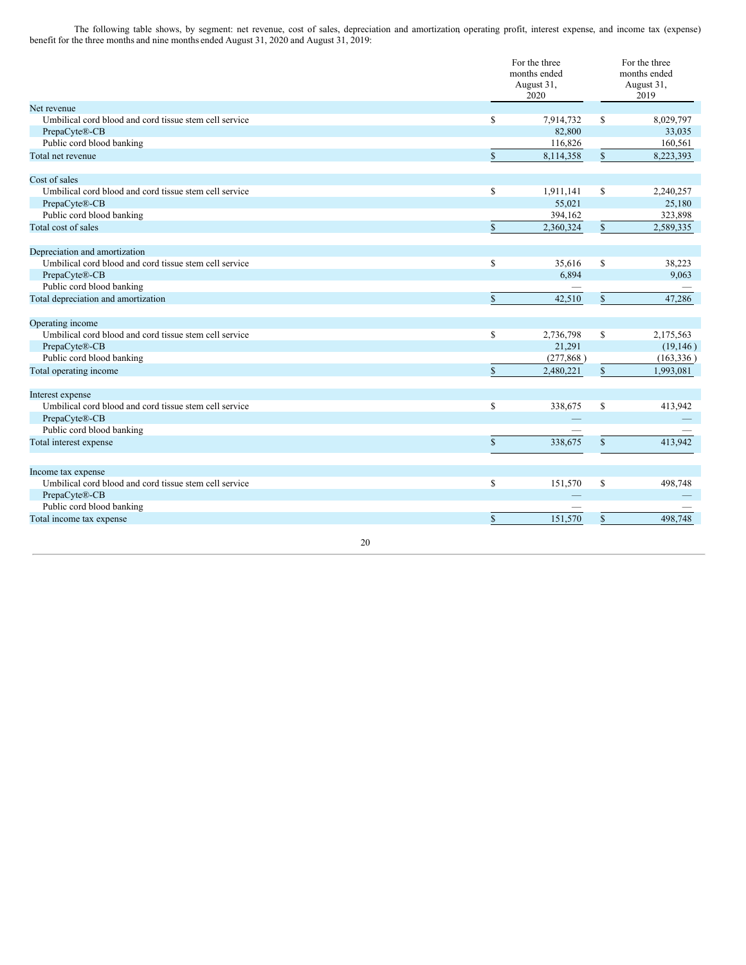The following table shows, by segment: net revenue, cost of sales, depreciation and amortization, operating profit, interest expense, and income tax (expense) benefit for the three months and nine months ended August 31, 2020 and August 31, 2019:

|                                                        |               | For the three<br>months ended<br>August 31,<br>2020 | For the three<br>months ended<br>August 31,<br>2019 |            |  |
|--------------------------------------------------------|---------------|-----------------------------------------------------|-----------------------------------------------------|------------|--|
| Net revenue                                            |               |                                                     |                                                     |            |  |
| Umbilical cord blood and cord tissue stem cell service | \$            | 7,914,732                                           | \$                                                  | 8,029,797  |  |
| PrepaCyte®-CB                                          |               | 82,800                                              |                                                     | 33,035     |  |
| Public cord blood banking                              |               | 116,826                                             |                                                     | 160,561    |  |
| Total net revenue                                      | $\mathbb{S}$  | 8,114,358                                           | \$                                                  | 8,223,393  |  |
| Cost of sales                                          |               |                                                     |                                                     |            |  |
| Umbilical cord blood and cord tissue stem cell service | \$            | 1,911,141                                           | \$                                                  | 2,240,257  |  |
| PrepaCyte®-CB                                          |               | 55,021                                              |                                                     | 25,180     |  |
| Public cord blood banking                              |               | 394,162                                             |                                                     | 323,898    |  |
| Total cost of sales                                    | $\mathbf S$   | 2,360,324                                           | $\mathbb{S}$                                        | 2,589,335  |  |
| Depreciation and amortization                          |               |                                                     |                                                     |            |  |
| Umbilical cord blood and cord tissue stem cell service | $\mathbf S$   | 35,616                                              | \$                                                  | 38,223     |  |
| PrepaCyte®-CB                                          |               | 6,894                                               |                                                     | 9,063      |  |
| Public cord blood banking                              |               |                                                     |                                                     |            |  |
| Total depreciation and amortization                    | $\mathcal{S}$ | 42,510                                              | \$                                                  | 47,286     |  |
| Operating income                                       |               |                                                     |                                                     |            |  |
| Umbilical cord blood and cord tissue stem cell service | \$            | 2,736,798                                           | \$                                                  | 2,175,563  |  |
| PrepaCyte®-CB                                          |               | 21,291                                              |                                                     | (19, 146)  |  |
| Public cord blood banking                              |               | (277, 868)                                          |                                                     | (163, 336) |  |
| Total operating income                                 | $\mathbb{S}$  | 2,480,221                                           | $\mathbb{S}$                                        | 1,993,081  |  |
| Interest expense                                       |               |                                                     |                                                     |            |  |
| Umbilical cord blood and cord tissue stem cell service | \$            | 338,675                                             | \$                                                  | 413,942    |  |
| PrepaCyte®-CB                                          |               |                                                     |                                                     |            |  |
| Public cord blood banking                              |               |                                                     |                                                     |            |  |
| Total interest expense                                 | $\mathbf S$   | 338,675                                             | $\mathbb{S}$                                        | 413,942    |  |
|                                                        |               |                                                     |                                                     |            |  |
| Income tax expense                                     |               |                                                     |                                                     |            |  |
| Umbilical cord blood and cord tissue stem cell service | $\mathbb{S}$  | 151,570                                             | \$                                                  | 498,748    |  |
| PrepaCyte®-CB                                          |               |                                                     |                                                     |            |  |
| Public cord blood banking                              |               | $\overbrace{\qquad \qquad }^{}$                     |                                                     |            |  |
| Total income tax expense                               | $\mathsf{\$}$ | 151,570                                             | \$                                                  | 498,748    |  |
| 20                                                     |               |                                                     |                                                     |            |  |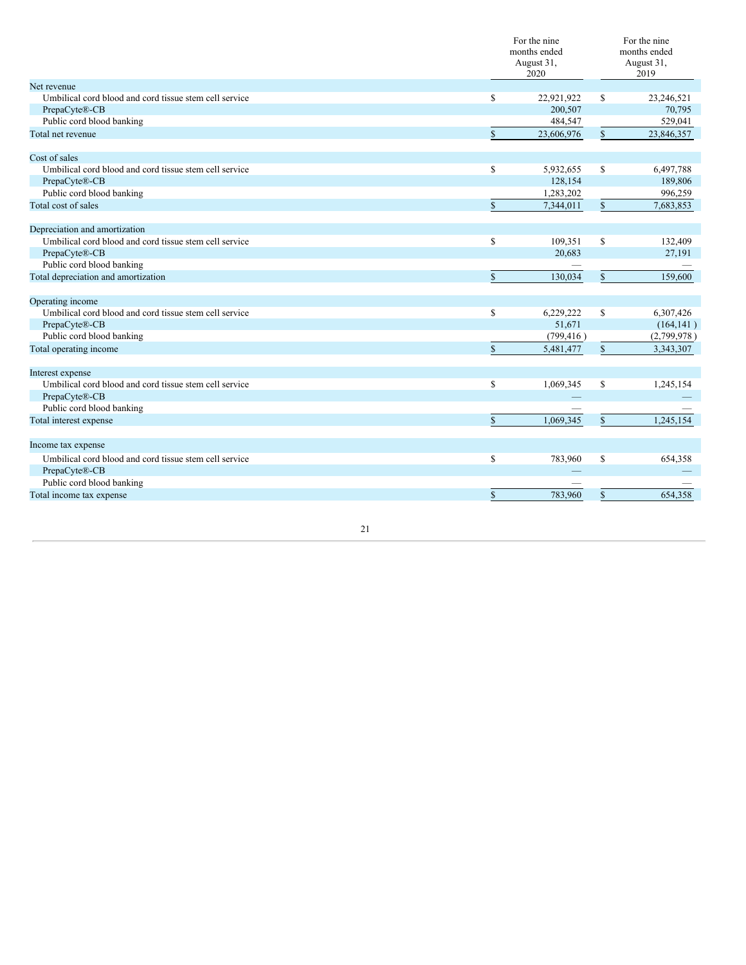|                                                        |             | For the nine<br>months ended<br>August 31,<br>2020 | For the nine<br>months ended<br>August 31,<br>2019 |             |  |
|--------------------------------------------------------|-------------|----------------------------------------------------|----------------------------------------------------|-------------|--|
| Net revenue                                            |             |                                                    |                                                    |             |  |
| Umbilical cord blood and cord tissue stem cell service | \$          | 22,921,922                                         | \$                                                 | 23,246,521  |  |
| PrepaCyte®-CB                                          |             | 200,507                                            |                                                    | 70,795      |  |
| Public cord blood banking                              |             | 484,547                                            |                                                    | 529,041     |  |
| Total net revenue                                      | $\mathbf S$ | 23,606,976                                         | $\mathbb{S}$                                       | 23,846,357  |  |
| Cost of sales                                          |             |                                                    |                                                    |             |  |
| Umbilical cord blood and cord tissue stem cell service | $\mathbf S$ | 5,932,655                                          | \$                                                 | 6,497,788   |  |
| PrepaCyte®-CB                                          |             | 128,154                                            |                                                    | 189,806     |  |
| Public cord blood banking                              |             | 1,283,202                                          |                                                    | 996,259     |  |
| Total cost of sales                                    | $\mathbf S$ | 7,344,011                                          | $\mathbb{S}$                                       | 7,683,853   |  |
| Depreciation and amortization                          |             |                                                    |                                                    |             |  |
| Umbilical cord blood and cord tissue stem cell service | \$          | 109,351                                            | $\mathbb{S}$                                       | 132,409     |  |
| PrepaCyte®-CB                                          |             | 20.683                                             |                                                    | 27,191      |  |
| Public cord blood banking                              |             |                                                    |                                                    |             |  |
| Total depreciation and amortization                    | $\mathbf S$ | 130,034                                            | $\mathbb S$                                        | 159,600     |  |
| Operating income                                       |             |                                                    |                                                    |             |  |
| Umbilical cord blood and cord tissue stem cell service | \$          | 6,229,222                                          | \$                                                 | 6,307,426   |  |
| PrepaCyte®-CB                                          |             | 51,671                                             |                                                    | (164, 141)  |  |
| Public cord blood banking                              |             | (799, 416)                                         |                                                    | (2,799,978) |  |
| Total operating income                                 | $\mathbf S$ | 5,481,477                                          | $\mathbb{S}$                                       | 3,343,307   |  |
| Interest expense                                       |             |                                                    |                                                    |             |  |
| Umbilical cord blood and cord tissue stem cell service | \$          | 1,069,345                                          | \$                                                 | 1,245,154   |  |
| PrepaCyte®-CB                                          |             |                                                    |                                                    |             |  |
| Public cord blood banking                              |             |                                                    |                                                    |             |  |
| Total interest expense                                 | $\$$        | 1,069,345                                          | $\mathbb S$                                        | 1,245,154   |  |
| Income tax expense                                     |             |                                                    |                                                    |             |  |
| Umbilical cord blood and cord tissue stem cell service | \$          | 783,960                                            | \$                                                 | 654,358     |  |
| PrepaCyte®-CB                                          |             |                                                    |                                                    |             |  |
| Public cord blood banking                              |             |                                                    |                                                    |             |  |
| Total income tax expense                               | \$          | 783,960                                            | \$                                                 | 654,358     |  |
|                                                        |             |                                                    |                                                    |             |  |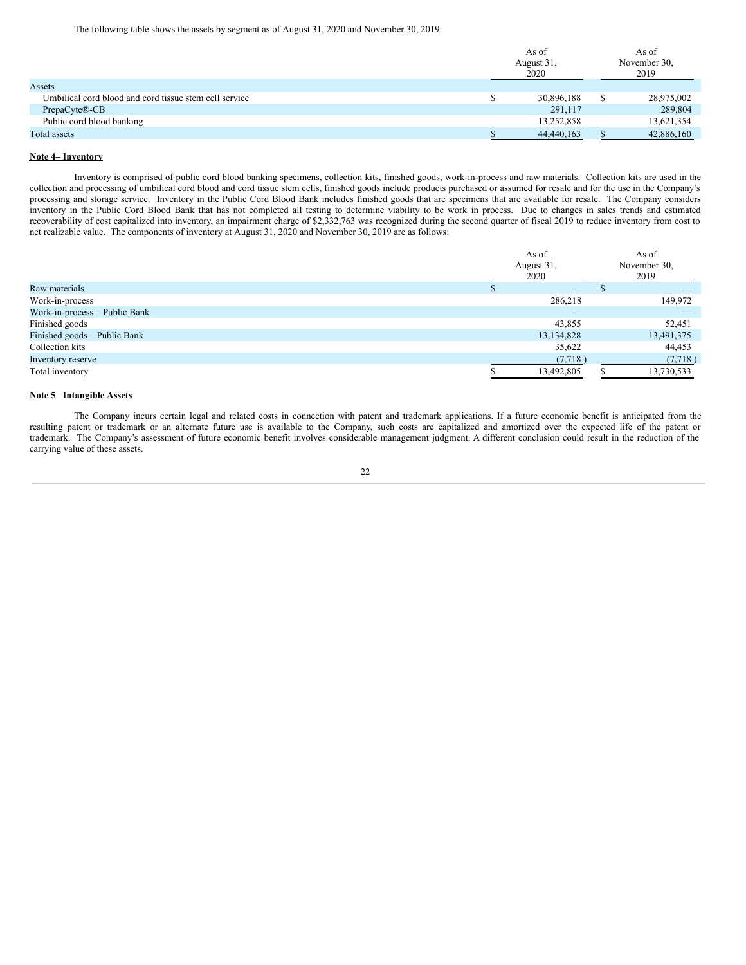The following table shows the assets by segment as of August 31, 2020 and November 30, 2019:

|                                                        | As of<br>August 31,<br>2020 | As of<br>November 30,<br>2019 |
|--------------------------------------------------------|-----------------------------|-------------------------------|
| Assets                                                 |                             |                               |
| Umbilical cord blood and cord tissue stem cell service | 30,896,188                  | 28,975,002                    |
| PrepaCyte®-CB                                          | 291,117                     | 289,804                       |
| Public cord blood banking                              | 13,252,858                  | 13,621,354                    |
| Total assets                                           | 44,440,163                  | 42,886,160                    |

### **Note 4– Inventory**

Inventory is comprised of public cord blood banking specimens, collection kits, finished goods, work-in-process and raw materials. Collection kits are used in the collection and processing of umbilical cord blood and cord tissue stem cells, finished goods include products purchased or assumed for resale and for the use in the Company's processing and storage service. Inventory in the Public Cord Blood Bank includes finished goods that are specimens that are available for resale. The Company considers inventory in the Public Cord Blood Bank that has not completed all testing to determine viability to be work in process. Due to changes in sales trends and estimated recoverability of cost capitalized into inventory, an impairment charge of \$2,332,763 was recognized during the second quarter of fiscal 2019 to reduce inventory from cost to net realizable value. The components of inventory at August 31, 2020 and November 30, 2019 are as follows:

|                               |      | As of                    |  | As of        |
|-------------------------------|------|--------------------------|--|--------------|
|                               |      | August 31,               |  | November 30, |
|                               | 2020 |                          |  | 2019         |
| Raw materials                 |      | $\overline{\phantom{a}}$ |  |              |
| Work-in-process               |      | 286,218                  |  | 149,972      |
| Work-in-process - Public Bank |      | _                        |  |              |
| Finished goods                |      | 43,855                   |  | 52,451       |
| Finished goods – Public Bank  |      | 13, 134, 828             |  | 13,491,375   |
| Collection kits               |      | 35,622                   |  | 44,453       |
| Inventory reserve             |      | (7,718)                  |  | (7,718)      |
| Total inventory               |      | 13,492,805               |  | 13,730,533   |

### **Note 5– Intangible Assets**

The Company incurs certain legal and related costs in connection with patent and trademark applications. If a future economic benefit is anticipated from the resulting patent or trademark or an alternate future use is available to the Company, such costs are capitalized and amortized over the expected life of the patent or trademark. The Company's assessment of future economic benefit involves considerable management judgment. A different conclusion could result in the reduction of the carrying value of these assets.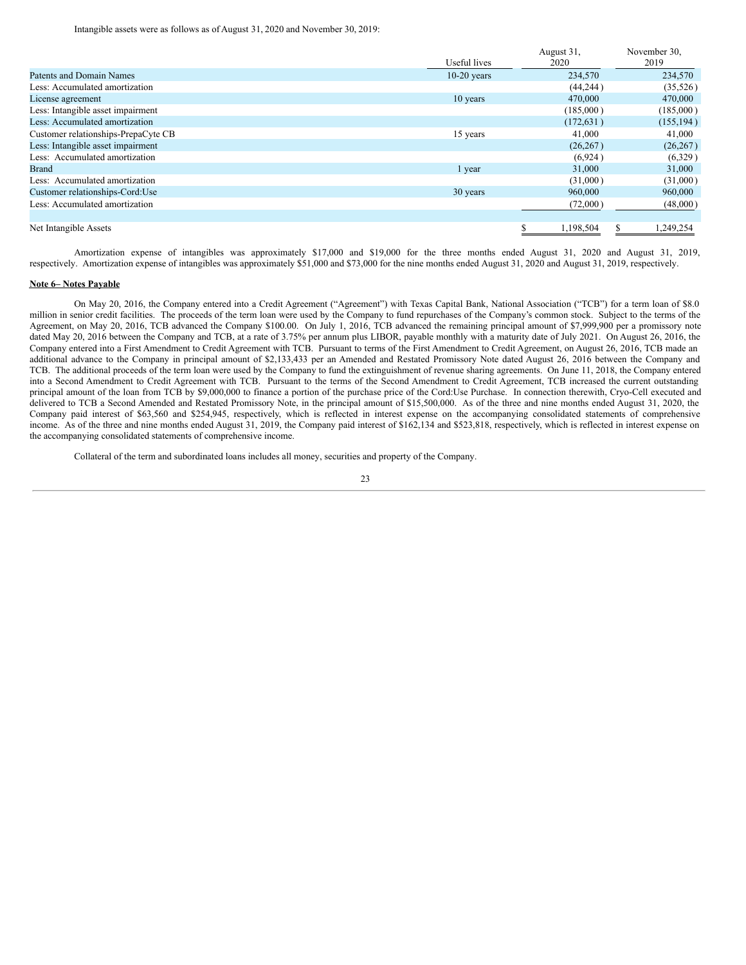Intangible assets were as follows as of August 31, 2020 and November 30, 2019:

|                                     |               | August 31, | November 30, |
|-------------------------------------|---------------|------------|--------------|
|                                     | Useful lives  | 2020       | 2019         |
| Patents and Domain Names            | $10-20$ years | 234,570    | 234,570      |
| Less: Accumulated amortization      |               | (44, 244)  | (35,526)     |
| License agreement                   | 10 years      | 470,000    | 470,000      |
| Less: Intangible asset impairment   |               | (185,000)  | (185,000)    |
| Less: Accumulated amortization      |               | (172, 631) | (155, 194)   |
| Customer relationships-PrepaCyte CB | 15 years      | 41,000     | 41,000       |
| Less: Intangible asset impairment   |               | (26, 267)  | (26, 267)    |
| Less: Accumulated amortization      |               | (6,924)    | (6,329)      |
| <b>Brand</b>                        | 1 year        | 31,000     | 31,000       |
| Less: Accumulated amortization      |               | (31,000)   | (31,000)     |
| Customer relationships-Cord: Use    | 30 years      | 960,000    | 960,000      |
| Less: Accumulated amortization      |               | (72,000)   | (48,000)     |
|                                     |               |            |              |
| Net Intangible Assets               |               | 1,198,504  | 1,249,254    |

Amortization expense of intangibles was approximately \$17,000 and \$19,000 for the three months ended August 31, 2020 and August 31, 2019, respectively. Amortization expense of intangibles was approximately \$51,000 and \$73,000 for the nine months ended August 31, 2020 and August 31, 2019, respectively.

#### **Note 6– Notes Payable**

On May 20, 2016, the Company entered into a Credit Agreement ("Agreement") with Texas Capital Bank, National Association ("TCB") for a term loan of \$8.0 million in senior credit facilities. The proceeds of the term loan were used by the Company to fund repurchases of the Company's common stock. Subject to the terms of the Agreement, on May 20, 2016, TCB advanced the Company \$100.00. On July 1, 2016, TCB advanced the remaining principal amount of \$7,999,900 per a promissory note dated May 20, 2016 between the Company and TCB, at a rate of 3.75% per annum plus LIBOR, payable monthly with a maturity date of July 2021. On August 26, 2016, the Company entered into a First Amendment to Credit Agreement with TCB. Pursuant to terms of the First Amendment to Credit Agreement, on August 26, 2016, TCB made an additional advance to the Company in principal amount of \$2,133,433 per an Amended and Restated Promissory Note dated August 26, 2016 between the Company and TCB. The additional proceeds of the term loan were used by the Company to fund the extinguishment of revenue sharing agreements. On June 11, 2018, the Company entered into a Second Amendment to Credit Agreement with TCB. Pursuant to the terms of the Second Amendment to Credit Agreement, TCB increased the current outstanding principal amount of the loan from TCB by \$9,000,000 to finance a portion of the purchase price of the Cord:Use Purchase. In connection therewith, Cryo-Cell executed and delivered to TCB a Second Amended and Restated Promissory Note, in the principal amount of \$15,500,000. As of the three and nine months ended August 31, 2020, the Company paid interest of \$63,560 and \$254,945, respectively, which is reflected in interest expense on the accompanying consolidated statements of comprehensive income. As of the three and nine months ended August 31, 2019, the Company paid interest of \$162,134 and \$523,818, respectively, which is reflected in interest expense on the accompanying consolidated statements of comprehensive income.

Collateral of the term and subordinated loans includes all money, securities and property of the Company.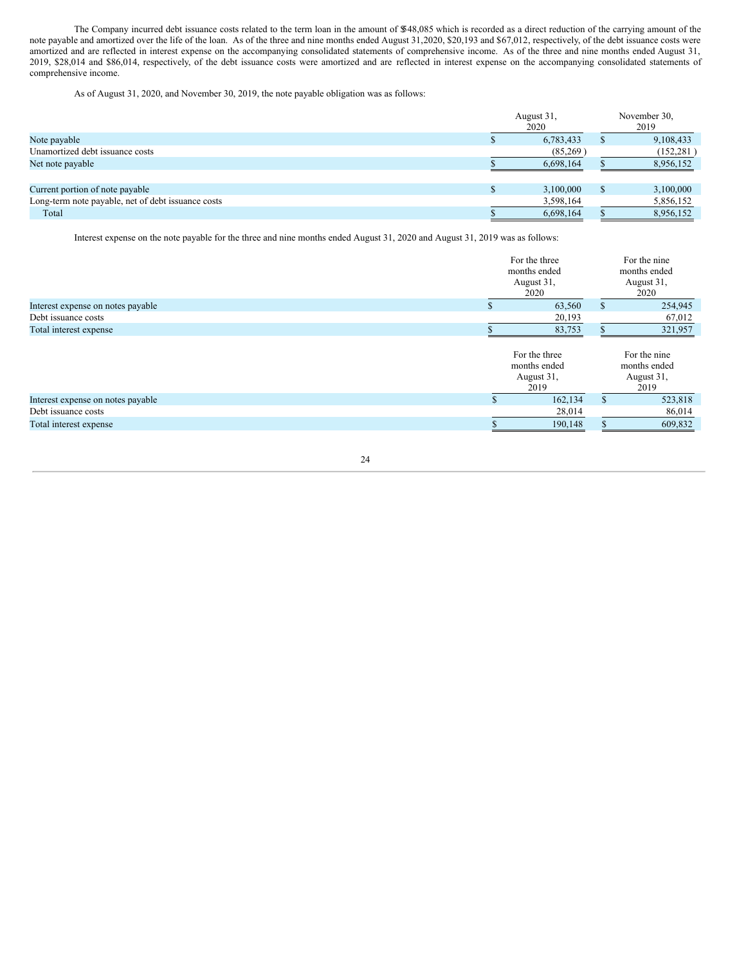The Company incurred debt issuance costs related to the term loan in the amount of \$548,085 which is recorded as a direct reduction of the carrying amount of the note payable and amortized over the life of the loan. As of the three and nine months ended August 31,2020, \$20,193 and \$67,012, respectively, of the debt issuance costs were amortized and are reflected in interest expense on the accompanying consolidated statements of comprehensive income. As of the three and nine months ended August 31, 2019, \$28,014 and \$86,014, respectively, of the debt issuance costs were amortized and are reflected in interest expense on the accompanying consolidated statements of comprehensive income.

As of August 31, 2020, and November 30, 2019, the note payable obligation was as follows:

|                                                    |  | August 31,<br>2020 | November 30,<br>2019 |  |
|----------------------------------------------------|--|--------------------|----------------------|--|
| Note payable                                       |  | 6,783,433          | 9,108,433            |  |
| Unamortized debt issuance costs                    |  | (85,269)           | (152, 281)           |  |
| Net note payable                                   |  | 6,698,164          | 8,956,152            |  |
| Current portion of note payable                    |  | 3,100,000          | 3,100,000            |  |
| Long-term note payable, net of debt issuance costs |  | 3,598,164          | 5,856,152            |  |
| Total                                              |  | 6.698.164          | 8,956,152            |  |

Interest expense on the note payable for the three and nine months ended August 31, 2020 and August 31, 2019 was as follows:

| For the three<br>months ended<br>August 31,<br>2020 |     | For the nine<br>months ended<br>August 31,<br>2020 |
|-----------------------------------------------------|-----|----------------------------------------------------|
| 63,560                                              | \$. | 254,945                                            |
| 20,193                                              |     | 67,012                                             |
| 83,753                                              |     | 321,957                                            |
| For the three<br>months ended<br>August 31,<br>2019 |     | For the nine<br>months ended<br>August 31,<br>2019 |
| 162,134                                             | \$  | 523,818                                            |
| 28,014                                              |     | 86,014                                             |
| 190,148                                             |     | 609,832                                            |
|                                                     |     |                                                    |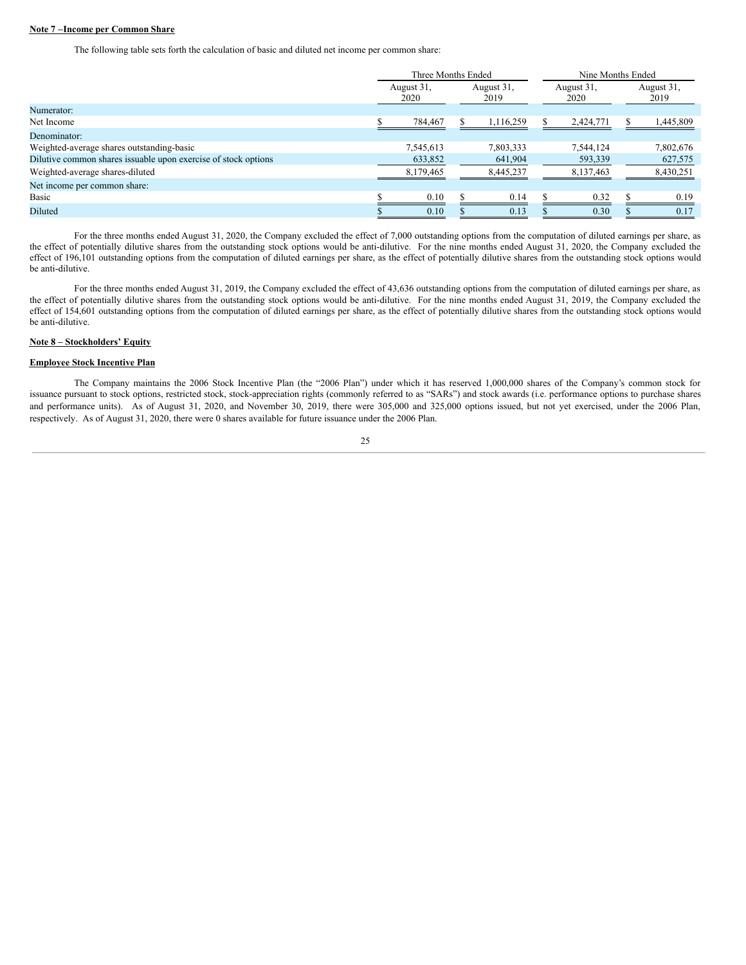#### **Note 7 –Income per Common Share**

The following table sets forth the calculation of basic and diluted net income per common share:

|                                                                | Three Months Ended |                    |  | Nine Months Ended  |  |                    |  |                    |
|----------------------------------------------------------------|--------------------|--------------------|--|--------------------|--|--------------------|--|--------------------|
|                                                                |                    | August 31,<br>2020 |  | August 31,<br>2019 |  | August 31,<br>2020 |  | August 31,<br>2019 |
| Numerator:                                                     |                    |                    |  |                    |  |                    |  |                    |
| Net Income                                                     |                    | 784,467            |  | 1,116,259          |  | 2,424,771          |  | 1,445,809          |
| Denominator:                                                   |                    |                    |  |                    |  |                    |  |                    |
| Weighted-average shares outstanding-basic                      |                    | 7,545,613          |  | 7,803,333          |  | 7,544,124          |  | 7,802,676          |
| Dilutive common shares issuable upon exercise of stock options |                    | 633,852            |  | 641,904            |  | 593,339            |  | 627,575            |
| Weighted-average shares-diluted                                |                    | 8,179,465          |  | 8,445,237          |  | 8,137,463          |  | 8,430,251          |
| Net income per common share:                                   |                    |                    |  |                    |  |                    |  |                    |
| Basic                                                          |                    | 0.10               |  | 0.14               |  | 0.32               |  | 0.19               |
| Diluted                                                        |                    | 0.10               |  | 0.13               |  | 0.30               |  | 0.17               |

For the three months ended August 31, 2020, the Company excluded the effect of 7,000 outstanding options from the computation of diluted earnings per share, as the effect of potentially dilutive shares from the outstanding stock options would be anti-dilutive. For the nine months ended August 31, 2020, the Company excluded the effect of 196,101 outstanding options from the computation of diluted earnings per share, as the effect of potentially dilutive shares from the outstanding stock options would be anti-dilutive.

For the three months ended August 31, 2019, the Company excluded the effect of 43,636 outstanding options from the computation of diluted earnings per share, as the effect of potentially dilutive shares from the outstanding stock options would be anti-dilutive. For the nine months ended August 31, 2019, the Company excluded the effect of 154,601 outstanding options from the computation of diluted earnings per share, as the effect of potentially dilutive shares from the outstanding stock options would be anti-dilutive.

### **Note 8 – Stockholders' Equity**

#### **Employee Stock Incentive Plan**

The Company maintains the 2006 Stock Incentive Plan (the "2006 Plan") under which it has reserved 1,000,000 shares of the Company's common stock for issuance pursuant to stock options, restricted stock, stock-appreciation rights (commonly referred to as "SARs") and stock awards (i.e. performance options to purchase shares and performance units). As of August 31, 2020, and November 30, 2019, there were 305,000 and 325,000 options issued, but not yet exercised, under the 2006 Plan, respectively. As of August 31, 2020, there were 0 shares available for future issuance under the 2006 Plan.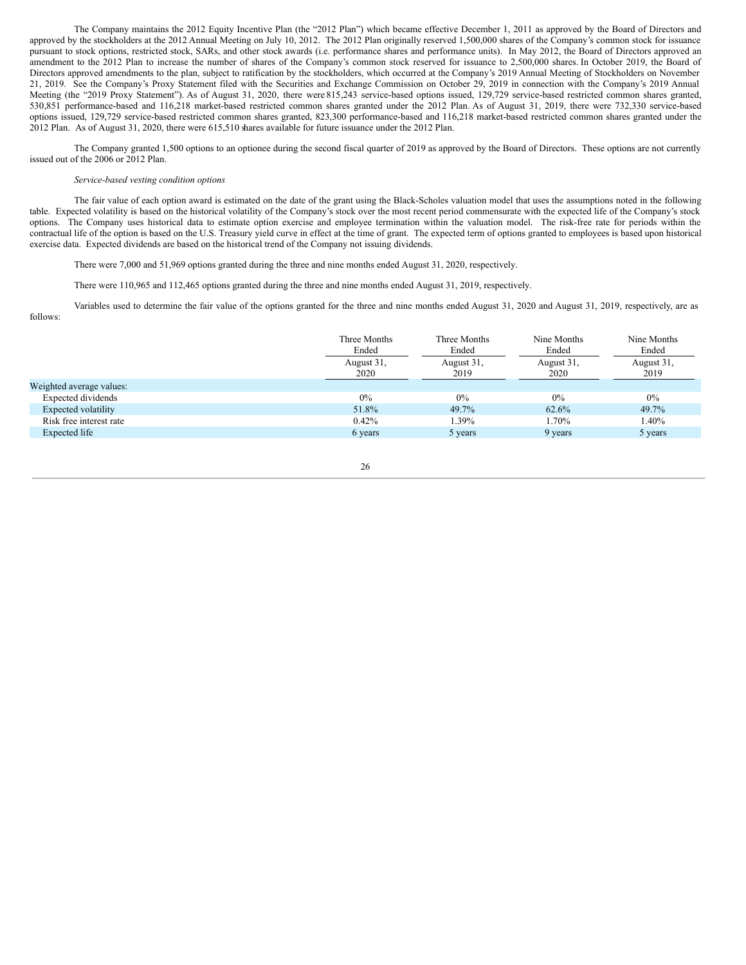The Company maintains the 2012 Equity Incentive Plan (the "2012 Plan") which became effective December 1, 2011 as approved by the Board of Directors and approved by the stockholders at the 2012 Annual Meeting on July 10, 2012. The 2012 Plan originally reserved 1,500,000 shares of the Company's common stock for issuance pursuant to stock options, restricted stock, SARs, and other stock awards (i.e. performance shares and performance units). In May 2012, the Board of Directors approved an amendment to the 2012 Plan to increase the number of shares of the Company's common stock reserved for issuance to 2,500,000 shares. In October 2019, the Board of Directors approved amendments to the plan, subject to ratification by the stockholders, which occurred at the Company's 2019 Annual Meeting of Stockholders on November 21, 2019. See the Company's Proxy Statement filed with the Securities and Exchange Commission on October 29, 2019 in connection with the Company's 2019 Annual Meeting (the "2019 Proxy Statement"). As of August 31, 2020, there were 815,243 service-based options issued, 129,729 service-based restricted common shares granted, 530,851 performance-based and 116,218 market-based restricted common shares granted under the 2012 Plan. As of August 31, 2019, there were 732,330 service-based options issued, 129,729 service-based restricted common shares granted, 823,300 performance-based and 116,218 market-based restricted common shares granted under the 2012 Plan. As of August 31, 2020, there were 615,510 shares available for future issuance under the 2012 Plan.

The Company granted 1,500 options to an optionee during the second fiscal quarter of 2019 as approved by the Board of Directors. These options are not currently issued out of the 2006 or 2012 Plan.

### *Service-based vesting condition options*

The fair value of each option award is estimated on the date of the grant using the Black-Scholes valuation model that uses the assumptions noted in the following table. Expected volatility is based on the historical volatility of the Company's stock over the most recent period commensurate with the expected life of the Company's stock options. The Company uses historical data to estimate option exercise and employee termination within the valuation model. The risk-free rate for periods within the contractual life of the option is based on the U.S. Treasury yield curve in effect at the time of grant. The expected term of options granted to employees is based upon historical exercise data. Expected dividends are based on the historical trend of the Company not issuing dividends.

There were 7,000 and 51,969 options granted during the three and nine months ended August 31, 2020, respectively.

There were 110,965 and 112,465 options granted during the three and nine months ended August 31, 2019, respectively.

Variables used to determine the fair value of the options granted for the three and nine months ended August 31, 2020 and August 31, 2019, respectively, are as follows:

|                          | Three Months<br>Ended | Three Months<br>Ended | Nine Months<br>Ended |            |
|--------------------------|-----------------------|-----------------------|----------------------|------------|
|                          | August 31,            | August 31,            | August 31,           | August 31, |
|                          | 2020                  | 2019                  | 2020                 | 2019       |
| Weighted average values: |                       |                       |                      |            |
| Expected dividends       | $0\%$                 | 0%                    | $0\%$                | $0\%$      |
| Expected volatility      | 51.8%                 | 49.7%                 | 62.6%                | 49.7%      |
| Risk free interest rate  | 0.42%                 | 1.39%                 | 1.70%                | 1.40%      |
| Expected life            | 6 years               | 5 years               | 9 years              | 5 years    |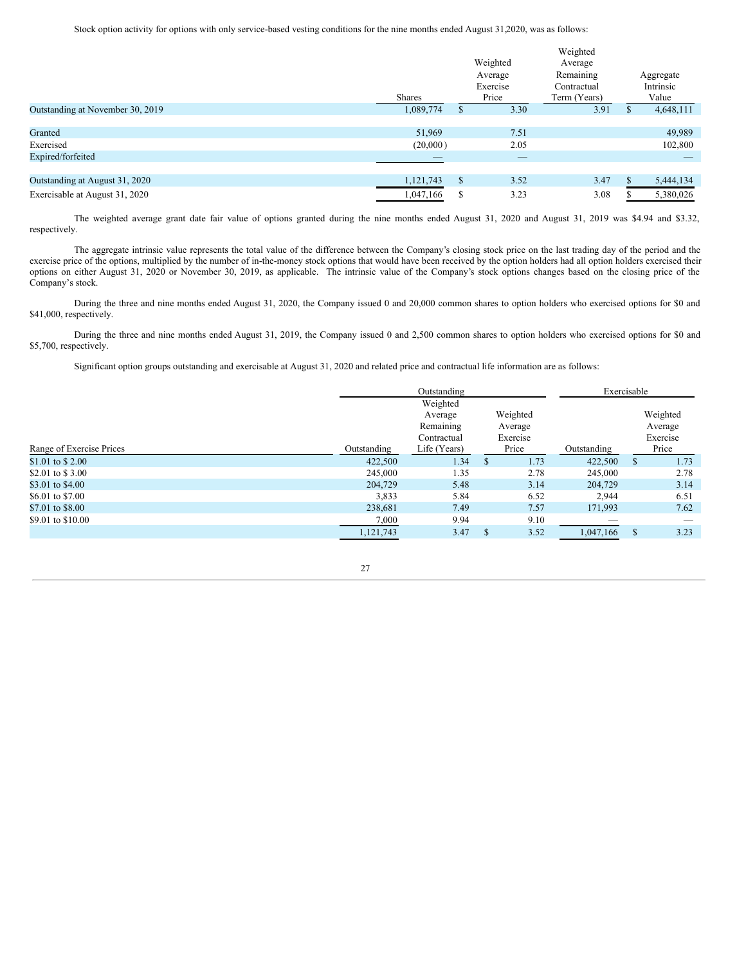Stock option activity for options with only service-based vesting conditions for the nine months ended August 31,2020, was as follows:

|                                  | <b>Shares</b> | Weighted<br>Average<br>Exercise<br>Price |                                  | Weighted<br>Average<br>Remaining<br>Contractual<br>Term (Years) |  | Aggregate<br>Intrinsic<br>Value |
|----------------------------------|---------------|------------------------------------------|----------------------------------|-----------------------------------------------------------------|--|---------------------------------|
| Outstanding at November 30, 2019 | 1,089,774     | S                                        | 3.30                             | 3.91                                                            |  | 4,648,111                       |
| Granted                          | 51,969        |                                          | 7.51                             |                                                                 |  | 49,989                          |
| Exercised<br>Expired/forfeited   | (20,000)      |                                          | 2.05<br>$\overline{\phantom{a}}$ |                                                                 |  | 102,800                         |
| Outstanding at August 31, 2020   | 1,121,743     | \$                                       | 3.52                             | 3.47                                                            |  | 5,444,134                       |
| Exercisable at August 31, 2020   | 1,047,166     | S                                        | 3.23                             | 3.08                                                            |  | 5,380,026                       |

The weighted average grant date fair value of options granted during the nine months ended August 31, 2020 and August 31, 2019 was \$4.94 and \$3.32, respectively.

The aggregate intrinsic value represents the total value of the difference between the Company's closing stock price on the last trading day of the period and the exercise price of the options, multiplied by the number of in-the-money stock options that would have been received by the option holders had all option holders exercised their options on either August 31, 2020 or November 30, 2019, as applicable. The intrinsic value of the Company's stock options changes based on the closing price of the Company's stock.

During the three and nine months ended August 31, 2020, the Company issued 0 and 20,000 common shares to option holders who exercised options for \$0 and \$41,000, respectively.

During the three and nine months ended August 31, 2019, the Company issued 0 and 2,500 common shares to option holders who exercised options for \$0 and \$5,700, respectively.

Significant option groups outstanding and exercisable at August 31, 2020 and related price and contractual life information are as follows:

|                          |                                                                                | Outstanding |                                                         |           | Exercisable |                                          |  |
|--------------------------|--------------------------------------------------------------------------------|-------------|---------------------------------------------------------|-----------|-------------|------------------------------------------|--|
| Range of Exercise Prices | Weighted<br>Average<br>Remaining<br>Contractual<br>Life (Years)<br>Outstanding |             | Weighted<br>Average<br>Exercise<br>Price<br>Outstanding |           |             | Weighted<br>Average<br>Exercise<br>Price |  |
| \$1.01 to \$2.00         | 422,500                                                                        | 1.34        | 1.73<br>S                                               | 422,500   | S           | 1.73                                     |  |
| \$2.01 to \$3.00         | 245,000                                                                        | 1.35        | 2.78                                                    | 245,000   |             | 2.78                                     |  |
| \$3.01 to \$4.00         | 204,729                                                                        | 5.48        | 3.14                                                    | 204,729   |             | 3.14                                     |  |
| \$6.01 to \$7.00         | 3,833                                                                          | 5.84        | 6.52                                                    | 2,944     |             | 6.51                                     |  |
| \$7.01 to \$8.00         | 238,681                                                                        | 7.49        | 7.57                                                    | 171,993   |             | 7.62                                     |  |
| \$9.01 to \$10.00        | 7,000                                                                          | 9.94        | 9.10                                                    |           |             |                                          |  |
|                          | 1,121,743                                                                      | 3.47        | 3.52<br>S                                               | 1,047,166 | S           | 3.23                                     |  |

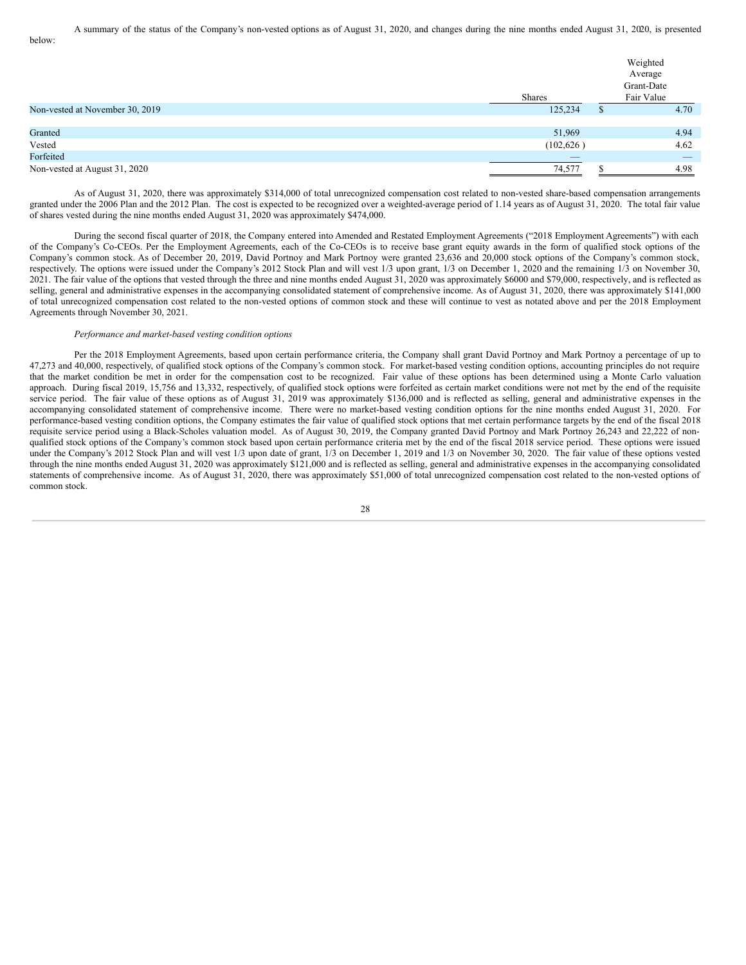A summary of the status of the Company's non-vested options as of August 31, 2020, and changes during the nine months ended August 31, 2020, is presented below:

|                                 |               |    | Weighted<br>Average<br>Grant-Date |
|---------------------------------|---------------|----|-----------------------------------|
|                                 | <b>Shares</b> |    | Fair Value                        |
| Non-vested at November 30, 2019 | 125,234       | .S | 4.70                              |
|                                 |               |    |                                   |
| Granted                         | 51,969        |    | 4.94                              |
| Vested                          | (102, 626)    |    | 4.62                              |
| Forfeited                       | _             |    | _                                 |
| Non-vested at August 31, 2020   | 74,577        |    | 4.98                              |

As of August 31, 2020, there was approximately \$314,000 of total unrecognized compensation cost related to non-vested share-based compensation arrangements granted under the 2006 Plan and the 2012 Plan. The cost is expected to be recognized over a weighted-average period of 1.14 years as of August 31, 2020. The total fair value of shares vested during the nine months ended August 31, 2020 was approximately \$474,000.

During the second fiscal quarter of 2018, the Company entered into Amended and Restated Employment Agreements ("2018 Employment Agreements") with each of the Company's Co-CEOs. Per the Employment Agreements, each of the Co-CEOs is to receive base grant equity awards in the form of qualified stock options of the Company's common stock. As of December 20, 2019, David Portnoy and Mark Portnoy were granted 23,636 and 20,000 stock options of the Company's common stock, respectively. The options were issued under the Company's 2012 Stock Plan and will vest 1/3 upon grant, 1/3 on December 1, 2020 and the remaining 1/3 on November 30, 2021. The fair value of the options that vested through the three and nine months ended August 31, 2020 was approximately \$6000 and \$79,000, respectively, and is reflected as selling, general and administrative expenses in the accompanying consolidated statement of comprehensive income. As of August 31, 2020, there was approximately \$141,000 of total unrecognized compensation cost related to the non-vested options of common stock and these will continue to vest as notated above and per the 2018 Employment Agreements through November 30, 2021.

#### *Performance and market-based vesting condition options*

Per the 2018 Employment Agreements, based upon certain performance criteria, the Company shall grant David Portnoy and Mark Portnoy a percentage of up to 47,273 and 40,000, respectively, of qualified stock options of the Company's common stock. For market-based vesting condition options, accounting principles do not require that the market condition be met in order for the compensation cost to be recognized. Fair value of these options has been determined using a Monte Carlo valuation approach. During fiscal 2019, 15,756 and 13,332, respectively, of qualified stock options were forfeited as certain market conditions were not met by the end of the requisite service period. The fair value of these options as of August 31, 2019 was approximately \$136,000 and is reflected as selling, general and administrative expenses in the accompanying consolidated statement of comprehensive income. There were no market-based vesting condition options for the nine months ended August 31, 2020. For performance-based vesting condition options, the Company estimates the fair value of qualified stock options that met certain performance targets by the end of the fiscal 2018 requisite service period using a Black-Scholes valuation model. As of August 30, 2019, the Company granted David Portnoy and Mark Portnoy 26,243 and 22,222 of nonqualified stock options of the Company's common stock based upon certain performance criteria met by the end of the fiscal 2018 service period. These options were issued under the Company's 2012 Stock Plan and will vest 1/3 upon date of grant, 1/3 on December 1, 2019 and 1/3 on November 30, 2020. The fair value of these options vested through the nine months ended August 31, 2020 was approximately \$121,000 and is reflected as selling, general and administrative expenses in the accompanying consolidated statements of comprehensive income. As of August 31, 2020, there was approximately \$51,000 of total unrecognized compensation cost related to the non-vested options of common stock.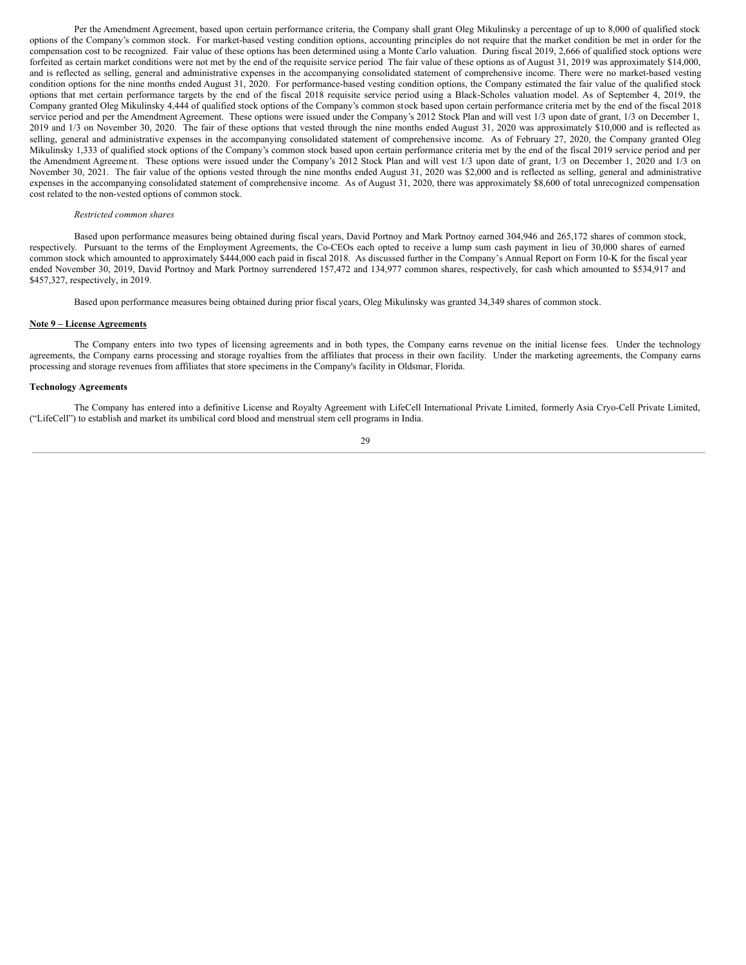Per the Amendment Agreement, based upon certain performance criteria, the Company shall grant Oleg Mikulinsky a percentage of up to 8,000 of qualified stock options of the Company's common stock. For market-based vesting condition options, accounting principles do not require that the market condition be met in order for the compensation cost to be recognized. Fair value of these options has been determined using a Monte Carlo valuation. During fiscal 2019, 2,666 of qualified stock options were forfeited as certain market conditions were not met by the end of the requisite service period. The fair value of these options as of August 31, 2019 was approximately \$14,000, and is reflected as selling, general and administrative expenses in the accompanying consolidated statement of comprehensive income. There were no market-based vesting condition options for the nine months ended August 31, 2020. For performance-based vesting condition options, the Company estimated the fair value of the qualified stock options that met certain performance targets by the end of the fiscal 2018 requisite service period using a Black-Scholes valuation model. As of September 4, 2019, the Company granted Oleg Mikulinsky 4,444 of qualified stock options of the Company's common stock based upon certain performance criteria met by the end of the fiscal 2018 service period and per the Amendment Agreement. These options were issued under the Company's 2012 Stock Plan and will vest 1/3 upon date of grant, 1/3 on December 1, 2019 and 1/3 on November 30, 2020. The fair of these options that vested through the nine months ended August 31, 2020 was approximately \$10,000 and is reflected as selling, general and administrative expenses in the accompanying consolidated statement of comprehensive income. As of February 27, 2020, the Company granted Oleg Mikulinsky 1,333 of qualified stock options of the Company's common stock based upon certain performance criteria met by the end of the fiscal 2019 service period and per the Amendment Agreeme nt. These options were issued under the Company's 2012 Stock Plan and will vest 1/3 upon date of grant, 1/3 on December 1, 2020 and 1/3 on November 30, 2021. The fair value of the options vested through the nine months ended August 31, 2020 was \$2,000 and is reflected as selling, general and administrative expenses in the accompanying consolidated statement of comprehensive income. As of August 31, 2020, there was approximately \$8,600 of total unrecognized compensation cost related to the non-vested options of common stock.

#### *Restricted common shares*

Based upon performance measures being obtained during fiscal years, David Portnoy and Mark Portnoy earned 304,946 and 265,172 shares of common stock, respectively. Pursuant to the terms of the Employment Agreements, the Co-CEOs each opted to receive a lump sum cash payment in lieu of 30,000 shares of earned common stock which amounted to approximately \$444,000 each paid in fiscal 2018. As discussed further in the Company's Annual Report on Form 10-K for the fiscal year ended November 30, 2019, David Portnoy and Mark Portnoy surrendered 157,472 and 134,977 common shares, respectively, for cash which amounted to \$534,917 and \$457,327, respectively, in 2019.

Based upon performance measures being obtained during prior fiscal years, Oleg Mikulinsky was granted 34,349 shares of common stock.

#### **Note 9 – License Agreements**

The Company enters into two types of licensing agreements and in both types, the Company earns revenue on the initial license fees. Under the technology agreements, the Company earns processing and storage royalties from the affiliates that process in their own facility. Under the marketing agreements, the Company earns processing and storage revenues from affiliates that store specimens in the Company's facility in Oldsmar, Florida.

#### **Technology Agreements**

The Company has entered into a definitive License and Royalty Agreement with LifeCell International Private Limited, formerly Asia Cryo-Cell Private Limited, ("LifeCell") to establish and market its umbilical cord blood and menstrual stem cell programs in India.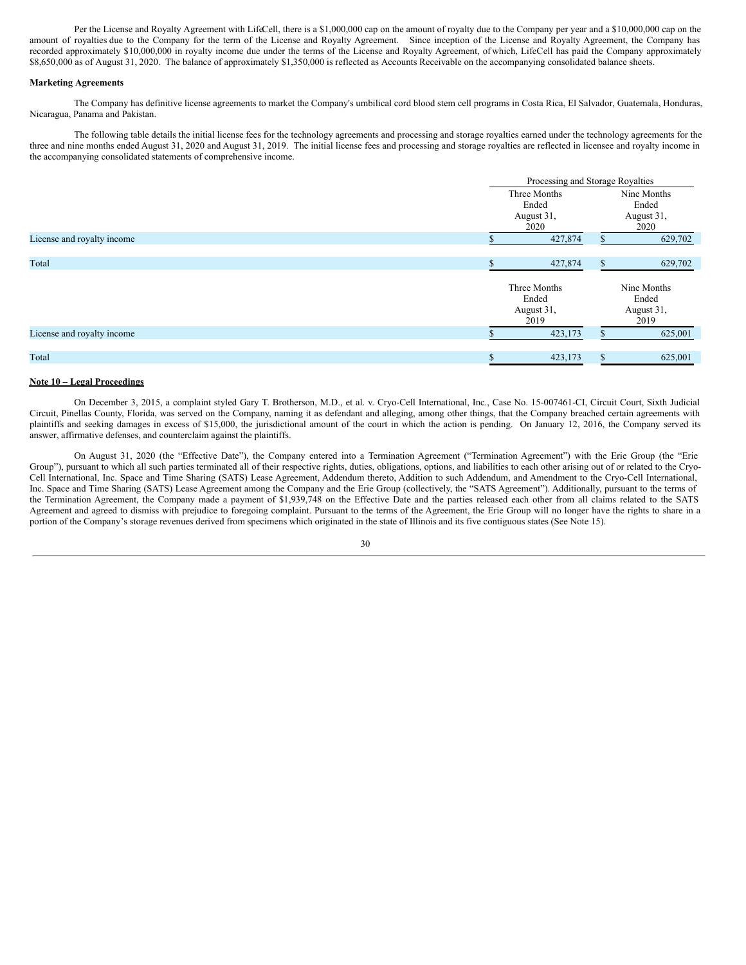Per the License and Royalty Agreement with LifeCell, there is a \$1,000,000 cap on the amount of royalty due to the Company per year and a \$10,000,000 cap on the amount of royalties due to the Company for the term of the License and Royalty Agreement. Since inception of the License and Royalty Agreement, the Company has recorded approximately \$10,000,000 in royalty income due under the terms of the License and Royalty Agreement, of which, LifeCell has paid the Company approximately \$8,650,000 as of August 31, 2020. The balance of approximately \$1,350,000 is reflected as Accounts Receivable on the accompanying consolidated balance sheets.

### **Marketing Agreements**

The Company has definitive license agreements to market the Company's umbilical cord blood stem cell programs in Costa Rica, El Salvador, Guatemala, Honduras, Nicaragua, Panama and Pakistan.

The following table details the initial license fees for the technology agreements and processing and storage royalties earned under the technology agreements for the three and nine months ended August 31, 2020 and August 31, 2019. The initial license fees and processing and storage royalties are reflected in licensee and royalty income in the accompanying consolidated statements of comprehensive income.

|                            | Processing and Storage Royalties            |  |                                            |  |  |
|----------------------------|---------------------------------------------|--|--------------------------------------------|--|--|
|                            | Three Months<br>Ended                       |  | Nine Months<br>Ended                       |  |  |
|                            | August 31,<br>2020                          |  | August 31,<br>2020                         |  |  |
| License and royalty income | 427,874                                     |  | 629,702                                    |  |  |
| Total                      | 427,874                                     |  | 629,702                                    |  |  |
|                            | Three Months<br>Ended<br>August 31,<br>2019 |  | Nine Months<br>Ended<br>August 31,<br>2019 |  |  |
| License and royalty income | 423,173                                     |  | 625,001                                    |  |  |
| Total                      | 423,173                                     |  | 625,001                                    |  |  |

### **Note 10 – Legal Proceedings**

On December 3, 2015, a complaint styled Gary T. Brotherson, M.D., et al. v. Cryo-Cell International, Inc., Case No. 15-007461-CI, Circuit Court, Sixth Judicial Circuit, Pinellas County, Florida, was served on the Company, naming it as defendant and alleging, among other things, that the Company breached certain agreements with plaintiffs and seeking damages in excess of \$15,000, the jurisdictional amount of the court in which the action is pending. On January 12, 2016, the Company served its answer, affirmative defenses, and counterclaim against the plaintiffs.

On August 31, 2020 (the "Effective Date"), the Company entered into a Termination Agreement ("Termination Agreement") with the Erie Group (the "Erie Group"), pursuant to which all such parties terminated all of their respective rights, duties, obligations, options, and liabilities to each other arising out of or related to the Cryo-Cell International, Inc. Space and Time Sharing (SATS) Lease Agreement, Addendum thereto, Addition to such Addendum, and Amendment to the Cryo-Cell International, Inc. Space and Time Sharing (SATS) Lease Agreement among the Company and the Erie Group (collectively, the "SATS Agreement"). Additionally, pursuant to the terms of the Termination Agreement, the Company made a payment of \$1,939,748 on the Effective Date and the parties released each other from all claims related to the SATS Agreement and agreed to dismiss with prejudice to foregoing complaint. Pursuant to the terms of the Agreement, the Erie Group will no longer have the rights to share in a portion of the Company's storage revenues derived from specimens which originated in the state of Illinois and its five contiguous states (See Note 15).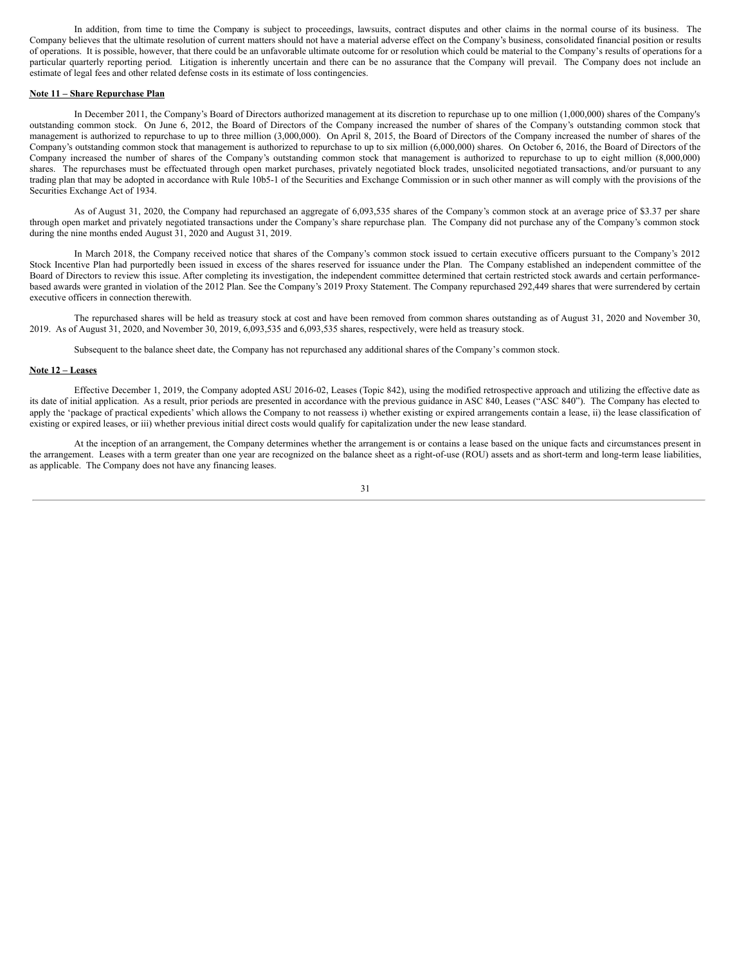In addition, from time to time the Company is subject to proceedings, lawsuits, contract disputes and other claims in the normal course of its business. The Company believes that the ultimate resolution of current matters should not have a material adverse effect on the Company's business, consolidated financial position or results of operations. It is possible, however, that there could be an unfavorable ultimate outcome for or resolution which could be material to the Company's results of operations for a particular quarterly reporting period. Litigation is inherently uncertain and there can be no assurance that the Company will prevail. The Company does not include an estimate of legal fees and other related defense costs in its estimate of loss contingencies.

### **Note 11 – Share Repurchase Plan**

In December 2011, the Company's Board of Directors authorized management at its discretion to repurchase up to one million (1,000,000) shares of the Company's outstanding common stock. On June 6, 2012, the Board of Directors of the Company increased the number of shares of the Company's outstanding common stock that management is authorized to repurchase to up to three million (3,000,000). On April 8, 2015, the Board of Directors of the Company increased the number of shares of the Company's outstanding common stock that management is authorized to repurchase to up to six million (6,000,000) shares. On October 6, 2016, the Board of Directors of the Company increased the number of shares of the Company's outstanding common stock that management is authorized to repurchase to up to eight million (8,000,000) shares. The repurchases must be effectuated through open market purchases, privately negotiated block trades, unsolicited negotiated transactions, and/or pursuant to any trading plan that may be adopted in accordance with Rule 10b5-1 of the Securities and Exchange Commission or in such other manner as will comply with the provisions of the Securities Exchange Act of 1934.

As of August 31, 2020, the Company had repurchased an aggregate of 6,093,535 shares of the Company's common stock at an average price of \$3.37 per share through open market and privately negotiated transactions under the Company's share repurchase plan. The Company did not purchase any of the Company's common stock during the nine months ended August 31, 2020 and August 31, 2019.

In March 2018, the Company received notice that shares of the Company's common stock issued to certain executive officers pursuant to the Company's 2012 Stock Incentive Plan had purportedly been issued in excess of the shares reserved for issuance under the Plan. The Company established an independent committee of the Board of Directors to review this issue. After completing its investigation, the independent committee determined that certain restricted stock awards and certain performancebased awards were granted in violation of the 2012 Plan. See the Company's 2019 Proxy Statement. The Company repurchased 292,449 shares that were surrendered by certain executive officers in connection therewith.

The repurchased shares will be held as treasury stock at cost and have been removed from common shares outstanding as of August 31, 2020 and November 30, 2019. As of August 31, 2020, and November 30, 2019, 6,093,535 and 6,093,535 shares, respectively, were held as treasury stock.

Subsequent to the balance sheet date, the Company has not repurchased any additional shares of the Company's common stock.

### **Note 12 – Leases**

Effective December 1, 2019, the Company adopted ASU 2016-02, Leases (Topic 842), using the modified retrospective approach and utilizing the effective date as its date of initial application. As a result, prior periods are presented in accordance with the previous guidance in ASC 840, Leases ("ASC 840"). The Company has elected to apply the 'package of practical expedients' which allows the Company to not reassess i) whether existing or expired arrangements contain a lease, ii) the lease classification of existing or expired leases, or iii) whether previous initial direct costs would qualify for capitalization under the new lease standard.

At the inception of an arrangement, the Company determines whether the arrangement is or contains a lease based on the unique facts and circumstances present in the arrangement. Leases with a term greater than one year are recognized on the balance sheet as a right-of-use (ROU) assets and as short-term and long-term lease liabilities, as applicable. The Company does not have any financing leases.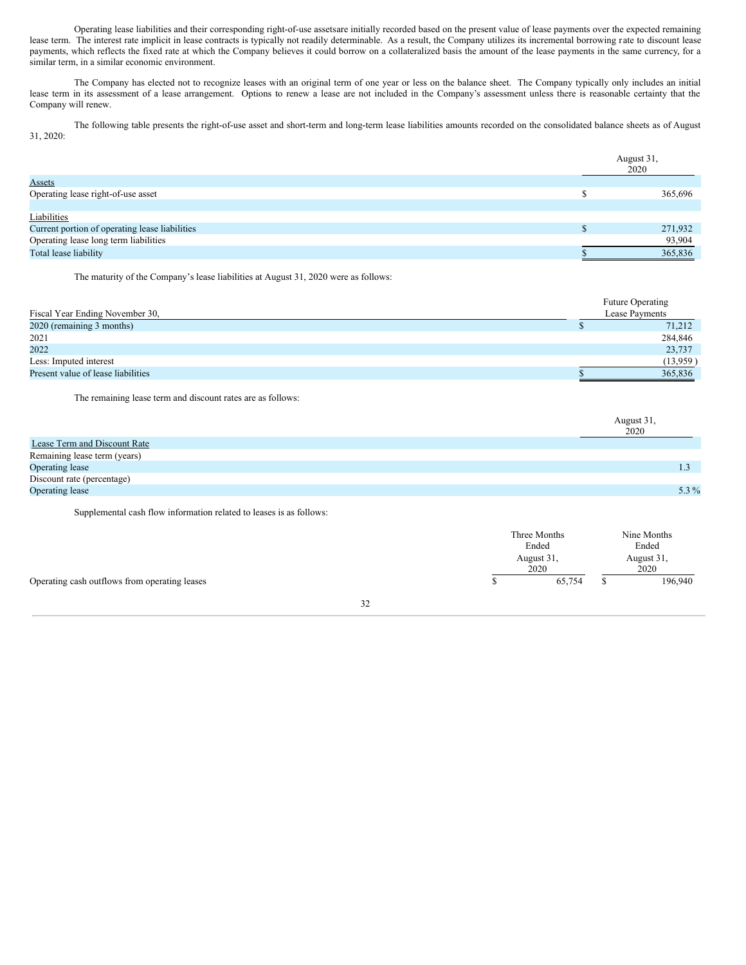Operating lease liabilities and their corresponding right-of-use assetsare initially recorded based on the present value of lease payments over the expected remaining lease term. The interest rate implicit in lease contracts is typically not readily determinable. As a result, the Company utilizes its incremental borrowing rate to discount lease payments, which reflects the fixed rate at which the Company believes it could borrow on a collateralized basis the amount of the lease payments in the same currency, for a similar term, in a similar economic environment.

The Company has elected not to recognize leases with an original term of one year or less on the balance sheet. The Company typically only includes an initial lease term in its assessment of a lease arrangement. Options to renew a lease are not included in the Company's assessment unless there is reasonable certainty that the Company will renew.

The following table presents the right-of-use asset and short-term and long-term lease liabilities amounts recorded on the consolidated balance sheets as of August 31, 2020:

|                                                | August 31,<br>2020 |         |
|------------------------------------------------|--------------------|---------|
| <b>Assets</b>                                  |                    |         |
| Operating lease right-of-use asset             |                    | 365,696 |
|                                                |                    |         |
| Liabilities                                    |                    |         |
| Current portion of operating lease liabilities |                    | 271,932 |
| Operating lease long term liabilities          |                    | 93,904  |
| Total lease liability                          |                    | 365,836 |

The maturity of the Company's lease liabilities at August 31, 2020 were as follows:

| Fiscal Year Ending November 30,    | <b>Future Operating</b><br>Lease Payments |  |
|------------------------------------|-------------------------------------------|--|
| 2020 (remaining 3 months)          | 71,212                                    |  |
| 2021                               | 284,846                                   |  |
| 2022                               | 23,737                                    |  |
| Less: Imputed interest             | (13,959)                                  |  |
| Present value of lease liabilities | 365,836                                   |  |

The remaining lease term and discount rates are as follows:

|                              | August 31, |
|------------------------------|------------|
|                              | 2020       |
| Lease Term and Discount Rate |            |
| Remaining lease term (years) |            |
| Operating lease              | 1.3        |
| Discount rate (percentage)   |            |
| Operating lease              | 5.3 %      |

Supplemental cash flow information related to leases is as follows:

|                                               |    | Three Months<br>Ended<br>August 31,<br>2020 |  | Nine Months<br>Ended<br>August 31,<br>2020 |
|-----------------------------------------------|----|---------------------------------------------|--|--------------------------------------------|
| Operating cash outflows from operating leases |    | 65,754                                      |  | 196,940                                    |
|                                               | 32 |                                             |  |                                            |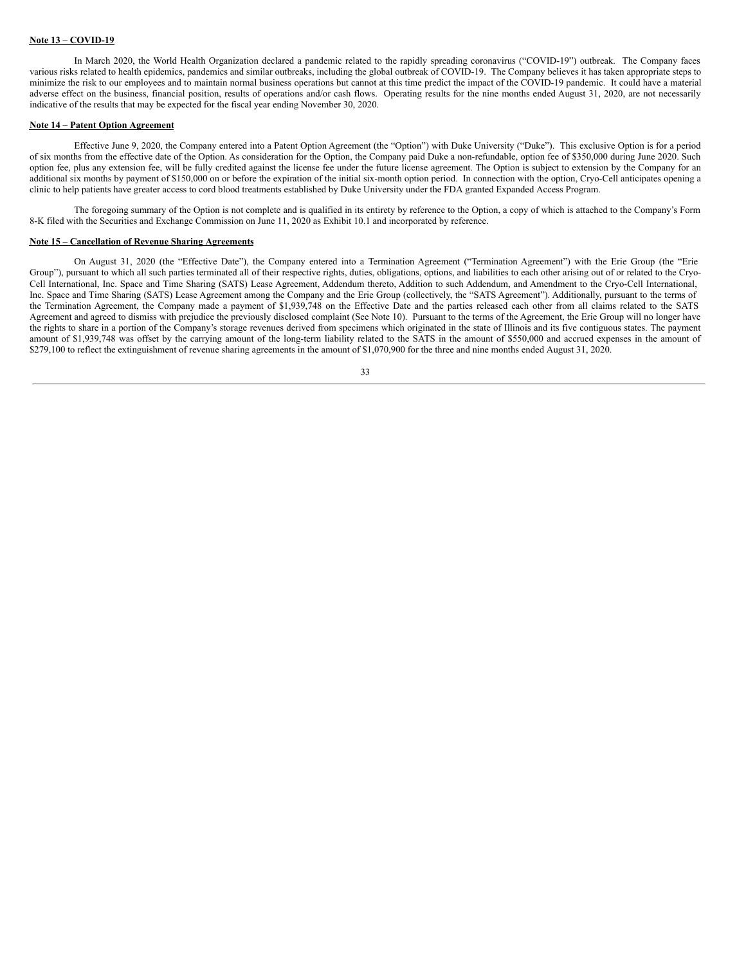### **Note 13 – COVID-19**

In March 2020, the World Health Organization declared a pandemic related to the rapidly spreading coronavirus ("COVID-19") outbreak. The Company faces various risks related to health epidemics, pandemics and similar outbreaks, including the global outbreak of COVID-19. The Company believes it has taken appropriate steps to minimize the risk to our employees and to maintain normal business operations but cannot at this time predict the impact of the COVID-19 pandemic. It could have a material adverse effect on the business, financial position, results of operations and/or cash flows. Operating results for the nine months ended August 31, 2020, are not necessarily indicative of the results that may be expected for the fiscal year ending November 30, 2020.

### **Note 14 – Patent Option Agreement**

Effective June 9, 2020, the Company entered into a Patent Option Agreement (the "Option") with Duke University ("Duke"). This exclusive Option is for a period of six months from the effective date of the Option. As consideration for the Option, the Company paid Duke a non-refundable, option fee of \$350,000 during June 2020. Such option fee, plus any extension fee, will be fully credited against the license fee under the future license agreement. The Option is subject to extension by the Company for an additional six months by payment of \$150,000 on or before the expiration of the initial six-month option period. In connection with the option, Cryo-Cell anticipates opening a clinic to help patients have greater access to cord blood treatments established by Duke University under the FDA granted Expanded Access Program.

The foregoing summary of the Option is not complete and is qualified in its entirety by reference to the Option, a copy of which is attached to the Company's Form 8-K filed with the Securities and Exchange Commission on June 11, 2020 as Exhibit 10.1 and incorporated by reference.

### **Note 15 – Cancellation of Revenue Sharing Agreements**

On August 31, 2020 (the "Effective Date"), the Company entered into a Termination Agreement ("Termination Agreement") with the Erie Group (the "Erie Group"), pursuant to which all such parties terminated all of their respective rights, duties, obligations, options, and liabilities to each other arising out of or related to the Cryo-Cell International, Inc. Space and Time Sharing (SATS) Lease Agreement, Addendum thereto, Addition to such Addendum, and Amendment to the Cryo-Cell International, Inc. Space and Time Sharing (SATS) Lease Agreement among the Company and the Erie Group (collectively, the "SATS Agreement"). Additionally, pursuant to the terms of the Termination Agreement, the Company made a payment of \$1,939,748 on the Effective Date and the parties released each other from all claims related to the SATS Agreement and agreed to dismiss with prejudice the previously disclosed complaint (See Note 10). Pursuant to the terms of the Agreement, the Erie Group will no longer have the rights to share in a portion of the Company's storage revenues derived from specimens which originated in the state of Illinois and its five contiguous states. The payment amount of \$1,939,748 was offset by the carrying amount of the long-term liability related to the SATS in the amount of \$550,000 and accrued expenses in the amount of \$279,100 to reflect the extinguishment of revenue sharing agreements in the amount of \$1,070,900 for the three and nine months ended August 31, 2020.

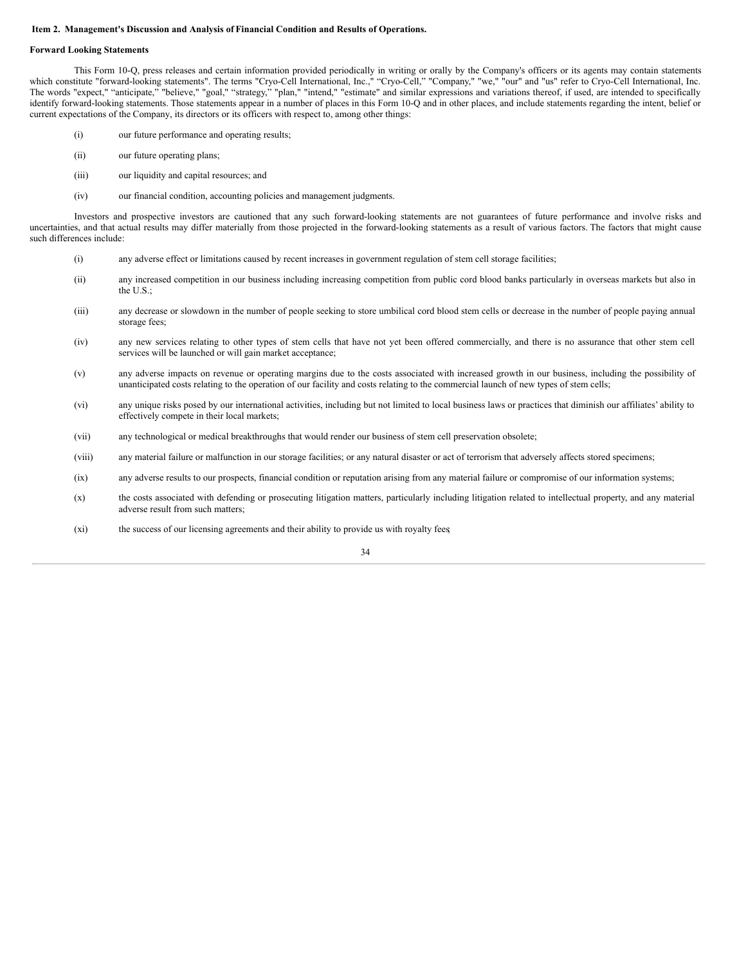### <span id="page-33-0"></span>**Item 2. Management's Discussion and Analysis of Financial Condition and Results of Operations.**

#### **Forward Looking Statements**

This Form 10-Q, press releases and certain information provided periodically in writing or orally by the Company's officers or its agents may contain statements which constitute "forward-looking statements". The terms "Cryo-Cell International, Inc.," "Cryo-Cell," "Company," "we," "our" and "us" refer to Cryo-Cell International, Inc. The words "expect," "anticipate," "believe," "goal," "strategy," "plan," "intend," "estimate" and similar expressions and variations thereof, if used, are intended to specifically identify forward-looking statements. Those statements appear in a number of places in this Form 10-Q and in other places, and include statements regarding the intent, belief or current expectations of the Company, its directors or its officers with respect to, among other things:

- (i) our future performance and operating results;
- (ii) our future operating plans;
- (iii) our liquidity and capital resources; and
- (iv) our financial condition, accounting policies and management judgments.

Investors and prospective investors are cautioned that any such forward-looking statements are not guarantees of future performance and involve risks and uncertainties, and that actual results may differ materially from those projected in the forward‑looking statements as a result of various factors. The factors that might cause such differences include:

- (i) any adverse effect or limitations caused by recent increases in government regulation of stem cell storage facilities;
- (ii) any increased competition in our business including increasing competition from public cord blood banks particularly in overseas markets but also in the U.S.;
- (iii) any decrease or slowdown in the number of people seeking to store umbilical cord blood stem cells or decrease in the number of people paying annual storage fees;
- (iv) any new services relating to other types of stem cells that have not yet been offered commercially, and there is no assurance that other stem cell services will be launched or will gain market acceptance;
- (v) any adverse impacts on revenue or operating margins due to the costs associated with increased growth in our business, including the possibility of unanticipated costs relating to the operation of our facility and costs relating to the commercial launch of new types of stem cells;
- (vi) any unique risks posed by our international activities, including but not limited to local business laws or practices that diminish our affiliates' ability to effectively compete in their local markets;
- (vii) any technological or medical breakthroughs that would render our business of stem cell preservation obsolete;
- (viii) any material failure or malfunction in our storage facilities; or any natural disaster or act of terrorism that adversely affects stored specimens;
- (ix) any adverse results to our prospects, financial condition or reputation arising from any material failure or compromise of our information systems;
- (x) the costs associated with defending or prosecuting litigation matters, particularly including litigation related to intellectual property, and any material adverse result from such matters;
- (xi) the success of our licensing agreements and their ability to provide us with royalty fees;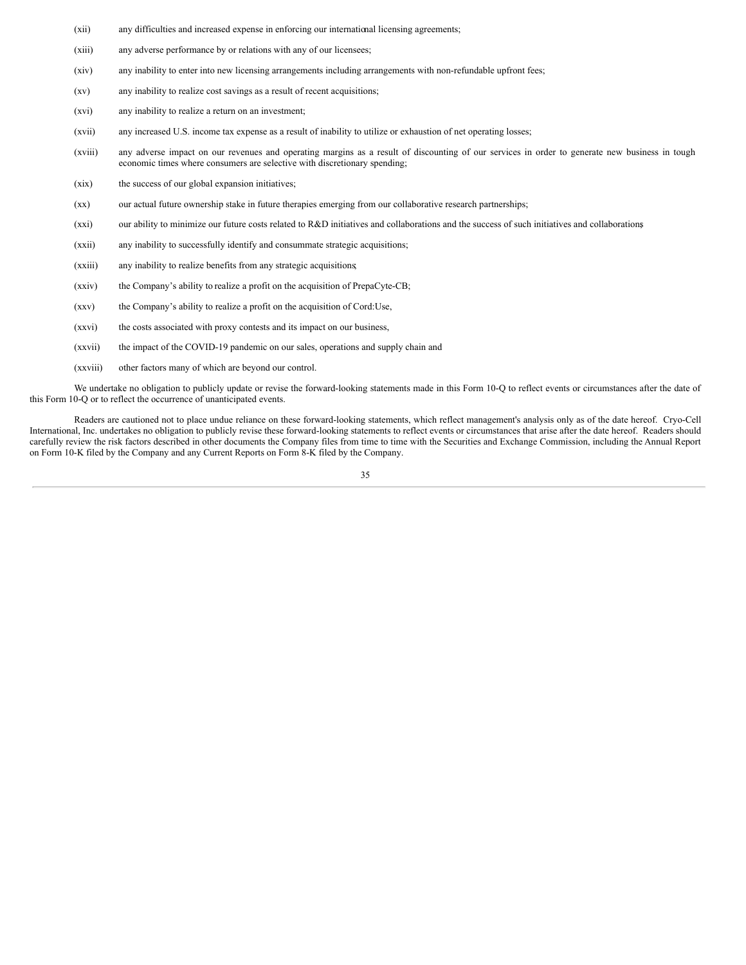- (xii) any difficulties and increased expense in enforcing our international licensing agreements;
- (xiii) any adverse performance by or relations with any of our licensees;
- (xiv) any inability to enter into new licensing arrangements including arrangements with non-refundable upfront fees;
- (xv) any inability to realize cost savings as a result of recent acquisitions;
- (xvi) any inability to realize a return on an investment;
- (xvii) any increased U.S. income tax expense as a result of inability to utilize or exhaustion of net operating losses;
- (xviii) any adverse impact on our revenues and operating margins as a result of discounting of our services in order to generate new business in tough economic times where consumers are selective with discretionary spending;
- (xix) the success of our global expansion initiatives;
- (xx) our actual future ownership stake in future therapies emerging from our collaborative research partnerships;
- (xxi) our ability to minimize our future costs related to R&D initiatives and collaborations and the success of such initiatives and collaborations
- (xxii) any inability to successfully identify and consummate strategic acquisitions;
- (xxiii) any inability to realize benefits from any strategic acquisitions;
- (xxiv) the Company's ability to realize a profit on the acquisition of PrepaCyte-CB;
- (xxv) the Company's ability to realize a profit on the acquisition of Cord:Use,
- (xxvi) the costs associated with proxy contests and its impact on our business,
- (xxvii) the impact of the COVID-19 pandemic on our sales, operations and supply chain and
- (xxviii) other factors many of which are beyond our control.

We undertake no obligation to publicly update or revise the forward-looking statements made in this Form 10-Q to reflect events or circumstances after the date of this Form 10‑Q or to reflect the occurrence of unanticipated events.

Readers are cautioned not to place undue reliance on these forward-looking statements, which reflect management's analysis only as of the date hereof. Cryo-Cell International, Inc. undertakes no obligation to publicly revise these forward-looking statements to reflect events or circumstances that arise after the date hereof. Readers should carefully review the risk factors described in other documents the Company files from time to time with the Securities and Exchange Commission, including the Annual Report on Form 10-K filed by the Company and any Current Reports on Form 8-K filed by the Company.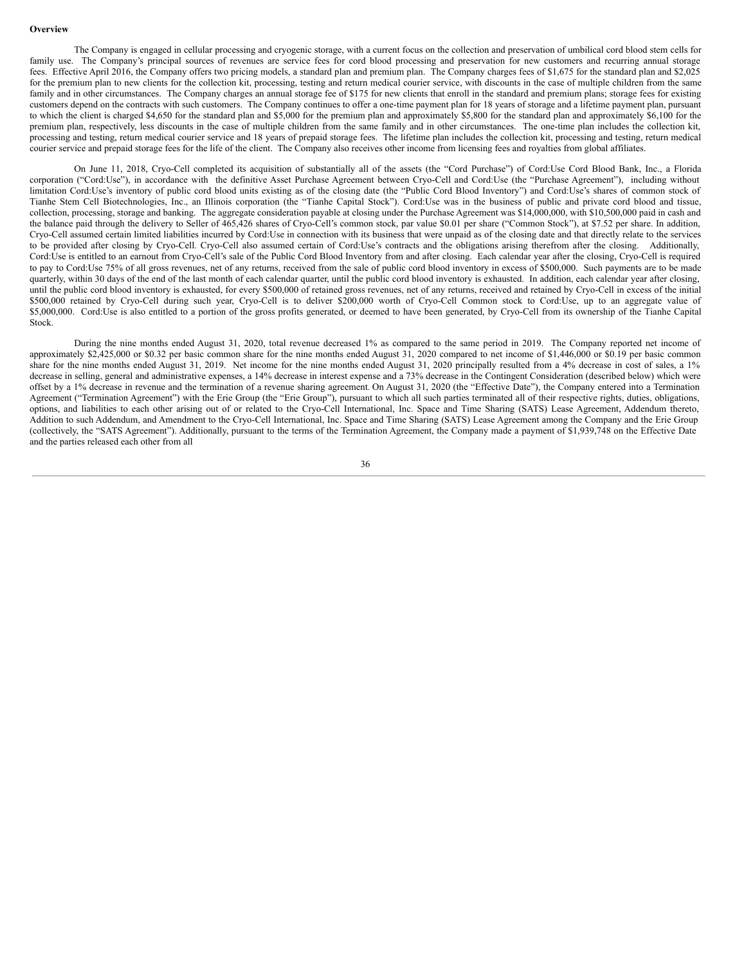#### **Overview**

The Company is engaged in cellular processing and cryogenic storage, with a current focus on the collection and preservation of umbilical cord blood stem cells for family use. The Company's principal sources of revenues are service fees for cord blood processing and preservation for new customers and recurring annual storage fees. Effective April 2016, the Company offers two pricing models, a standard plan and premium plan. The Company charges fees of \$1,675 for the standard plan and \$2,025 for the premium plan to new clients for the collection kit, processing, testing and return medical courier service, with discounts in the case of multiple children from the same family and in other circumstances. The Company charges an annual storage fee of \$175 for new clients that enroll in the standard and premium plans; storage fees for existing customers depend on the contracts with such customers. The Company continues to offer a one-time payment plan for 18 years of storage and a lifetime payment plan, pursuant to which the client is charged \$4,650 for the standard plan and \$5,000 for the premium plan and approximately \$5,800 for the standard plan and approximately \$6,100 for the premium plan, respectively, less discounts in the case of multiple children from the same family and in other circumstances. The one-time plan includes the collection kit, processing and testing, return medical courier service and 18 years of prepaid storage fees. The lifetime plan includes the collection kit, processing and testing, return medical courier service and prepaid storage fees for the life of the client. The Company also receives other income from licensing fees and royalties from global affiliates.

On June 11, 2018, Cryo-Cell completed its acquisition of substantially all of the assets (the "Cord Purchase") of Cord:Use Cord Blood Bank, Inc., a Florida corporation ("Cord:Use"), in accordance with the definitive Asset Purchase Agreement between Cryo-Cell and Cord:Use (the "Purchase Agreement"), including without limitation Cord:Use's inventory of public cord blood units existing as of the closing date (the "Public Cord Blood Inventory") and Cord:Use's shares of common stock of Tianhe Stem Cell Biotechnologies, Inc., an Illinois corporation (the "Tianhe Capital Stock"). Cord:Use was in the business of public and private cord blood and tissue, collection, processing, storage and banking. The aggregate consideration payable at closing under the Purchase Agreement was \$14,000,000, with \$10,500,000 paid in cash and the balance paid through the delivery to Seller of 465,426 shares of Cryo-Cell's common stock, par value \$0.01 per share ("Common Stock"), at \$7.52 per share. In addition, Cryo-Cell assumed certain limited liabilities incurred by Cord:Use in connection with its business that were unpaid as of the closing date and that directly relate to the services to be provided after closing by Cryo-Cell. Cryo-Cell also assumed certain of Cord:Use's contracts and the obligations arising therefrom after the closing. Additionally, Cord:Use is entitled to an earnout from Cryo-Cell's sale of the Public Cord Blood Inventory from and after closing. Each calendar year after the closing, Cryo-Cell is required to pay to Cord:Use 75% of all gross revenues, net of any returns, received from the sale of public cord blood inventory in excess of \$500,000. Such payments are to be made quarterly, within 30 days of the end of the last month of each calendar quarter, until the public cord blood inventory is exhausted. In addition, each calendar year after closing, until the public cord blood inventory is exhausted, for every \$500,000 of retained gross revenues, net of any returns, received and retained by Cryo-Cell in excess of the initial \$500,000 retained by Cryo-Cell during such year, Cryo-Cell is to deliver \$200,000 worth of Cryo-Cell Common stock to Cord:Use, up to an aggregate value of \$5,000,000. Cord:Use is also entitled to a portion of the gross profits generated, or deemed to have been generated, by Cryo-Cell from its ownership of the Tianhe Capital Stock.

During the nine months ended August 31, 2020, total revenue decreased 1% as compared to the same period in 2019. The Company reported net income of approximately \$2,425,000 or \$0.32 per basic common share for the nine months ended August  $31$ , 2020 compared to net income of \$1,446,000 or \$0.19 per basic common share for the nine months ended August 31, 2019. Net income for the nine months ended August 31, 2020 principally resulted from a 4% decrease in cost of sales, a 1% decrease in selling, general and administrative expenses, a 14% decrease in interest expense and a 73% decrease in the Contingent Consideration (described below) which were offset by a 1% decrease in revenue and the termination of a revenue sharing agreement. On August 31, 2020 (the "Effective Date"), the Company entered into a Termination Agreement ("Termination Agreement") with the Erie Group (the "Erie Group"), pursuant to which all such parties terminated all of their respective rights, duties, obligations, options, and liabilities to each other arising out of or related to the Cryo-Cell International, Inc. Space and Time Sharing (SATS) Lease Agreement, Addendum thereto, Addition to such Addendum, and Amendment to the Cryo-Cell International, Inc. Space and Time Sharing (SATS) Lease Agreement among the Company and the Erie Group (collectively, the "SATS Agreement"). Additionally, pursuant to the terms of the Termination Agreement, the Company made a payment of \$1,939,748 on the Effective Date and the parties released each other from all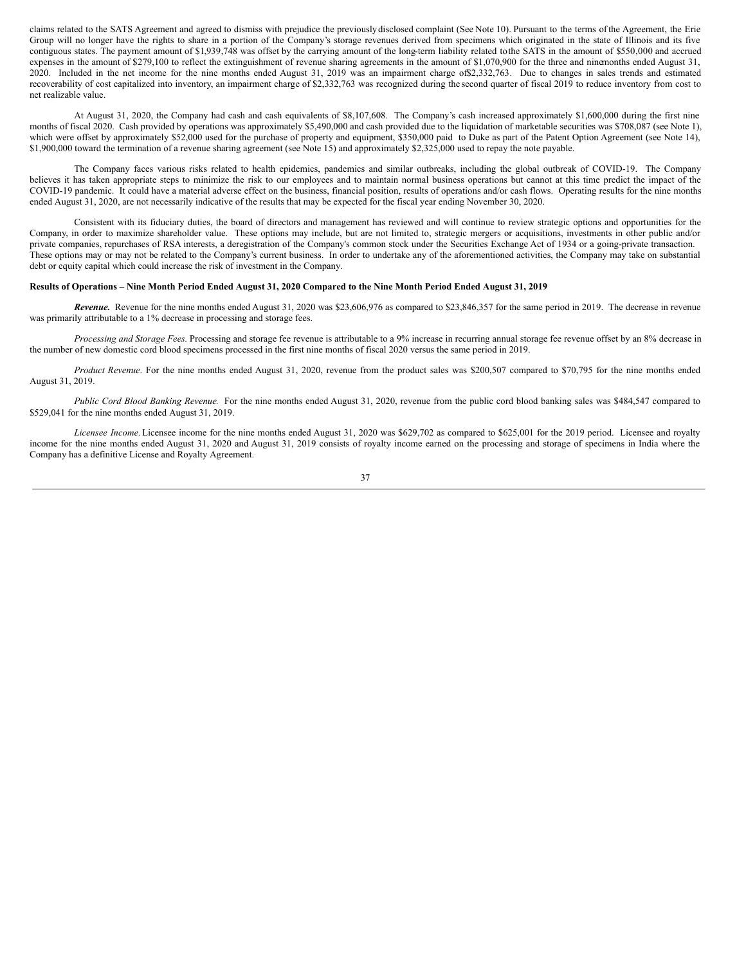claims related to the SATS Agreement and agreed to dismiss with prejudice the previouslydisclosed complaint (See Note 10). Pursuant to the terms ofthe Agreement, the Erie Group will no longer have the rights to share in a portion of the Company's storage revenues derived from specimens which originated in the state of Illinois and its five contiguous states. The payment amount of \$1,939,748 was offset by the carrying amount of the long-term liability related tothe SATS in the amount of \$550,000 and accrued expenses in the amount of \$279,100 to reflect the extinguishment of revenue sharing agreements in the amount of \$1,070,900 for the three and ninemonths ended August 31, 2020. Included in the net income for the nine months ended August 31, 2019 was an impairment charge of\$2,332,763. Due to changes in sales trends and estimated recoverability of cost capitalized into inventory, an impairment charge of \$2,332,763 was recognized during the second quarter of fiscal 2019 to reduce inventory from cost to net realizable value.

At August 31, 2020, the Company had cash and cash equivalents of \$8,107,608. The Company's cash increased approximately \$1,600,000 during the first nine months of fiscal 2020. Cash provided by operations was approximately \$5,490,000 and cash provided due to the liquidation of marketable securities was \$708,087 (see Note 1), which were offset by approximately \$52,000 used for the purchase of property and equipment, \$350,000 paid to Duke as part of the Patent Option Agreement (see Note 14), \$1,900,000 toward the termination of a revenue sharing agreement (see Note 15) and approximately \$2,325,000 used to repay the note payable.

The Company faces various risks related to health epidemics, pandemics and similar outbreaks, including the global outbreak of COVID-19. The Company believes it has taken appropriate steps to minimize the risk to our employees and to maintain normal business operations but cannot at this time predict the impact of the COVID-19 pandemic. It could have a material adverse effect on the business, financial position, results of operations and/or cash flows. Operating results for the nine months ended August 31, 2020, are not necessarily indicative of the results that may be expected for the fiscal year ending November 30, 2020.

Consistent with its fiduciary duties, the board of directors and management has reviewed and will continue to review strategic options and opportunities for the Company, in order to maximize shareholder value. These options may include, but are not limited to, strategic mergers or acquisitions, investments in other public and/or private companies, repurchases of RSA interests, a deregistration of the Company's common stock under the Securities Exchange Act of 1934 or a going-private transaction. These options may or may not be related to the Company's current business. In order to undertake any of the aforementioned activities, the Company may take on substantial debt or equity capital which could increase the risk of investment in the Company.

### Results of Operations - Nine Month Period Ended August 31, 2020 Compared to the Nine Month Period Ended August 31, 2019

*Revenue.* Revenue for the nine months ended August 31, 2020 was \$23,606,976 as compared to \$23,846,357 for the same period in 2019. The decrease in revenue was primarily attributable to a 1% decrease in processing and storage fees.

*Processing and Storage Fees.* Processing and storage fee revenue is attributable to a 9% increase in recurring annual storage fee revenue offset by an 8% decrease in the number of new domestic cord blood specimens processed in the first nine months of fiscal 2020 versus the same period in 2019.

*Product Revenue*. For the nine months ended August 31, 2020, revenue from the product sales was \$200,507 compared to \$70,795 for the nine months ended August 31, 2019.

Public Cord Blood Banking Revenue. For the nine months ended August 31, 2020, revenue from the public cord blood banking sales was \$484,547 compared to \$529,041 for the nine months ended August 31, 2019.

*Licensee Income.*Licensee income for the nine months ended August 31, 2020 was \$629,702 as compared to \$625,001 for the 2019 period. Licensee and royalty income for the nine months ended August 31, 2020 and August 31, 2019 consists of royalty income earned on the processing and storage of specimens in India where the Company has a definitive License and Royalty Agreement.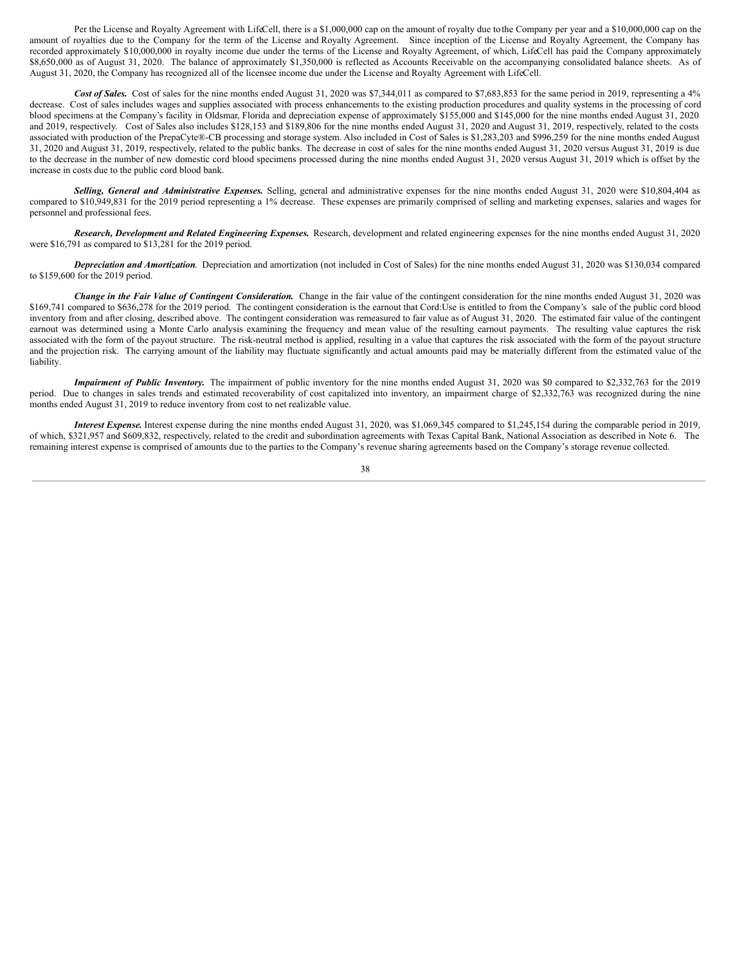Per the License and Royalty Agreement with LifeCell, there is a \$1,000,000 cap on the amount of royalty due to the Company per year and a \$10,000,000 cap on the amount of royalties due to the Company for the term of the License and Royalty Agreement. Since inception of the License and Royalty Agreement, the Company has recorded approximately \$10,000,000 in royalty income due under the terms of the License and Royalty Agreement, of which, LifeCell has paid the Company approximately \$8,650,000 as of August 31, 2020. The balance of approximately \$1,350,000 is reflected as Accounts Receivable on the accompanying consolidated balance sheets. As of August 31, 2020, the Company has recognized all of the licensee income due under the License and Royalty Agreement with LifeCell.

Cost of Sales. Cost of sales for the nine months ended August 31, 2020 was \$7,344,011 as compared to \$7,683,853 for the same period in 2019, representing a 4% decrease. Cost of sales includes wages and supplies associated with process enhancements to the existing production procedures and quality systems in the processing of cord blood specimens at the Company's facility in Oldsmar, Florida and depreciation expense of approximately \$155,000 and \$145,000 for the nine months ended August 31, 2020 and 2019, respectively. Cost of Sales also includes \$128,153 and \$189,806 for the nine months ended August 31, 2020 and August 31, 2019, respectively, related to the costs associated with production of the PrepaCyte®-CB processing and storage system. Also included in Cost of Sales is \$1,283,203 and \$996,259 for the nine months ended August 31, 2020 and August 31, 2019, respectively, related to the public banks. The decrease in cost of sales for the nine months ended August 31, 2020 versus August 31, 2019 is due to the decrease in the number of new domestic cord blood specimens processed during the nine months ended August 31, 2020 versus August 31, 2019 which is offset by the increase in costs due to the public cord blood bank.

*Selling, General and Administrative Expenses.* Selling, general and administrative expenses for the nine months ended August 31, 2020 were \$10,804,404 as compared to \$10,949,831 for the 2019 period representing a 1% decrease. These expenses are primarily comprised of selling and marketing expenses, salaries and wages for personnel and professional fees.

*Research, Development and Related Engineering Expenses.* Research, development and related engineering expenses for the nine months ended August 31, 2020 were \$16,791 as compared to \$13,281 for the 2019 period.

*Depreciation and Amortization*. Depreciation and amortization (not included in Cost of Sales) for the nine months ended August 31, 2020 was \$130,034 compared to \$159,600 for the 2019 period.

*Change in the Fair Value of Contingent Consideration.* Change in the fair value of the contingent consideration for the nine months ended August 31, 2020 was \$169,741 compared to \$636,278 for the 2019 period. The contingent consideration is the earnout that Cord:Use is entitled to from the Company's sale of the public cord blood inventory from and after closing, described above. The contingent consideration was remeasured to fair value as of August 31, 2020. The estimated fair value of the contingent earnout was determined using a Monte Carlo analysis examining the frequency and mean value of the resulting earnout payments. The resulting value captures the risk associated with the form of the payout structure. The risk-neutral method is applied, resulting in a value that captures the risk associated with the form of the payout structure and the projection risk. The carrying amount of the liability may fluctuate significantly and actual amounts paid may be materially different from the estimated value of the liability.

*Impairment of Public Inventory.* The impairment of public inventory for the nine months ended August 31, 2020 was \$0 compared to \$2,332,763 for the 2019 period. Due to changes in sales trends and estimated recoverability of cost capitalized into inventory, an impairment charge of \$2,332,763 was recognized during the nine months ended August 31, 2019 to reduce inventory from cost to net realizable value.

*Interest Expense*. Interest expense during the nine months ended August 31, 2020, was \$1,069,345 compared to \$1,245,154 during the comparable period in 2019, of which, \$321,957 and \$609,832, respectively, related to the credit and subordination agreements with Texas Capital Bank, National Association as described in Note 6. The remaining interest expense is comprised of amounts due to the parties to the Company's revenue sharing agreements based on the Company's storage revenue collected.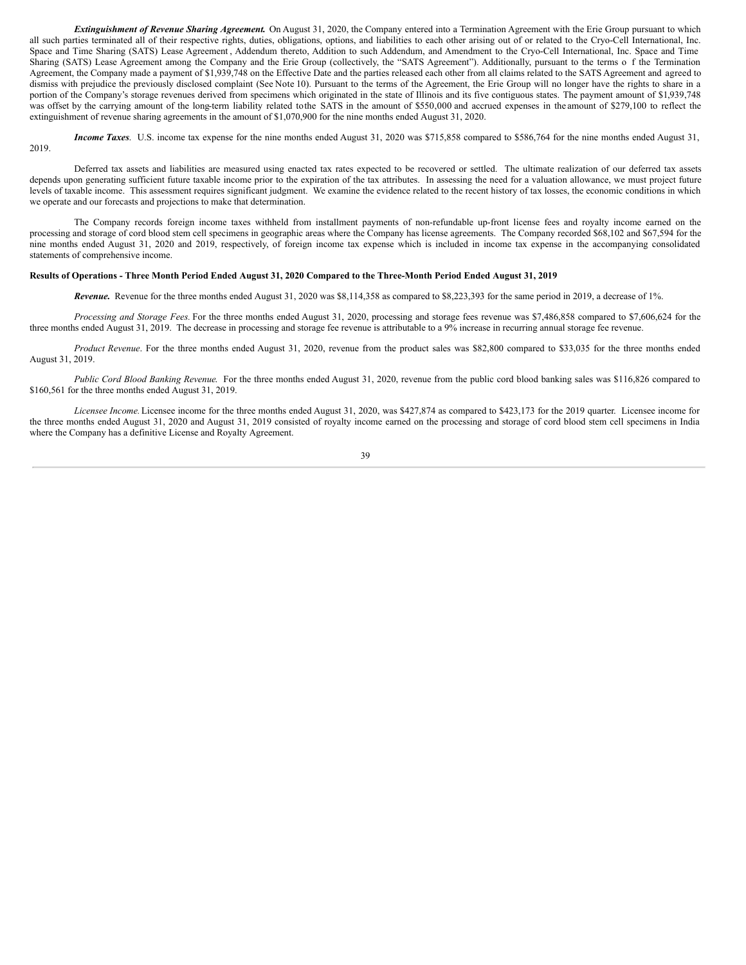*Extinguishment of Revenue Sharing Agreement.* On August 31, 2020, the Company entered into a Termination Agreement with the Erie Group pursuant to which all such parties terminated all of their respective rights, duties, obligations, options, and liabilities to each other arising out of or related to the Cryo-Cell International, Inc. Space and Time Sharing (SATS) Lease Agreement , Addendum thereto, Addition to such Addendum, and Amendment to the Cryo-Cell International, Inc. Space and Time Sharing (SATS) Lease Agreement among the Company and the Erie Group (collectively, the "SATS Agreement"). Additionally, pursuant to the terms o f the Termination Agreement, the Company made a payment of \$1,939,748 on the Effective Date and the parties released each other from all claims related to the SATS Agreement and agreed to dismiss with prejudice the previously disclosed complaint (See Note 10). Pursuant to the terms of the Agreement, the Erie Group will no longer have the rights to share in a portion of the Company's storage revenues derived from specimens which originated in the state of Illinois and its five contiguous states. The payment amount of \$1,939,748 was offset by the carrying amount of the long-term liability related tothe SATS in the amount of \$550,000 and accrued expenses in the amount of \$279,100 to reflect the extinguishment of revenue sharing agreements in the amount of \$1,070,900 for the nine months ended August 31, 2020.

*Income Taxes*. U.S. income tax expense for the nine months ended August 31, 2020 was \$715,858 compared to \$586,764 for the nine months ended August 31, 2019.

Deferred tax assets and liabilities are measured using enacted tax rates expected to be recovered or settled. The ultimate realization of our deferred tax assets depends upon generating sufficient future taxable income prior to the expiration of the tax attributes. In assessing the need for a valuation allowance, we must project future levels of taxable income. This assessment requires significant judgment. We examine the evidence related to the recent history of tax losses, the economic conditions in which we operate and our forecasts and projections to make that determination.

The Company records foreign income taxes withheld from installment payments of non-refundable up-front license fees and royalty income earned on the processing and storage of cord blood stem cell specimens in geographic areas where the Company has license agreements. The Company recorded \$68,102 and \$67,594 for the nine months ended August 31, 2020 and 2019, respectively, of foreign income tax expense which is included in income tax expense in the accompanying consolidated statements of comprehensive income.

### Results of Operations - Three Month Period Ended August 31, 2020 Compared to the Three-Month Period Ended August 31, 2019

*Revenue.* Revenue for the three months ended August 31, 2020 was \$8,114,358 as compared to \$8,223,393 for the same period in 2019, a decrease of 1%.

*Processing and Storage Fees.* For the three months ended August 31, 2020, processing and storage fees revenue was \$7,486,858 compared to \$7,606,624 for the three months ended August 31, 2019. The decrease in processing and storage fee revenue is attributable to a 9% increase in recurring annual storage fee revenue.

*Product Revenue*. For the three months ended August 31, 2020, revenue from the product sales was \$82,800 compared to \$33,035 for the three months ended August 31, 2019.

*Public Cord Blood Banking Revenue*. For the three months ended August 31, 2020, revenue from the public cord blood banking sales was \$116,826 compared to \$160,561 for the three months ended August 31, 2019.

*Licensee Income.*Licensee income for the three months ended August 31, 2020, was \$427,874 as compared to \$423,173 for the 2019 quarter. Licensee income for the three months ended August 31, 2020 and August 31, 2019 consisted of royalty income earned on the processing and storage of cord blood stem cell specimens in India where the Company has a definitive License and Royalty Agreement.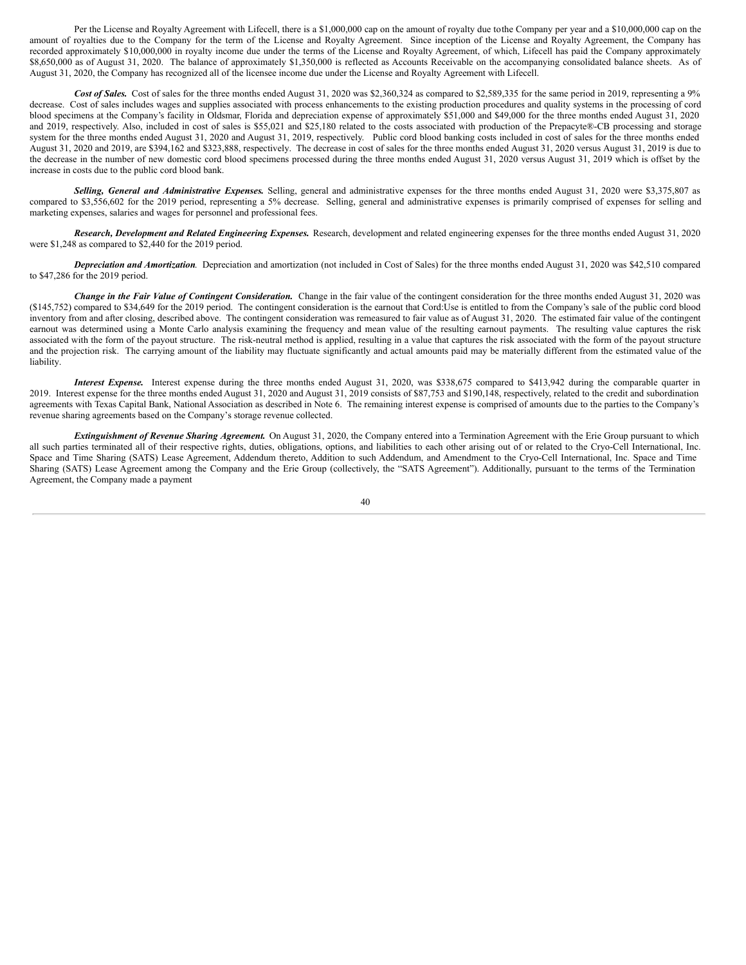Per the License and Royalty Agreement with Lifecell, there is a \$1,000,000 cap on the amount of royalty due tothe Company per year and a \$10,000,000 cap on the amount of royalties due to the Company for the term of the License and Royalty Agreement. Since inception of the License and Royalty Agreement, the Company has recorded approximately \$10,000,000 in royalty income due under the terms of the License and Royalty Agreement, of which, Lifecell has paid the Company approximately \$8,650,000 as of August 31, 2020. The balance of approximately \$1,350,000 is reflected as Accounts Receivable on the accompanying consolidated balance sheets. As of August 31, 2020, the Company has recognized all of the licensee income due under the License and Royalty Agreement with Lifecell.

*Cost of Sales.* Cost of sales for the three months ended August 31, 2020 was \$2,360,324 as compared to \$2,589,335 for the same period in 2019, representing a 9% decrease. Cost of sales includes wages and supplies associated with process enhancements to the existing production procedures and quality systems in the processing of cord blood specimens at the Company's facility in Oldsmar, Florida and depreciation expense of approximately \$51,000 and \$49,000 for the three months ended August 31, 2020 and 2019, respectively. Also, included in cost of sales is \$55,021 and \$25,180 related to the costs associated with production of the Prepacyte®-CB processing and storage system for the three months ended August 31, 2020 and August 31, 2019, respectively. Public cord blood banking costs included in cost of sales for the three months ended August 31, 2020 and 2019, are \$394,162 and \$323,888, respectively. The decrease in cost of sales for the three months ended August 31, 2020 versus August 31, 2019 is due to the decrease in the number of new domestic cord blood specimens processed during the three months ended August 31, 2020 versus August 31, 2019 which is offset by the increase in costs due to the public cord blood bank.

*Selling, General and Administrative Expenses.* Selling, general and administrative expenses for the three months ended August 31, 2020 were \$3,375,807 as compared to \$3,556,602 for the 2019 period, representing a 5% decrease. Selling, general and administrative expenses is primarily comprised of expenses for selling and marketing expenses, salaries and wages for personnel and professional fees.

*Research, Development and Related Engineering Expenses.* Research, development and related engineering expenses for the three months ended August 31, 2020 were \$1,248 as compared to \$2,440 for the 2019 period.

*Depreciation and Amortization*. Depreciation and amortization (not included in Cost of Sales) for the three months ended August 31, 2020 was \$42,510 compared to \$47,286 for the 2019 period.

*Change in the Fair Value of Contingent Consideration.* Change in the fair value of the contingent consideration for the three months ended August 31, 2020 was (\$145,752) compared to \$34,649 for the 2019 period. The contingent consideration is the earnout that Cord:Use is entitled to from the Company's sale of the public cord blood inventory from and after closing, described above. The contingent consideration was remeasured to fair value as of August 31, 2020. The estimated fair value of the contingent earnout was determined using a Monte Carlo analysis examining the frequency and mean value of the resulting earnout payments. The resulting value captures the risk associated with the form of the payout structure. The risk-neutral method is applied, resulting in a value that captures the risk associated with the form of the payout structure and the projection risk. The carrying amount of the liability may fluctuate significantly and actual amounts paid may be materially different from the estimated value of the liability.

*Interest Expense.* Interest expense during the three months ended August 31, 2020, was \$338,675 compared to \$413,942 during the comparable quarter in 2019. Interest expense for the three months ended August 31, 2020 and August 31, 2019 consists of \$87,753 and \$190,148, respectively, related to the credit and subordination agreements with Texas Capital Bank, National Association as described in Note 6. The remaining interest expense is comprised of amounts due to the parties to the Company's revenue sharing agreements based on the Company's storage revenue collected.

*Extinguishment of Revenue Sharing Agreement.* On August 31, 2020, the Company entered into a Termination Agreement with the Erie Group pursuant to which all such parties terminated all of their respective rights, duties, obligations, options, and liabilities to each other arising out of or related to the Cryo-Cell International, Inc. Space and Time Sharing (SATS) Lease Agreement, Addendum thereto, Addition to such Addendum, and Amendment to the Cryo-Cell International, Inc. Space and Time Sharing (SATS) Lease Agreement among the Company and the Erie Group (collectively, the "SATS Agreement"). Additionally, pursuant to the terms of the Termination Agreement, the Company made a payment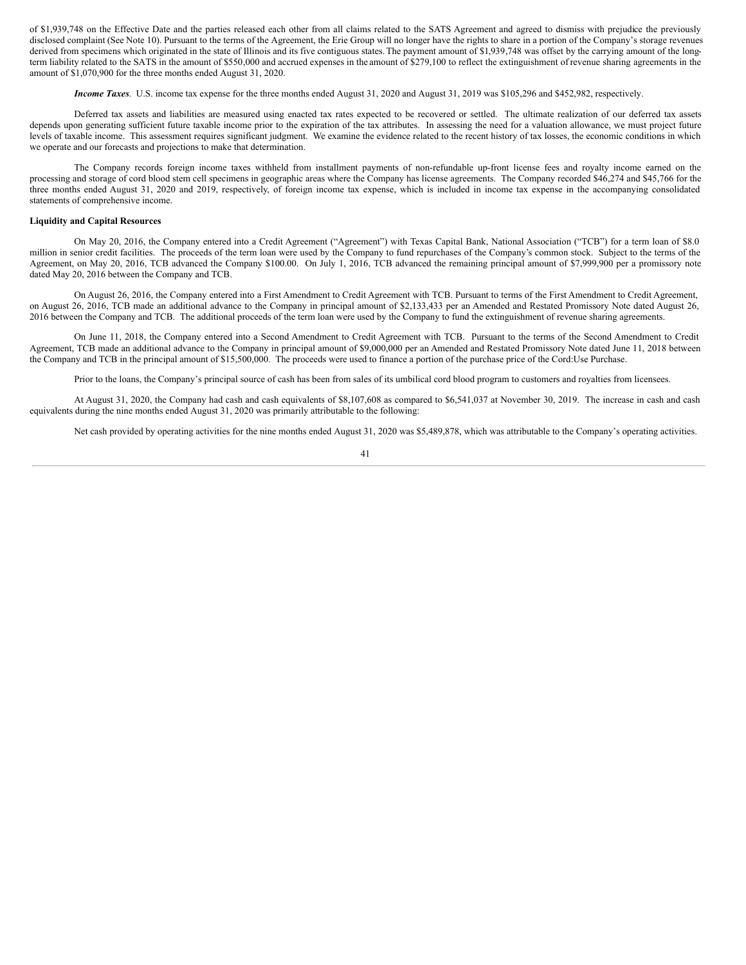of \$1,939,748 on the Effective Date and the parties released each other from all claims related to the SATS Agreement and agreed to dismiss with prejudice the previously disclosed complaint (See Note 10). Pursuant to the terms of the Agreement, the Erie Group will no longer have the rights to share in a portion of the Company's storage revenues derived from specimens which originated in the state of Illinois and its five contiguous states. The payment amount of \$1,939,748 was offset by the carrying amount of the longterm liability related to the SATS in the amount of \$550,000 and accrued expenses in the amount of \$279,100 to reflect the extinguishment of revenue sharing agreements in the amount of \$1,070,900 for the three months ended August 31, 2020.

*Income Taxes*. U.S. income tax expense for the three months ended August 31, 2020 and August 31, 2019 was \$105,296 and \$452,982, respectively.

Deferred tax assets and liabilities are measured using enacted tax rates expected to be recovered or settled. The ultimate realization of our deferred tax assets depends upon generating sufficient future taxable income prior to the expiration of the tax attributes. In assessing the need for a valuation allowance, we must project future levels of taxable income. This assessment requires significant judgment. We examine the evidence related to the recent history of tax losses, the economic conditions in which we operate and our forecasts and projections to make that determination.

The Company records foreign income taxes withheld from installment payments of non-refundable up-front license fees and royalty income earned on the processing and storage of cord blood stem cell specimens in geographic areas where the Company has license agreements. The Company recorded \$46,274 and \$45,766 for the three months ended August 31, 2020 and 2019, respectively, of foreign income tax expense, which is included in income tax expense in the accompanying consolidated statements of comprehensive income.

### **Liquidity and Capital Resources**

On May 20, 2016, the Company entered into a Credit Agreement ("Agreement") with Texas Capital Bank, National Association ("TCB") for a term loan of \$8.0 million in senior credit facilities. The proceeds of the term loan were used by the Company to fund repurchases of the Company's common stock. Subject to the terms of the Agreement, on May 20, 2016, TCB advanced the Company \$100.00. On July 1, 2016, TCB advanced the remaining principal amount of \$7,999,900 per a promissory note dated May 20, 2016 between the Company and TCB.

On August 26, 2016, the Company entered into a First Amendment to Credit Agreement with TCB. Pursuant to terms of the First Amendment to Credit Agreement, on August 26, 2016, TCB made an additional advance to the Company in principal amount of \$2,133,433 per an Amended and Restated Promissory Note dated August 26, 2016 between the Company and TCB. The additional proceeds of the term loan were used by the Company to fund the extinguishment of revenue sharing agreements.

On June 11, 2018, the Company entered into a Second Amendment to Credit Agreement with TCB. Pursuant to the terms of the Second Amendment to Credit Agreement, TCB made an additional advance to the Company in principal amount of \$9,000,000 per an Amended and Restated Promissory Note dated June 11, 2018 between the Company and TCB in the principal amount of \$15,500,000. The proceeds were used to finance a portion of the purchase price of the Cord:Use Purchase.

Prior to the loans, the Company's principal source of cash has been from sales of its umbilical cord blood program to customers and royalties from licensees.

At August 31, 2020, the Company had cash and cash equivalents of \$8,107,608 as compared to \$6,541,037 at November 30, 2019. The increase in cash and cash equivalents during the nine months ended August 31, 2020 was primarily attributable to the following:

Net cash provided by operating activities for the nine months ended August 31, 2020 was \$5,489,878, which was attributable to the Company's operating activities.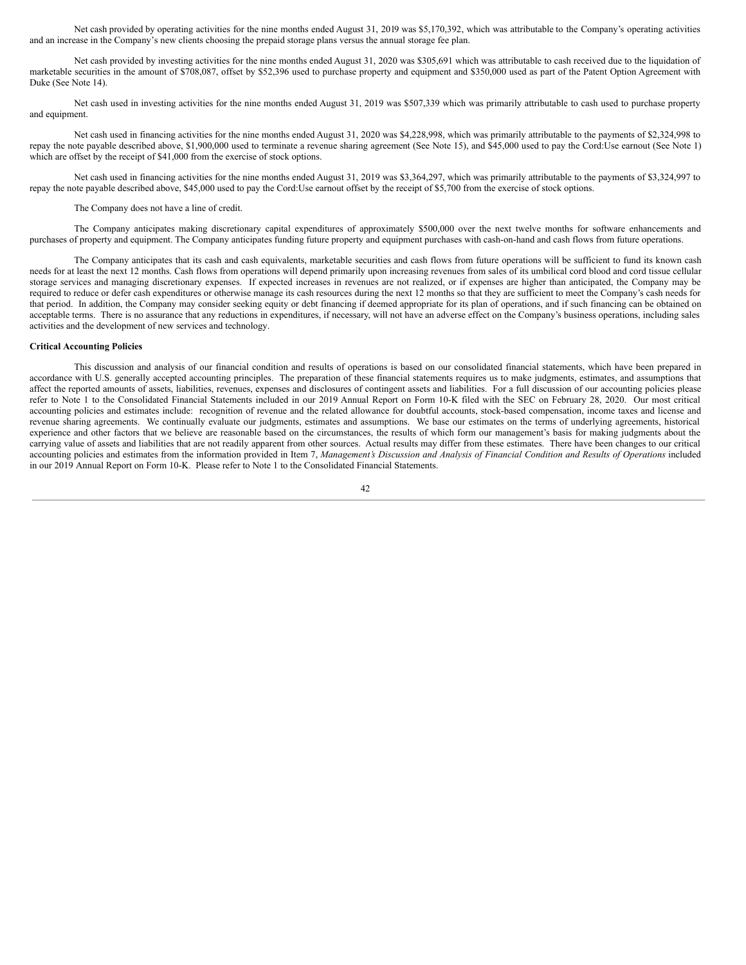Net cash provided by operating activities for the nine months ended August 31, 2019 was \$5,170,392, which was attributable to the Company's operating activities and an increase in the Company's new clients choosing the prepaid storage plans versus the annual storage fee plan.

Net cash provided by investing activities for the nine months ended August 31, 2020 was \$305,691 which was attributable to cash received due to the liquidation of marketable securities in the amount of \$708,087, offset by \$52,396 used to purchase property and equipment and \$350,000 used as part of the Patent Option Agreement with Duke (See Note 14).

Net cash used in investing activities for the nine months ended August 31, 2019 was \$507,339 which was primarily attributable to cash used to purchase property and equipment.

Net cash used in financing activities for the nine months ended August 31, 2020 was \$4,228,998, which was primarily attributable to the payments of \$2,324,998 to repay the note payable described above, \$1,900,000 used to terminate a revenue sharing agreement (See Note 15), and \$45,000 used to pay the Cord:Use earnout (See Note 1) which are offset by the receipt of \$41,000 from the exercise of stock options.

Net cash used in financing activities for the nine months ended August 31, 2019 was \$3,364,297, which was primarily attributable to the payments of \$3,324,997 to repay the note payable described above, \$45,000 used to pay the Cord:Use earnout offset by the receipt of \$5,700 from the exercise of stock options.

The Company does not have a line of credit.

The Company anticipates making discretionary capital expenditures of approximately \$500,000 over the next twelve months for software enhancements and purchases of property and equipment. The Company anticipates funding future property and equipment purchases with cash-on-hand and cash flows from future operations.

The Company anticipates that its cash and cash equivalents, marketable securities and cash flows from future operations will be sufficient to fund its known cash needs for at least the next 12 months. Cash flows from operations will depend primarily upon increasing revenues from sales of its umbilical cord blood and cord tissue cellular storage services and managing discretionary expenses. If expected increases in revenues are not realized, or if expenses are higher than anticipated, the Company may be required to reduce or defer cash expenditures or otherwise manage its cash resources during the next 12 months so that they are sufficient to meet the Company's cash needs for that period. In addition, the Company may consider seeking equity or debt financing if deemed appropriate for its plan of operations, and if such financing can be obtained on acceptable terms. There is no assurance that any reductions in expenditures, if necessary, will not have an adverse effect on the Company's business operations, including sales activities and the development of new services and technology.

### **Critical Accounting Policies**

This discussion and analysis of our financial condition and results of operations is based on our consolidated financial statements, which have been prepared in accordance with U.S. generally accepted accounting principles. The preparation of these financial statements requires us to make judgments, estimates, and assumptions that affect the reported amounts of assets, liabilities, revenues, expenses and disclosures of contingent assets and liabilities. For a full discussion of our accounting policies please refer to Note 1 to the Consolidated Financial Statements included in our 2019 Annual Report on Form 10-K filed with the SEC on February 28, 2020. Our most critical accounting policies and estimates include: recognition of revenue and the related allowance for doubtful accounts, stock-based compensation, income taxes and license and revenue sharing agreements. We continually evaluate our judgments, estimates and assumptions. We base our estimates on the terms of underlying agreements, historical experience and other factors that we believe are reasonable based on the circumstances, the results of which form our management's basis for making judgments about the carrying value of assets and liabilities that are not readily apparent from other sources. Actual results may differ from these estimates. There have been changes to our critical accounting policies and estimates from the information provided in Item 7, Management's Discussion and Analysis of Financial Condition and Results of Operations included in our 2019 Annual Report on Form 10-K. Please refer to Note 1 to the Consolidated Financial Statements.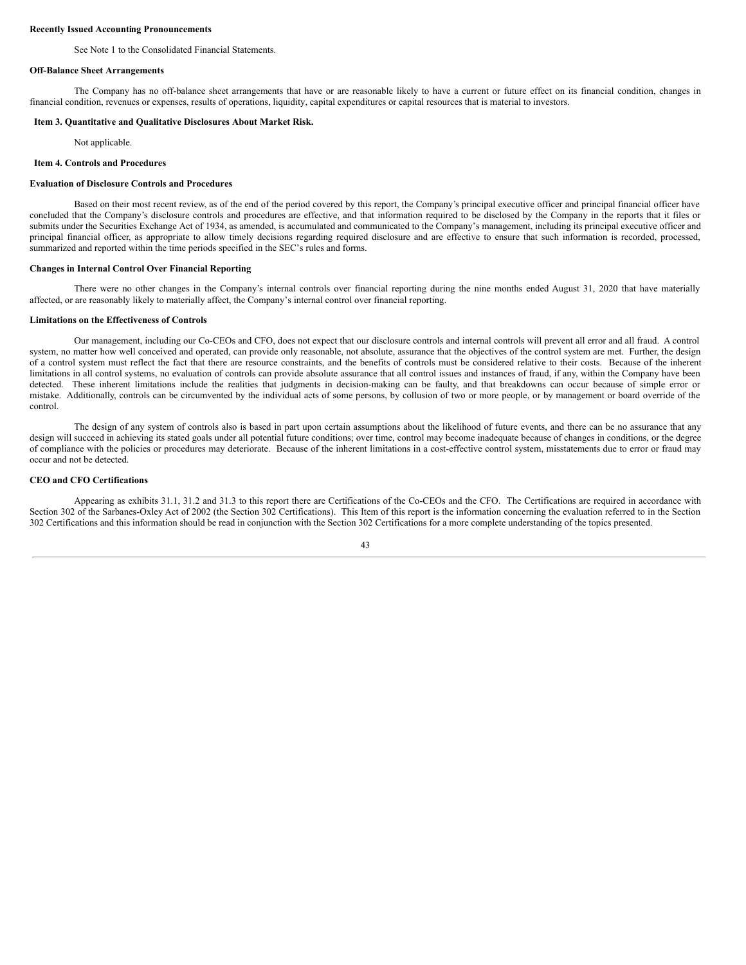#### See Note 1 to the Consolidated Financial Statements.

#### **Off-Balance Sheet Arrangements**

The Company has no off-balance sheet arrangements that have or are reasonable likely to have a current or future effect on its financial condition, changes in financial condition, revenues or expenses, results of operations, liquidity, capital expenditures or capital resources that is material to investors.

#### <span id="page-42-0"></span>**Item 3. Quantitative and Qualitative Disclosures About Market Risk.**

Not applicable.

#### <span id="page-42-1"></span>**Item 4. Controls and Procedures**

#### **Evaluation of Disclosure Controls and Procedures**

Based on their most recent review, as of the end of the period covered by this report, the Company's principal executive officer and principal financial officer have concluded that the Company's disclosure controls and procedures are effective, and that information required to be disclosed by the Company in the reports that it files or submits under the Securities Exchange Act of 1934, as amended, is accumulated and communicated to the Company's management, including its principal executive officer and principal financial officer, as appropriate to allow timely decisions regarding required disclosure and are effective to ensure that such information is recorded, processed, summarized and reported within the time periods specified in the SEC's rules and forms.

### **Changes in Internal Control Over Financial Reporting**

There were no other changes in the Company's internal controls over financial reporting during the nine months ended August 31, 2020 that have materially affected, or are reasonably likely to materially affect, the Company's internal control over financial reporting.

#### **Limitations on the Effectiveness of Controls**

Our management, including our Co-CEOs and CFO, does not expect that our disclosure controls and internal controls will prevent all error and all fraud. A control system, no matter how well conceived and operated, can provide only reasonable, not absolute, assurance that the objectives of the control system are met. Further, the design of a control system must reflect the fact that there are resource constraints, and the benefits of controls must be considered relative to their costs. Because of the inherent limitations in all control systems, no evaluation of controls can provide absolute assurance that all control issues and instances of fraud, if any, within the Company have been detected. These inherent limitations include the realities that judgments in decision-making can be faulty, and that breakdowns can occur because of simple error or mistake. Additionally, controls can be circumvented by the individual acts of some persons, by collusion of two or more people, or by management or board override of the control.

The design of any system of controls also is based in part upon certain assumptions about the likelihood of future events, and there can be no assurance that any design will succeed in achieving its stated goals under all potential future conditions; over time, control may become inadequate because of changes in conditions, or the degree of compliance with the policies or procedures may deteriorate. Because of the inherent limitations in a cost-effective control system, misstatements due to error or fraud may occur and not be detected.

### **CEO and CFO Certifications**

Appearing as exhibits 31.1, 31.2 and 31.3 to this report there are Certifications of the Co-CEOs and the CFO. The Certifications are required in accordance with Section 302 of the Sarbanes-Oxley Act of 2002 (the Section 302 Certifications). This Item of this report is the information concerning the evaluation referred to in the Section 302 Certifications and this information should be read in conjunction with the Section 302 Certifications for a more complete understanding of the topics presented.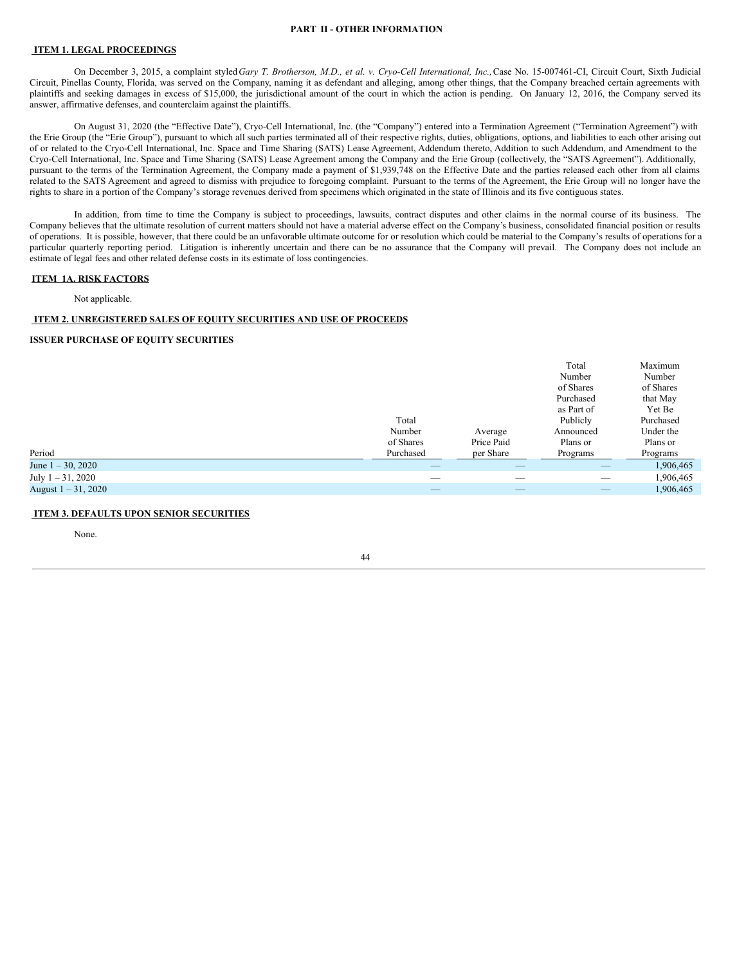### <span id="page-43-0"></span>**PART II - OTHER INFORMATION**

### <span id="page-43-1"></span>**ITEM 1. LEGAL PROCEEDINGS**

On December 3, 2015, a complaint styled Gary T. Brotherson, M.D., et al. v. Cryo-Cell International, Inc., Case No. 15-007461-CI, Circuit Court, Sixth Judicial Circuit, Pinellas County, Florida, was served on the Company, naming it as defendant and alleging, among other things, that the Company breached certain agreements with plaintiffs and seeking damages in excess of \$15,000, the jurisdictional amount of the court in which the action is pending. On January 12, 2016, the Company served its answer, affirmative defenses, and counterclaim against the plaintiffs.

On August 31, 2020 (the "Effective Date"), Cryo-Cell International, Inc. (the "Company") entered into a Termination Agreement ("Termination Agreement") with the Erie Group (the "Erie Group"), pursuant to which all such parties terminated all of their respective rights, duties, obligations, options, and liabilities to each other arising out of or related to the Cryo-Cell International, Inc. Space and Time Sharing (SATS) Lease Agreement, Addendum thereto, Addition to such Addendum, and Amendment to the Cryo-Cell International, Inc. Space and Time Sharing (SATS) Lease Agreement among the Company and the Erie Group (collectively, the "SATS Agreement"). Additionally, pursuant to the terms of the Termination Agreement, the Company made a payment of \$1,939,748 on the Effective Date and the parties released each other from all claims related to the SATS Agreement and agreed to dismiss with prejudice to foregoing complaint. Pursuant to the terms of the Agreement, the Erie Group will no longer have the rights to share in a portion of the Company's storage revenues derived from specimens which originated in the state of Illinois and its five contiguous states.

In addition, from time to time the Company is subject to proceedings, lawsuits, contract disputes and other claims in the normal course of its business. The Company believes that the ultimate resolution of current matters should not have a material adverse effect on the Company's business, consolidated financial position or results of operations. It is possible, however, that there could be an unfavorable ultimate outcome for or resolution which could be material to the Company's results of operations for a particular quarterly reporting period. Litigation is inherently uncertain and there can be no assurance that the Company will prevail. The Company does not include an estimate of legal fees and other related defense costs in its estimate of loss contingencies.

#### <span id="page-43-2"></span>**ITEM 1A. RISK FACTORS**

Not applicable.

### <span id="page-43-3"></span>**ITEM 2. UNREGISTERED SALES OF EQUITY SECURITIES AND USE OF PROCEEDS**

### **ISSUER PURCHASE OF EQUITY SECURITIES**

|                        | Total     |            | Total<br>Number<br>of Shares<br>Purchased<br>as Part of<br>Publicly | Maximum<br>Number<br>of Shares<br>that May<br>Yet Be<br>Purchased |
|------------------------|-----------|------------|---------------------------------------------------------------------|-------------------------------------------------------------------|
|                        | Number    | Average    | Announced                                                           | Under the                                                         |
|                        | of Shares | Price Paid | Plans or                                                            | Plans or                                                          |
| Period                 | Purchased | per Share  | Programs                                                            | Programs                                                          |
| June $1 - 30$ , 2020   |           |            | $\qquad \qquad - \qquad$                                            | 1,906,465                                                         |
| July $1 - 31$ , 2020   | _         | _          | $\hspace{0.05cm}$                                                   | 1,906,465                                                         |
| August $1 - 31$ , 2020 | _         | _          | $\qquad \qquad - \qquad$                                            | 1,906,465                                                         |

### <span id="page-43-4"></span>**ITEM 3. DEFAULTS UPON SENIOR SECURITIES**

None.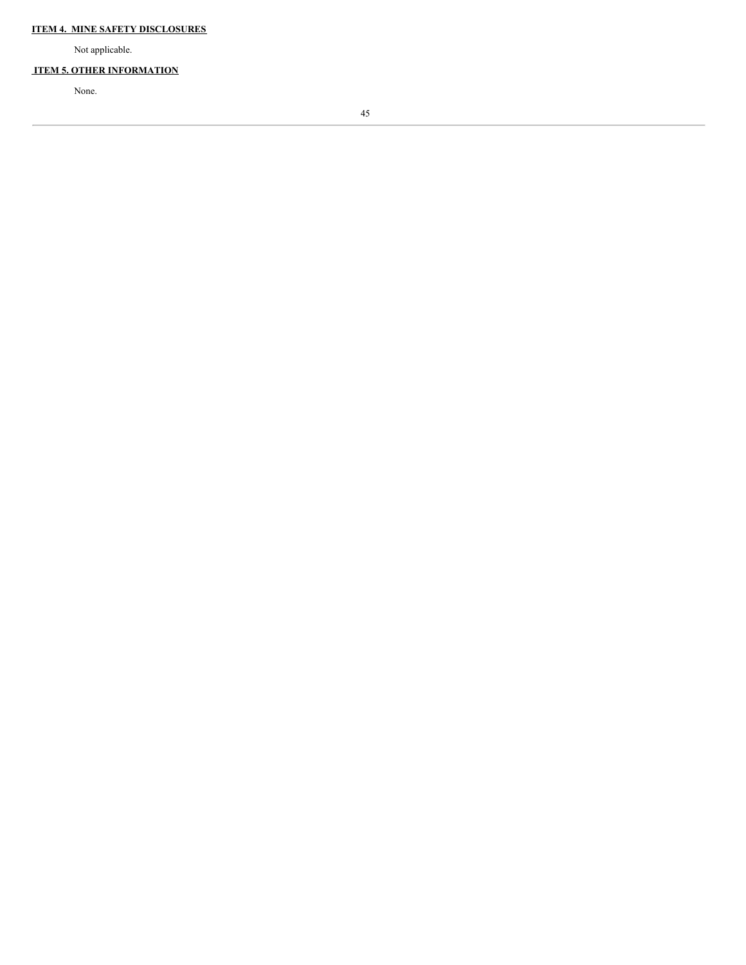# <span id="page-44-0"></span>**ITEM 4. MINE SAFETY DISCLOSURES**

Not applicable.

# <span id="page-44-1"></span>**ITEM 5. OTHER INFORMATION**

None.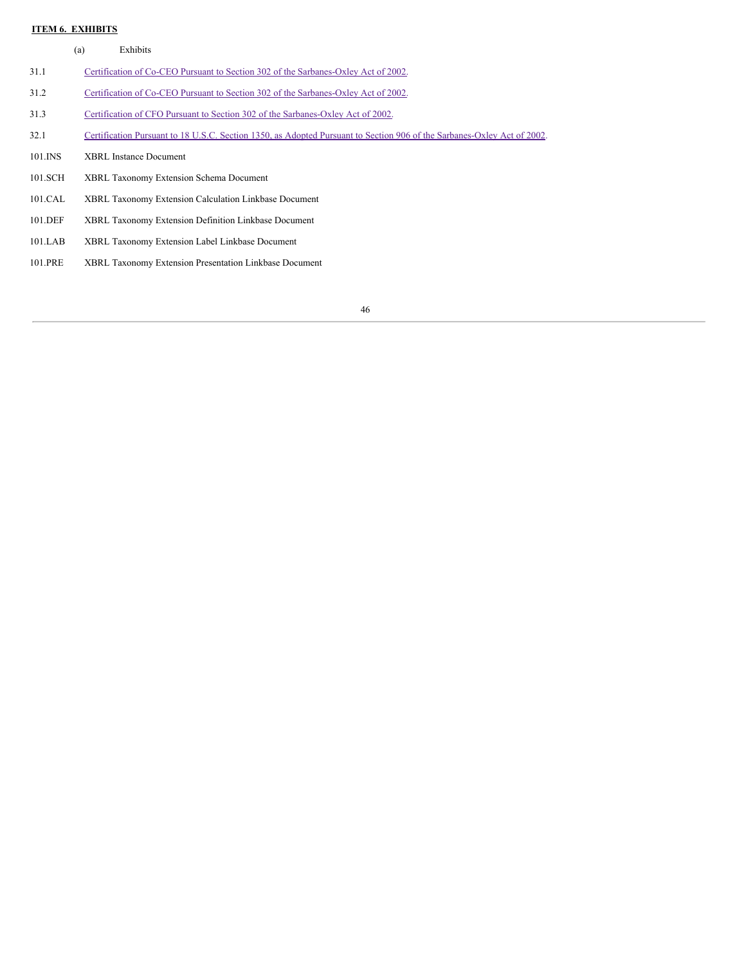# <span id="page-45-0"></span>**ITEM 6. EXHIBITS**

|         | (a)<br>Exhibits                                                                                                         |
|---------|-------------------------------------------------------------------------------------------------------------------------|
| 31.1    | Certification of Co-CEO Pursuant to Section 302 of the Sarbanes-Oxley Act of 2002.                                      |
| 31.2    | Certification of Co-CEO Pursuant to Section 302 of the Sarbanes-Oxley Act of 2002.                                      |
| 31.3    | Certification of CFO Pursuant to Section 302 of the Sarbanes-Oxley Act of 2002.                                         |
| 32.1    | Certification Pursuant to 18 U.S.C. Section 1350, as Adopted Pursuant to Section 906 of the Sarbanes-Oxley Act of 2002. |
| 101.INS | <b>XBRL Instance Document</b>                                                                                           |
| 101.SCH | <b>XBRL Taxonomy Extension Schema Document</b>                                                                          |
| 101.CAL | <b>XBRL Taxonomy Extension Calculation Linkbase Document</b>                                                            |
| 101.DEF | <b>XBRL Taxonomy Extension Definition Linkbase Document</b>                                                             |
| 101.LAB | XBRL Taxonomy Extension Label Linkbase Document                                                                         |
| 101.PRE | <b>XBRL Taxonomy Extension Presentation Linkbase Document</b>                                                           |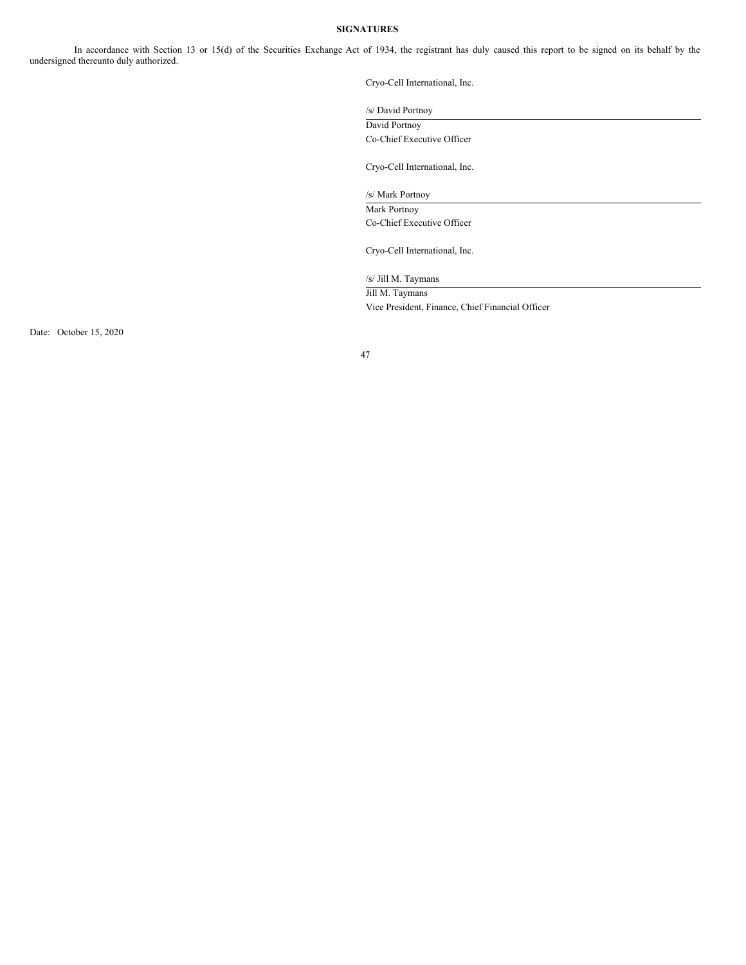### <span id="page-46-0"></span>**SIGNATURES**

In accordance with Section 13 or 15(d) of the Securities Exchange Act of 1934, the registrant has duly caused this report to be signed on its behalf by the undersigned thereunto duly authorized.

Cryo-Cell International, Inc.

/s/ David Portnoy David Portnoy Co-Chief Executive Officer

Cryo-Cell International, Inc.

/s/ Mark Portnoy

Mark Portnoy Co-Chief Executive Officer

Cryo-Cell International, Inc.

/s/ Jill M. Taymans

Jill M. Taymans

Vice President, Finance, Chief Financial Officer

Date: October 15, 2020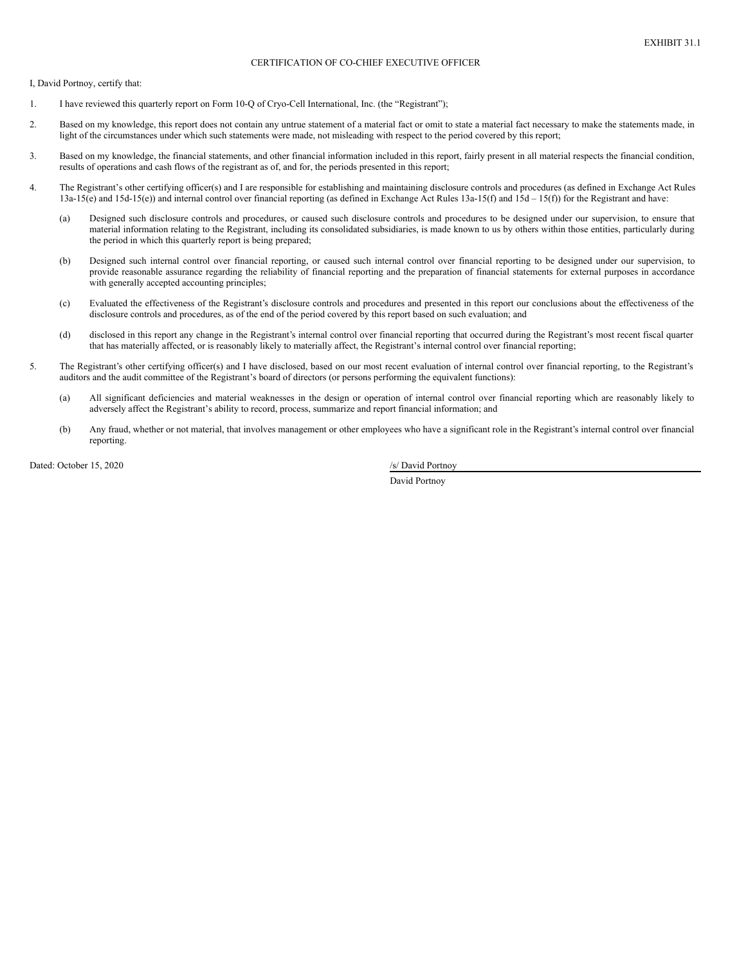### CERTIFICATION OF CO-CHIEF EXECUTIVE OFFICER

<span id="page-47-0"></span>I, David Portnoy, certify that:

- 1. I have reviewed this quarterly report on Form 10-Q of Cryo-Cell International, Inc. (the "Registrant");
- 2. Based on my knowledge, this report does not contain any untrue statement of a material fact or omit to state a material fact necessary to make the statements made, in light of the circumstances under which such statements were made, not misleading with respect to the period covered by this report;
- 3. Based on my knowledge, the financial statements, and other financial information included in this report, fairly present in all material respects the financial condition, results of operations and cash flows of the registrant as of, and for, the periods presented in this report;
- 4. The Registrant's other certifying officer(s) and I are responsible for establishing and maintaining disclosure controls and procedures (as defined in Exchange Act Rules 13a-15(e) and 15d-15(e)) and internal control over financial reporting (as defined in Exchange Act Rules 13a-15(f) and 15d – 15(f)) for the Registrant and have:
	- (a) Designed such disclosure controls and procedures, or caused such disclosure controls and procedures to be designed under our supervision, to ensure that material information relating to the Registrant, including its consolidated subsidiaries, is made known to us by others within those entities, particularly during the period in which this quarterly report is being prepared;
	- (b) Designed such internal control over financial reporting, or caused such internal control over financial reporting to be designed under our supervision, to provide reasonable assurance regarding the reliability of financial reporting and the preparation of financial statements for external purposes in accordance with generally accepted accounting principles;
	- (c) Evaluated the effectiveness of the Registrant's disclosure controls and procedures and presented in this report our conclusions about the effectiveness of the disclosure controls and procedures, as of the end of the period covered by this report based on such evaluation; and
	- (d) disclosed in this report any change in the Registrant's internal control over financial reporting that occurred during the Registrant's most recent fiscal quarter that has materially affected, or is reasonably likely to materially affect, the Registrant's internal control over financial reporting;
- 5. The Registrant's other certifying officer(s) and I have disclosed, based on our most recent evaluation of internal control over financial reporting, to the Registrant's auditors and the audit committee of the Registrant's board of directors (or persons performing the equivalent functions):
	- (a) All significant deficiencies and material weaknesses in the design or operation of internal control over financial reporting which are reasonably likely to adversely affect the Registrant's ability to record, process, summarize and report financial information; and
	- (b) Any fraud, whether or not material, that involves management or other employees who have a significant role in the Registrant's internal control over financial reporting.

Dated: October 15, 2020 /s/ David Portnoy

David Portnoy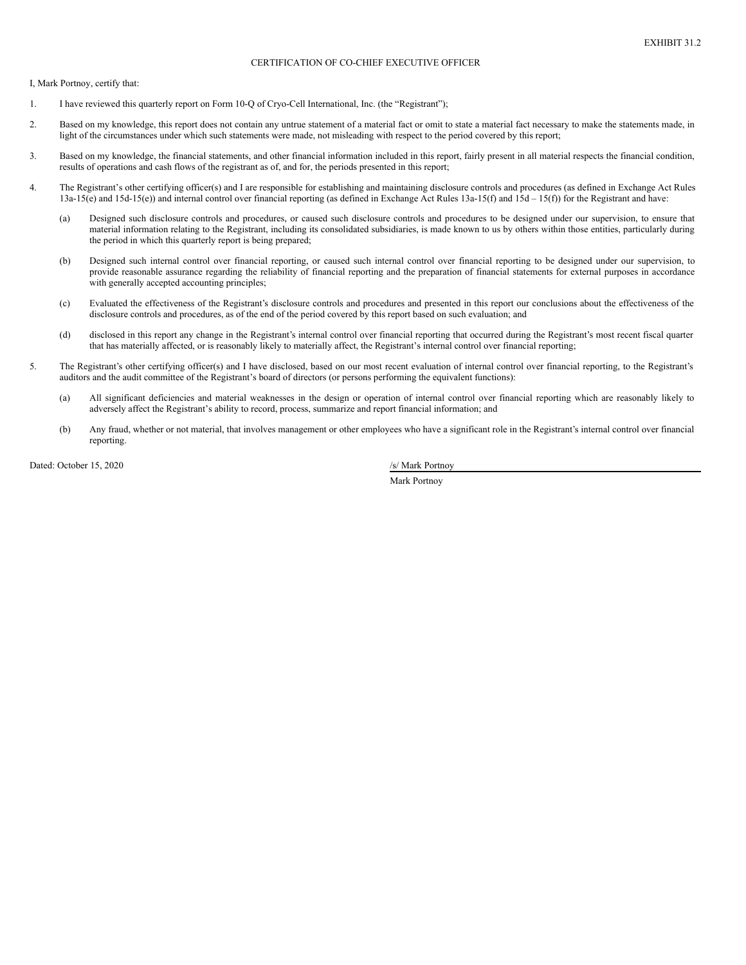### CERTIFICATION OF CO-CHIEF EXECUTIVE OFFICER

<span id="page-48-0"></span>I, Mark Portnoy, certify that:

- 1. I have reviewed this quarterly report on Form 10-Q of Cryo-Cell International, Inc. (the "Registrant");
- 2. Based on my knowledge, this report does not contain any untrue statement of a material fact or omit to state a material fact necessary to make the statements made, in light of the circumstances under which such statements were made, not misleading with respect to the period covered by this report;
- 3. Based on my knowledge, the financial statements, and other financial information included in this report, fairly present in all material respects the financial condition, results of operations and cash flows of the registrant as of, and for, the periods presented in this report;
- 4. The Registrant's other certifying officer(s) and I are responsible for establishing and maintaining disclosure controls and procedures (as defined in Exchange Act Rules 13a-15(e) and 15d-15(e)) and internal control over financial reporting (as defined in Exchange Act Rules 13a-15(f) and 15d – 15(f)) for the Registrant and have:
	- (a) Designed such disclosure controls and procedures, or caused such disclosure controls and procedures to be designed under our supervision, to ensure that material information relating to the Registrant, including its consolidated subsidiaries, is made known to us by others within those entities, particularly during the period in which this quarterly report is being prepared;
	- (b) Designed such internal control over financial reporting, or caused such internal control over financial reporting to be designed under our supervision, to provide reasonable assurance regarding the reliability of financial reporting and the preparation of financial statements for external purposes in accordance with generally accepted accounting principles;
	- (c) Evaluated the effectiveness of the Registrant's disclosure controls and procedures and presented in this report our conclusions about the effectiveness of the disclosure controls and procedures, as of the end of the period covered by this report based on such evaluation; and
	- (d) disclosed in this report any change in the Registrant's internal control over financial reporting that occurred during the Registrant's most recent fiscal quarter that has materially affected, or is reasonably likely to materially affect, the Registrant's internal control over financial reporting;
- 5. The Registrant's other certifying officer(s) and I have disclosed, based on our most recent evaluation of internal control over financial reporting, to the Registrant's auditors and the audit committee of the Registrant's board of directors (or persons performing the equivalent functions):
	- (a) All significant deficiencies and material weaknesses in the design or operation of internal control over financial reporting which are reasonably likely to adversely affect the Registrant's ability to record, process, summarize and report financial information; and
	- (b) Any fraud, whether or not material, that involves management or other employees who have a significant role in the Registrant's internal control over financial reporting.

Dated: October 15, 2020 /s/ Mark Portnoy

Mark Portnoy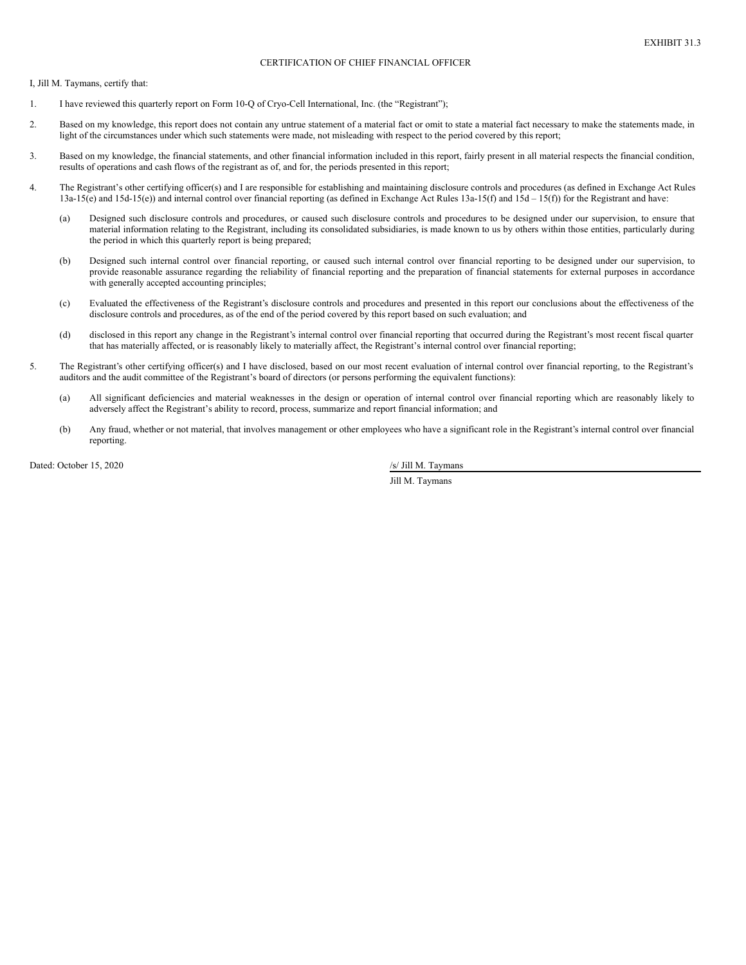### CERTIFICATION OF CHIEF FINANCIAL OFFICER

<span id="page-49-0"></span>I, Jill M. Taymans, certify that:

- 1. I have reviewed this quarterly report on Form 10-Q of Cryo-Cell International, Inc. (the "Registrant");
- 2. Based on my knowledge, this report does not contain any untrue statement of a material fact or omit to state a material fact necessary to make the statements made, in light of the circumstances under which such statements were made, not misleading with respect to the period covered by this report;
- 3. Based on my knowledge, the financial statements, and other financial information included in this report, fairly present in all material respects the financial condition, results of operations and cash flows of the registrant as of, and for, the periods presented in this report;
- 4. The Registrant's other certifying officer(s) and I are responsible for establishing and maintaining disclosure controls and procedures (as defined in Exchange Act Rules 13a-15(e) and 15d-15(e)) and internal control over financial reporting (as defined in Exchange Act Rules 13a-15(f) and 15d – 15(f)) for the Registrant and have:
	- (a) Designed such disclosure controls and procedures, or caused such disclosure controls and procedures to be designed under our supervision, to ensure that material information relating to the Registrant, including its consolidated subsidiaries, is made known to us by others within those entities, particularly during the period in which this quarterly report is being prepared;
	- (b) Designed such internal control over financial reporting, or caused such internal control over financial reporting to be designed under our supervision, to provide reasonable assurance regarding the reliability of financial reporting and the preparation of financial statements for external purposes in accordance with generally accepted accounting principles;
	- (c) Evaluated the effectiveness of the Registrant's disclosure controls and procedures and presented in this report our conclusions about the effectiveness of the disclosure controls and procedures, as of the end of the period covered by this report based on such evaluation; and
	- (d) disclosed in this report any change in the Registrant's internal control over financial reporting that occurred during the Registrant's most recent fiscal quarter that has materially affected, or is reasonably likely to materially affect, the Registrant's internal control over financial reporting;
- 5. The Registrant's other certifying officer(s) and I have disclosed, based on our most recent evaluation of internal control over financial reporting, to the Registrant's auditors and the audit committee of the Registrant's board of directors (or persons performing the equivalent functions):
	- (a) All significant deficiencies and material weaknesses in the design or operation of internal control over financial reporting which are reasonably likely to adversely affect the Registrant's ability to record, process, summarize and report financial information; and
	- (b) Any fraud, whether or not material, that involves management or other employees who have a significant role in the Registrant's internal control over financial reporting.

Dated: October 15, 2020 /s/ Jill M. Taymans

Jill M. Taymans